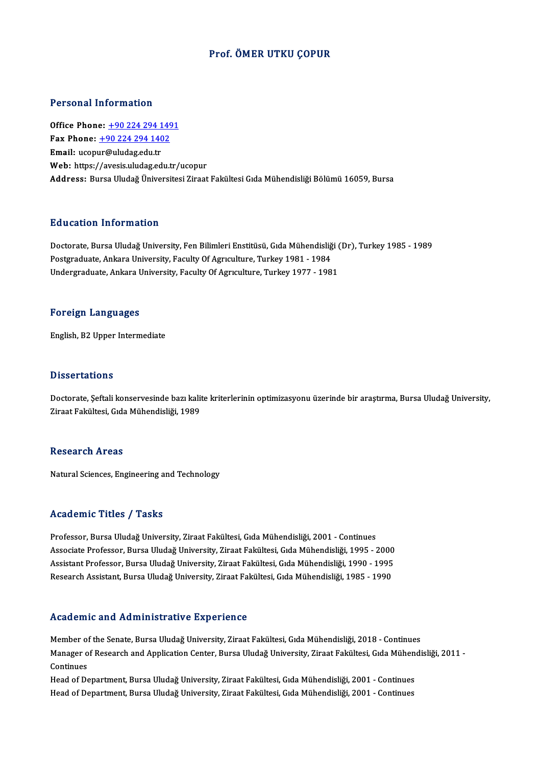### Prof. ÖMER UTKU ÇOPUR

#### Personal Information

Office Phone: +90 224 294 1491 Terestian Information<br>Office Phone: <u>+90 224 294 149</u><br>Fax Phone: <u>+90 224 294 1402</u> Office Phone: <u>+90 224 294 1</u><br>Fax Phone: <u>+90 224 294 140</u><br>Email: ucop[ur@uludag.edu.tr](tel:+90 224 294 1402) Email: ucopur@uludag.edu.tr<br>Web: https://avesis.uludag.edu.tr/ucopur Address: Bursa Uludağ Üniversitesi Ziraat Fakültesi Gıda Mühendisliği Bölümü 16059, Bursa

### Education Information

Education Information<br>Doctorate, Bursa Uludağ University, Fen Bilimleri Enstitüsü, Gıda Mühendisliği (Dr), Turkey 1985 - 1989<br>Postsraduate Ankara University, Fesulty Of Asyculture, Turkey 1981, 1984 Pu u cucron "mi of mucron"<br>Doctorate, Bursa Uludağ University, Fen Bilimleri Enstitüsü, Gıda Mühendisliğ<br>Postgraduate, Ankara University, Faculty Of Agrıculture, Turkey 1981 - 1984<br>Undergraduate, Ankara University, Faculty Doctorate, Bursa Uludağ University, Fen Bilimleri Enstitüsü, Gıda Mühendisliği (<br>Postgraduate, Ankara University, Faculty Of Agrıculture, Turkey 1981 - 1984<br>Undergraduate, Ankara University, Faculty Of Agrıculture, Turkey Undergraduate, Ankara University, Faculty Of Agriculture, Turkey 1977 - 1981<br>Foreign Languages

English,B2Upper Intermediate

#### **Dissertations**

Dissertations<br>Doctorate, Şeftali konservesinde bazı kalite kriterlerinin optimizasyonu üzerinde bir araştırma, Bursa Uludağ University,<br>Zirast Fakültesi, Cıda Mühandisliği, 1999 2 15561 tatromo<br>Doctorate, Şeftali konservesinde bazı kali<br>Ziraat Fakültesi, Gıda Mühendisliği, 1989 Ziraat Fakültesi, Gıda Mühendisliği, 1989<br>Research Areas

Natural Sciences, Engineering and Technology

### Academic Titles / Tasks

Academic Titles / Tasks<br>Professor, Bursa Uludağ University, Ziraat Fakültesi, Gıda Mühendisliği, 2001 - Continues<br>Associate Professor, Bursa Uludağ University, Ziraat Fakültesi, Cıda Mühendisliği, 1995 Associate Artice 7 Tuske<br>Professor, Bursa Uludağ University, Ziraat Fakültesi, Gıda Mühendisliği, 2001 - Continues<br>Associate Professor, Bursa Uludağ University, Ziraat Fakültesi, Gıda Mühendisliği, 1995 - 2000<br>Assistant Pr Professor, Bursa Uludağ University, Ziraat Fakültesi, Gıda Mühendisliği, 2001 - Continues<br>Associate Professor, Bursa Uludağ University, Ziraat Fakültesi, Gıda Mühendisliği, 1995 - 2000<br>Assistant Professor, Bursa Uludağ Uni Associate Professor, Bursa Uludağ University, Ziraat Fakültesi, Gıda Mühendisliği, 1995 - 2000<br>Assistant Professor, Bursa Uludağ University, Ziraat Fakültesi, Gıda Mühendisliği, 1990 - 1995<br>Research Assistant, Bursa Uludağ

#### Academic and Administrative Experience

Member of the Senate, Bursa Uludağ University, Ziraat Fakültesi, Gıda Mühendisliği, 2018 - Continues ricuu chire unu frumminesi usiv e zirperfenee<br>Member of the Senate, Bursa Uludağ University, Ziraat Fakültesi, Gıda Mühendisliği, 2018 - Continues<br>Manager of Research and Application Center, Bursa Uludağ University, Ziraat Member of<br>Manager o<br>Continues<br>Head of De Manager of Research and Application Center, Bursa Uludağ University, Ziraat Fakültesi, Gıda Mühen<br>Continues<br>Head of Department, Bursa Uludağ University, Ziraat Fakültesi, Gıda Mühendisliği, 2001 - Continues<br>Head of Departm

Continues<br>Head of Department, Bursa Uludağ University, Ziraat Fakültesi, Gıda Mühendisliği, 2001 - Continues<br>Head of Department, Bursa Uludağ University, Ziraat Fakültesi, Gıda Mühendisliği, 2001 - Continues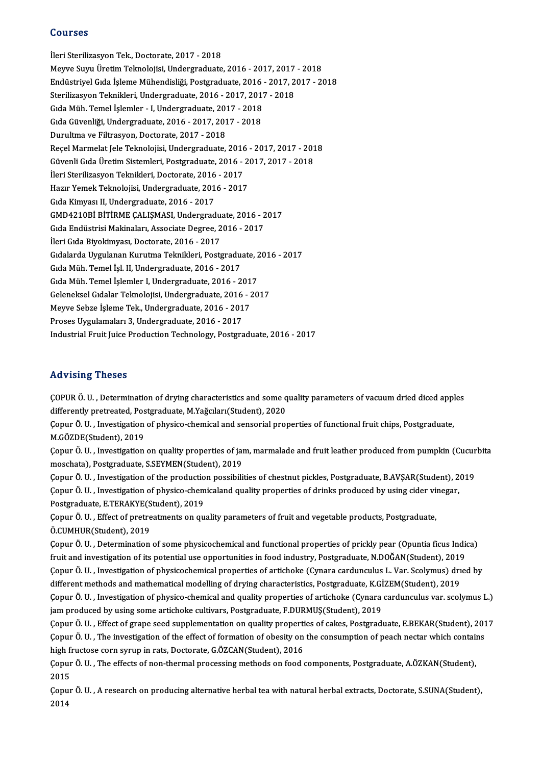#### Courses

İleri Sterilizasyon Tek., Doctorate, 2017 - 2018 Meyve SuyuÜretimTeknolojisi,Undergraduate,2016 -2017,2017 -2018 İleri Sterilizasyon Tek., Doctorate, 2017 - 2018<br>Meyve Suyu Üretim Teknolojisi, Undergraduate, 2016 - 2017, 2017 - 2018<br>Endüstriyel Gıda İşleme Mühendisliği, Postgraduate, 2016 - 2017, 2017 - 2018<br>Sterilizasyon Teknikleri, Meyve Suyu Üretim Teknolojisi, Undergraduate, 2016 - 2017, 2017<br>Endüstriyel Gıda İşleme Mühendisliği, Postgraduate, 2016 - 2017, 2<br>Sterilizasyon Teknikleri, Undergraduate, 2016 - 2017, 2017 - 2018<br>Cıda Müh-Tamel İslamlar -Endüstriyel Gıda İşleme Mühendisliği, Postgraduate, 2016<br>Sterilizasyon Teknikleri, Undergraduate, 2016 - 2017, 2017<br>Gıda Müh. Temel İşlemler - I, Undergraduate, 2017 - 2018<br>Gıda Güyenliği, Undergraduate, 2016 - 2017, 2017, Sterilizasyon Teknikleri, Undergraduate, 2016 - 2017, 2017 - 2018<br>Gıda Müh. Temel İşlemler - I, Undergraduate, 2017 - 2018<br>Gıda Güvenliği, Undergraduate, 2016 - 2017, 2017 - 2018<br>Durultma ve Filtrasyon, Doctorate, 2017 - 2 Gida Müh. Temel İşlemler - I, Undergraduate, 2017 - 2018 Gıda Güvenliği, Undergraduate, 2016 - 2017, 2017 - 2018<br>Durultma ve Filtrasyon, Doctorate, 2017 - 2018<br>Reçel Marmelat Jele Teknolojisi, Undergraduate, 2016 - 2017, 2017 - 2018<br>Güvenli Gıda Ünetim Sistemleri, Bostaraduate, Durultma ve Filtrasyon, Doctorate, 2017 - 2018<br>Reçel Marmelat Jele Teknolojisi, Undergraduate, 2016 - 2017, 2017 - 201<br>Güvenli Gıda Üretim Sistemleri, Postgraduate, 2016 - 2017, 2017 - 2018<br>İləri Starilizasyon Telmikleri, Reçel Marmelat Jele Teknolojisi, Undergraduate, 2016<br>Güvenli Gıda Üretim Sistemleri, Postgraduate, 2016 -<br>İleri Sterilizasyon Teknikleri, Doctorate, 2016 - 2017<br>Harır Yomek Teknolojisi, Undergraduate, 2016 - 2017 Güvenli Gıda Üretim Sistemleri, Postgraduate, 2016 - 2<sup>.</sup><br>İleri Sterilizasyon Teknikleri, Doctorate, 2016 - 2017<br>Hazır Yemek Teknolojisi, Undergraduate, 2016 - 2017<br>Sıda Kimuası II. Undergraduate, 2016 - 2017 İleri Sterilizasyon Teknikleri, Doctorate, 2016 - 2017<br>Hazır Yemek Teknolojisi, Undergraduate, 2016 - 2017<br>Gıda Kimyası II, Undergraduate, 2016 - 2017 Hazır Yemek Teknolojisi, Undergraduate, 2016 - 2017<br>Gıda Kimyası II, Undergraduate, 2016 - 2017<br>GMD4210Bİ BİTİRME ÇALIŞMASI, Undergraduate, 2016 - 2017<br>Cıda Endüstrisi Makinaları, Assasista Desree, 2016 - 2017 Gıda Kimyası II, Undergraduate, 2016 - 2017<br>GMD4210Bİ BİTİRME ÇALIŞMASI, Undergraduate, 2016 - 2<br>Gıda Endüstrisi Makinaları, Associate Degree, 2016 - 2017<br>İləri Gıda Biyokimyası, Destarate, 2016 - 2017 GMD4210Bİ BİTİRME ÇALIŞMASI, Undergradu:<br>Gıda Endüstrisi Makinaları, Associate Degree, 2<br>İleri Gıda Biyokimyası, Doctorate, 2016 - 2017<br>Gıdalarda Uygulanan Kurutma Telmikleri, Basta Gıda Endüstrisi Makinaları, Associate Degree, 2016 - 2017<br>İleri Gıda Biyokimyası, Doctorate, 2016 - 2017<br>Gıdalarda Uygulanan Kurutma Teknikleri, Postgraduate, 2016 - 2017<br>Gıda Müh, Tamal İsl. II. Undargraduate, 2016 - 2017 İleri Gıda Biyokimyası, Doctorate, 2016 - 2017<br>Gıdalarda Uygulanan Kurutma Teknikleri, Postgradu<br>Gıda Müh. Temel İşl. II, Undergraduate, 2016 - 2017<br>Gıda Müh. Temel İslamlar I. Undergraduata, 2016 - 2 Gıdalarda Uygulanan Kurutma Teknikleri, Postgraduate, 2<br>Gıda Müh. Temel İşl. II, Undergraduate, 2016 - 2017<br>Gıda Müh. Temel İşlemler I, Undergraduate, 2016 - 2017<br>Celeneksel Cıdalar Teknelejisi, Undergraduate, 2016 - 20 Gıda Müh. Temel İşl. II, Undergraduate, 2016 - 2017<br>Gıda Müh. Temel İşlemler I, Undergraduate, 2016 - 2017<br>Geleneksel Gıdalar Teknolojisi, Undergraduate, 2016 - 2017<br>Meyve Sebre İsleme Tek-Undergraduate, 2016 - 2017 Gıda Müh. Temel İşlemler I, Undergraduate, 2016 - 201<br>Geleneksel Gıdalar Teknolojisi, Undergraduate, 2016 - 2<br>Meyve Sebze İşleme Tek., Undergraduate, 2016 - 2017<br>Preses Uygulamaları 2. Undergraduate, 2016 - 2017 Geleneksel Gıdalar Teknolojisi, Undergraduate, 2016 - 2017<br>Meyve Sebze İşleme Tek., Undergraduate, 2016 - 2017<br>Proses Uygulamaları 3, Undergraduate, 2016 - 2017 Industrial Fruit Juice Production Technology, Postgraduate, 2016 - 2017

### Advising Theses

ÇOPURÖ.U. ,Determinationofdrying characteristics and some qualityparameters of vacuumdried diced apples raa vienig viesses<br>COPUR Ö. U. , Determination of drying characteristics and some q<br>differently pretreated, Postgraduate, M.Yağcıları(Student), 2020<br>Copur Ö. U. , Investigation of physics, shomical and sonsorial prou

Çopur Ö. U. , Investigation of physico-chemical and sensorial properties of functional fruit chips, Postgraduate,<br>M.GÖZDE(Student), 2019 differently pretreated, Pos<br>Çopur Ö. U. , Investigation<br>M.GÖZDE(Student), 2019<br>Conur Ö. U. , Investigation Çopur Ö. U. , Investigation of physico-chemical and sensorial properties of functional fruit chips, Postgraduate,<br>M.GÖZDE(Student), 2019<br>Çopur Ö. U. , Investigation on quality properties of jam, marmalade and fruit leather

M.GÖZDE(Student), 2019<br>Çopur Ö. U. , Investigation on quality properties of jai<br>moschata), Postgraduate, S.SEYMEN(Student), 2019<br>Copur Ö. U. , Investigation of the production possibili Çopur Ö. U. , Investigation on quality properties of jam, marmalade and fruit leather produced from pumpkin (Cucur<br>moschata), Postgraduate, S.SEYMEN(Student), 2019<br>Çopur Ö. U. , Investigation of the production possibilitie

moschata), Postgraduate, S.SEYMEN(Student), 2019<br>Çopur Ö. U. , Investigation of the production possibilities of chestnut pickles, Postgraduate, B.AVŞAR(Student), 2<br>Çopur Ö. U. , Investigation of physico-chemicaland quality Copur Ö. U. , Investigation of the productio<br>Copur Ö. U. , Investigation of physico-chem<br>Postgraduate, E.TERAKYE(Student), 2019<br>Copur Ö. U. , Effect of protreatments on au Copur Ö. U. , Investigation of physico-chemicaland quality properties of drinks produced by using cider vir<br>Postgraduate, E.TERAKYE(Student), 2019<br>Copur Ö. U. , Effect of pretreatments on quality parameters of fruit and ve

Postgraduate, E.TERAKYE(Student), 2019<br>Çopur Ö. U. , Effect of pretreatments on quality parameters of fruit and vegetable products, Postgraduate,<br>Ö.CUMHUR(Student), 2019 Çopur Ö. U. , Effect of pretreatments on quality parameters of fruit and vegetable products, Postgraduate,<br>Ö.CUMHUR(Student), 2019<br>Çopur Ö. U. , Determination of some physicochemical and functional properties of prickly pe

Ö.CUMHUR(Student), 2019<br>Çopur Ö. U. , Determination of some physicochemical and functional properties of prickly pear (Opuntia ficus Indi<br>fruit and investigation of its potential use opportunities in food industry, Postgra Çopur Ö. U. , Determination of some physicochemical and functional properties of prickly pear (Opuntia ficus Indica)<br>fruit and investigation of its potential use opportunities in food industry, Postgraduate, N.DOĞAN(Studen fruit and investigation of its potential use opportunities in food industry, Postgraduate, N.DOĞAN(Student), 2019<br>Çopur Ö. U. , Investigation of physicochemical properties of artichoke (Cynara cardunculus L. Var. Scolymus) Copur Ö. U. , Investigation of physicochemical properties of artichoke (Cynara cardunculus L. Var. Scolymus) dried by<br>different methods and mathematical modelling of drying characteristics, Postgraduate, K.GİZEM(Student), different methods and mathematical modelling of drying characteristics, Postgraduate, K.GİZEM(Student), 2019<br>Çopur Ö. U. , Investigation of physico-chemical and quality properties of artichoke (Cynara cardunculus var. scol

Çopur Ö. U. , Investigation of physico-chemical and quality properties of artichoke (Cynara cardunculus var. scolymus L.)<br>jam produced by using some artichoke cultivars, Postgraduate, F.DURMUŞ(Student), 2019<br>Çopur Ö. U. , jam produced by using some artichoke cultivars, Postgraduate, F.DURMUŞ(Student), 2019<br>Çopur Ö. U. , Effect of grape seed supplementation on quality properties of cakes, Postgraduate, E.BEKAR(Student), 201<br>Çopur Ö. U. , The Copur Ö. U. , Effect of grape seed supplementation on quality propertically corrected cornsyrup in rats, Doctorate, G.ÖZCAN(Student), 2016<br>high fructose corn syrup in rats, Doctorate, G.ÖZCAN(Student), 2016<br>Copur Ö. U. . T Çopur Ö. U. , The investigation of the effect of formation of obesity on the consumption of peach nectar which contains<br>high fructose corn syrup in rats, Doctorate, G.ÖZCAN(Student), 2016<br>Çopur Ö. U. , The effects of non-t high fructose corn syrup in rats, Doctorate, G.ÖZCAN(Student), 2016

Çopur Ö. U. , The effects of non-thermal processing methods on food components, Postgraduate, A.ÖZKAN(Student),<br>2015<br>Çopur Ö. U. , A research on producing alternative herbal tea with natural herbal extracts, Doctorate, S.S

2015<br>Çopu<br>2014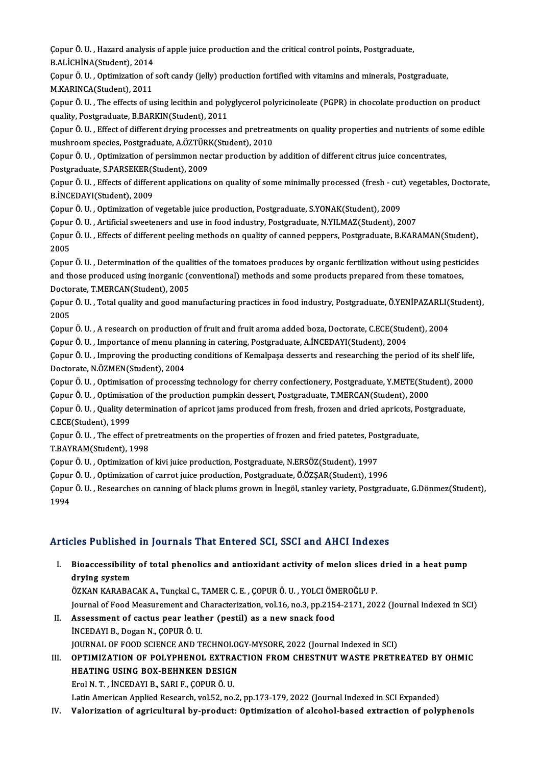ÇopurÖ.U. ,Hazard analysis of apple juice productionand the critical controlpoi̇nts,Postgraduate, Copur Ö. U. , Hazard analysis<br>B.ALİCHİNA(Student), 2014<br>Copur Ö. U., Optimization of Çopur Ö. U. , Hazard analysis of apple juice production and the critical control points, Postgraduate,<br>B.ALİCHİNA(Student), 2014<br>Çopur Ö. U. , Optimization of soft candy (jelly) production fortified with vitamins and miner

**B.ALİCHİNA(Student), 2014<br>Çopur Ö. U. , Optimization of<br>M.KARINCA(Student), 2011** Çopur Ö. U. , Optimization of soft candy (jelly) production fortified with vitamins and minerals, Postgraduate,<br>M.KARINCA(Student), 2011<br>Çopur Ö. U. , The effects of using lecithin and polyglycerol polyricinoleate (PGPR) i

M.KARINCA(Student), 2011<br>Çopur Ö. U. , The effects of using lecithin and poly<br>quality, Postgraduate, B.BARKIN(Student), 2011<br>Copur Ö. U. , Effect of different druing presesses Çopur Ö. U. , The effects of using lecithin and polyglycerol polyricinoleate (PGPR) in chocolate production on product<br>quality, Postgraduate, B.BARKIN(Student), 2011<br>Çopur Ö. U. , Effect of different drying processes and p

quality, Postgraduate, B.BARKIN(Student), 2011<br>Çopur Ö. U. , Effect of different drying processes and pretreat<br>mushroom species, Postgraduate, A.ÖZTÜRK(Student), 2010<br>Copur Ö. U. , Optimisation of porsimmon nestar producti Çopur Ö. U. , Effect of different drying processes and pretreatments on quality properties and nutrients of sc<br>mushroom species, Postgraduate, A.ÖZTÜRK(Student), 2010<br>Çopur Ö. U. , Optimization of persimmon nectar producti

mushroom species, Postgraduate, A.ÖZTÜRK(Student), 2010<br>Copur Ö. U. , Optimization of persimmon nectar production by addition of different citrus juice concentrates, Çopur Ö. U. , Optimization of persimmon nectar production by addition of different citrus juice concentrates,<br>Postgraduate, S.PARSEKER(Student), 2009<br>Çopur Ö. U. , Effects of different applications on quality of some minim

Postgraduate, S.PARSEKER(Student), 2009<br>Copur Ö. U. , Effects of different applications on quality of some minimally processed (fresh - cu<br>B.İNCEDAYI(Student), 2009<br>Copur Ö. U. , Optimization of vegetable juice production, Copur Ö. U. , Effects of different applications on quality of some minimally processed (fresh - cut<br>B.İNCEDAYI(Student), 2009<br>Copur Ö. U. , Optimization of vegetable juice production, Postgraduate, S.YONAK(Student), 2009<br>C

B.İNCEDAYI(Student), 2009<br>Çopur Ö. U. , Optimization of vegetable juice production, Postgraduate, S.YONAK(Student), 2009<br>Çopur Ö. U. , Artificial sweeteners and use in food industry, Postgraduate, N.YILMAZ(Student), 2007<br>C

Çopur Ö. U. , Effects of different peeling methods on quality of canned peppers, Postgraduate, B.KARAMAN(Student),<br>2005 Copur<br>Copur<br>2005<br>Copur Çopur Ö. U. , Effects of different peeling methods on quality of canned peppers, Postgraduate, B.KARAMAN(Student),<br>2005<br>Çopur Ö. U. , Determination of the qualities of the tomatoes produces by organic fertilization without

2005<br>Çopur Ö. U. , Determination of the qualities of the tomatoes produces by organic fertilization without using pestic<br>and those produced using inorganic (conventional) methods and some products prepared from these tomat Copur Ö. U. , Determination of the qual<br>and those produced using inorganic (c<br>Doctorate, T.MERCAN(Student), 2005<br>Copur Ö. U. ...Total quality and good ma and those produced using inorganic (conventional) methods and some products prepared from these tomatoes,<br>Doctorate, T.MERCAN(Student), 2005<br>Çopur Ö. U. , Total quality and good manufacturing practices in food industry, Po

Docto<br>Çopur<br>2005<br>Copur Çopur Ö. U. , Total quality and good manufacturing practices in food industry, Postgraduate, Ö.YENİPAZARLI(:<br>2005<br>Çopur Ö. U. , A research on production of fruit and fruit aroma added boza, Doctorate, C.ECE(Student), 2004<br> 2005<br>Çopur Ö. U. , A research on production of fruit and fruit aroma added boza, Doctorate, C.ECE(Stud<br>Çopur Ö. U. , Importance of menu planning in catering, Postgraduate, A.İNCEDAYI(Student), 2004<br>Copur Ö. U. , Improving

Copur Ö. U. , A research on production of fruit and fruit aroma added boza, Doctorate, C.ECE(Student), 2004<br>Copur Ö. U. , Importance of menu planning in catering, Postgraduate, A.İNCEDAYI(Student), 2004<br>Copur Ö. U. , Impro Copur Ö. U. , Importance of menu plan<br>Copur Ö. U. , Improving the productin<br>Doctorate, N.ÖZMEN(Student), 2004<br>Copur Ö. U. , Optimication of prosessi Çopur Ö. U. , Improving the producting conditions of Kemalpaşa desserts and researching the period of its shelf life,<br>Doctorate, N.ÖZMEN(Student), 2004<br>Çopur Ö. U. , Optimisation of processing technology for cherry confect Doctorate, N.ÖZMEN(Student), 2004<br>Çopur Ö. U. , Optimisation of processing technology for cherry confectionery, Postgraduate, Y.METE(Student),<br>Çopur Ö. U. , Optimisation of the production pumpkin dessert, Postgraduate, T.M

Çopur Ö. U. , Optimisation of processing technology for cherry confectionery, Postgraduate, Y.METE(Student), 200<br>Çopur Ö. U. , Optimisation of the production pumpkin dessert, Postgraduate, T.MERCAN(Student), 2000<br>Çopur Ö. Copur Ö. U. , Optimisation of the production pumpkin dessert, Postgraduate, T.MERCAN(Student), 2000<br>Copur Ö. U. , Quality determination of apricot jams produced from fresh, frozen and dried apricots, Postgraduate,<br>C.ECE(St Çopur Ö. U. , Quality determination of apricot jams produced from fresh, frozen and dried apricots, P<br>C.ECE(Student), 1999<br>Çopur Ö. U. , The effect of pretreatments on the properties of frozen and fried patetes, Postgradua C.ECE(Student), 1999<br>Çopur Ö. U. , The effect of pi<br>T.BAYRAM(Student), 1998<br>Conur Ö. U. , Ontimiration o

Çopur Ö. U. , The effect of pretreatments on the properties of frozen and fried patetes, Pos<br>T.BAYRAM(Student), 1998<br>Çopur Ö. U. , Optimization of kivi juice production, Postgraduate, N.ERSÖZ(Student), 1997<br>Copur Ö. U. , O

T.BAYRAM(Student), 1998<br>Çopur Ö. U. , Optimization of kivi juice production, Postgraduate, N.ERSÖZ(Student), 1997<br>Çopur Ö. U. , Optimization of carrot juice production, Postgraduate, Ö.ÖZŞAR(Student), 1996<br>Çopur Ö. U. , Re

Çopur Ö. U. , Optimization of kivi juice production, Postgraduate, N.ERSÖZ(Student), 1997<br>Çopur Ö. U. , Optimization of carrot juice production, Postgraduate, Ö.ÖZŞAR(Student), 1996<br>Çopur Ö. U. , Researches on canning of b Çopur<br>Çopur<br>1994

### Articles Published in Journals That Entered SCI, SSCI and AHCI Indexes

rticles Published in Journals That Entered SCI, SSCI and AHCI Indexes<br>I. Bioaccessibility of total phenolics and antioxidant activity of melon slices dried in a heat pump<br>drying system dres a denonce<br>Bioaccessibility<br>drying system<br>ÖZKAN KARARAA Bioaccessibility of total phenolics and antioxidant activity of melon slices<br>drying system<br>ÖZKAN KARABACAK A., Tunçkal C., TAMER C. E. , ÇOPUR Ö. U. , YOLCI ÖMEROĞLU P.<br>Journal of Eood Measurement and Characterization vol

drying system<br>ÖZKAN KARABACAK A., Tunçkal C., TAMER C. E. , ÇOPUR Ö. U. , YOLCI ÖMEROĞLU P.<br>Journal of Food Measurement and Characterization, vol.16, no.3, pp.2154-2171, 2022 (Journal Indexed in SCI)<br>II. Assessment of ÖZKAN KARABACAK A., Tunçkal C., TAMER C. E. , ÇOPUR Ö. U. , YOLCI ÖM<br>Journal of Food Measurement and Characterization, vol.16, no.3, pp.215<br>II. Assessment of cactus pear leather (pestil) as a new snack food<br>INCEDAYLE, Doga

- İNCEDAYIB.,DoganN.,ÇOPURÖ.U. JOURNAL OF FOOD SCIENCE AND TECHNOLOGY-MYSORE, 2022 (Journal Indexed in SCI)
- III. OPTIMIZATION OF POLYPHENOL EXTRACTION FROM CHESTNUT WASTE PRETREATED BY OHMIC JOURNAL OF FOOD SCIENCE AND TECHNOLO<br>OPTIMIZATION OF POLYPHENOL EXTRAC<br>HEATING USING BOX-BEHNKEN DESIGN<br>FreLN T. INCEDAYLE SABLE COPUP Ö U OPTIMIZATION OF POLYPHENOL EXTRA<br>HEATING USING BOX-BEHNKEN DESIGN<br>Erol N. T. , İNCEDAYI B., SARI F., ÇOPUR Ö. U.<br>Letin American Annlied Bessansh vel 53. ne.

Erol N. T. , İNCEDAYI B., SARI F., ÇOPUR Ö. U.<br>Latin American Applied Research, vol.52, no.2, pp.173-179, 2022 (Journal Indexed in SCI Expanded)

IV. Valorization of agricultural by-product: Optimization of alcohol-based extraction of polyphenols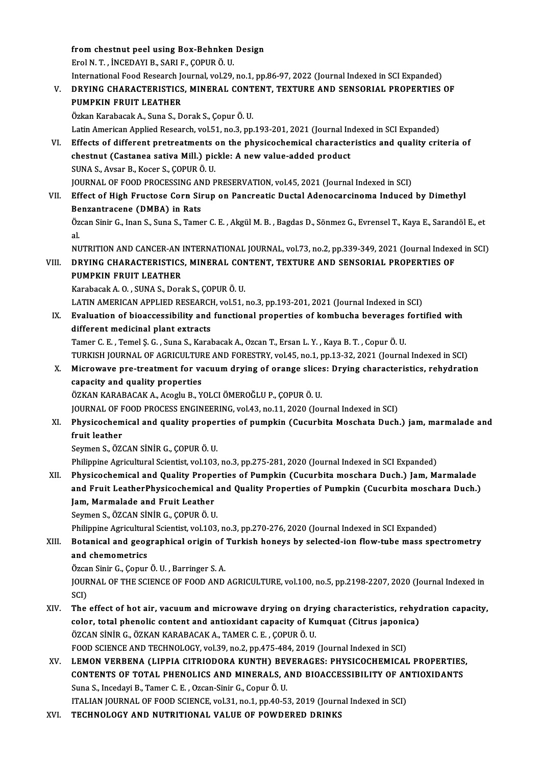fromchestnut peel using Box-Behnken Design ErolN.T. , İNCEDAYIB.,SARIF.,ÇOPURÖ.U. from chestnut peel using Box-Behnken Design<br>Erol N. T. , İNCEDAYI B., SARI F., ÇOPUR Ö. U.<br>International Food Research Journal, vol.29, no.1, pp.86-97, 2022 (Journal Indexed in SCI Expanded)<br>PRYMC CHARACTERISTICS, MINERAL

# Erol N. T. , İNCEDAYI B., SARI F., ÇOPUR Ö. U.<br>International Food Research Journal, vol.29, no.1, pp.86-97, 2022 (Journal Indexed in SCI Expanded)<br>V. DRYING CHARACTERISTICS, MINERAL CONTENT, TEXTURE AND SENSORIAL PROPE International Food Research Jone<br>DRYING CHARACTERISTICS<br>PUMPKIN FRUIT LEATHER<br>Özkan Karabasak A. Suna S. D DRYING CHARACTERISTICS, MINERAL CONT<br>PUMPKIN FRUIT LEATHER<br>Özkan Karabacak A., Suna S., Dorak S., Çopur Ö. U.<br>Latin American Annlied Bessarsh vol 51, no 3, nn

PUMPKIN FRUIT LEATHER<br>Özkan Karabacak A., Suna S., Dorak S., Çopur Ö. U.<br>Latin American Applied Research, vol.51, no.3, pp.193-201, 2021 (Journal Indexed in SCI Expanded)<br>Effects of different pretreatments on the physisoch

Özkan Karabacak A., Suna S., Dorak S., Çopur Ö. U.<br>Latin American Applied Research, vol.51, no.3, pp.193-201, 2021 (Journal Indexed in SCI Expanded)<br>VI. Effects of different pretreatments on the physicochemical characteris Latin American Applied Research, vol.51, no.3, pp.193-201, 2021 (Journal In Effects of different pretreatments on the physicochemical characte:<br>chestnut (Castanea sativa Mill.) pickle: A new value-added product<br>SUNA S. Ayg SUNAS.,AvsarB.,Kocer S.,ÇOPURÖ.U. chestnut (Castanea sativa Mill.) pickle: A new value-added product<br>SUNA S., Avsar B., Kocer S., ÇOPUR Ö. U.<br>JOURNAL OF FOOD PROCESSING AND PRESERVATION, vol.45, 2021 (Journal Indexed in SCI)<br>Effect of High Enugtoge Corn Si

VII. Effect of High Fructose Corn Sirup on Pancreatic Ductal Adenocarcinoma Induced by Dimethyl<br>Benzantracene (DMBA) in Rats JOURNAL OF FOOD PROCESSING AN<br>Effect of High Fructose Corn Sin<br>Benzantracene (DMBA) in Rats<br>Özgan Sinir C, Inan S, Sung S, Tame Effect of High Fructose Corn Sirup on Pancreatic Ductal Adenocarcinoma Induced by Dimethyl<br>Benzantracene (DMBA) in Rats<br>Özcan Sinir G., Inan S., Suna S., Tamer C. E. , Akgül M. B. , Bagdas D., Sönmez G., Evrensel T., Kaya

**Be**<br>Öz<br>al Özcan Sinir G., Inan S., Suna S., Tamer C. E. , Akgül M. B. , Bagdas D., Sönmez G., Evrensel T., Kaya E., Sarandöl E., et<br>al.<br>NUTRITION AND CANCER-AN INTERNATIONAL JOURNAL, vol.73, no.2, pp.339-349, 2021 (Journal Indexed i

## VI I. DRYING CHARACTERISTICS,MINERAL CONTENT, TEXTURE AND SENSORIAL PROPERTIES OF NUTRITION AND CANCER-AN INTERNATIONAL JOURNAL, vol.73, no.2, pp.339-349, 2021 (Journal Indexed in SCI)<br>DRYING CHARACTERISTICS, MINERAL CONTENT, TEXTURE AND SENSORIAL PROPERTIES OF<br>PUMPKIN FRUIT LEATHER<br>Karabacak A. O., SUN DRYING CHARACTERISTICS, MINERAL CON<br>PUMPKIN FRUIT LEATHER<br>Karabacak A. O. , SUNA S., Dorak S., ÇOPUR Ö. U.<br>LATIN AMERICAN APRI JED RESEARCH .val51 . PUMPKIN FRUIT LEATHER<br>Karabacak A. O. , SUNA S., Dorak S., ÇOPUR Ö. U.<br>LATIN AMERICAN APPLIED RESEARCH, vol.51, no.3, pp.193-201, 2021 (Journal Indexed in SCI)<br>Evaluation of bioaccoscibility and functional proporties of ko

# IX. Evaluation of bioaccessibility and functional properties of kombucha beverages fortified with LATIN AMERICAN APPLIED RESEARCH<br>Evaluation of bioaccessibility and<br>different medicinal plant extracts<br>Tamer C E . Tamel S C . Suna S . Karal

Tamer C.E. ,TemelŞ.G. ,Suna S.,KarabacakA.,OzcanT.,ErsanL.Y. ,KayaB.T. ,CopurÖ.U. different medicinal plant extracts<br>Tamer C. E. , Temel Ş. G. , Suna S., Karabacak A., Ozcan T., Ersan L. Y. , Kaya B. T. , Copur Ö. U.<br>TURKISH JOURNAL OF AGRICULTURE AND FORESTRY, vol.45, no.1, pp.13-32, 2021 (Journal Inde Tamer C. E. , Temel Ş. G. , Suna S., Karabacak A., Ozcan T., Ersan L. Y. , Kaya B. T. , Copur Ö. U.<br>TURKISH JOURNAL OF AGRICULTURE AND FORESTRY, vol.45, no.1, pp.13-32, 2021 (Journal Indexed in SCI)<br>X. Microwave pre-treatm

# TURKISH JOURNAL OF AGRICULTUR<br>Microwave pre-treatment for variancy<br>capacity and quality properties<br>ÖZKAN KARARACAK A Aggrin B . V X. Microwave pre-treatment for vacuum drying of orange slices: Drying characteristics, rehydration capacity and quality properties<br>ÖZKAN KARABACAK A., Acoglu B., YOLCI ÖMEROĞLU P., COPUR Ö. U.

JOURNAL OF FOOD PROCESS ENGINEERING, vol.43, no.11, 2020 (Journal Indexed in SCI)

## ÖZKAN KARABACAK A., Acoglu B., YOLCI ÖMEROĞLU P., ÇOPUR Ö. U.<br>JOURNAL OF FOOD PROCESS ENGINEERING, vol.43, no.11, 2020 (Journal Indexed in SCI)<br>XI. Physicochemical and quality properties of pumpkin (Cucurbita Moschata **JOURNAL OF F**<br>**Physicochem<br>fruit leather**<br>Soumon S. ÖZ Physicochemical and quality proper<br>fruit leather<br>Seymen S., ÖZCAN SİNİR G., ÇOPUR Ö. U.<br>Philinnine Agricultural Scientist vel 103 fruit leather<br>Seymen S., ÖZCAN SİNİR G., ÇOPUR Ö. U.<br>Philippine Agricultural Scientist, vol.103, no.3, pp.275-281, 2020 (Journal Indexed in SCI Expanded)

## Seymen S., ÖZCAN SİNİR G., ÇOPUR Ö. U.<br>Philippine Agricultural Scientist, vol.103, no.3, pp.275-281, 2020 (Journal Indexed in SCI Expanded)<br>XII. Physicochemical and Quality Properties of Pumpkin (Cucurbita moschara Duch.) Philippine Agricultural Scientist, vol.103, no.3, pp.275-281, 2020 (Journal Indexed in SCI Expanded)<br>Physicochemical and Quality Properties of Pumpkin (Cucurbita moschara Duch.) Jam, Marmalade<br>and Fruit LeatherPhysicochemi Physicochemical and Quality Prope<br>and Fruit LeatherPhysicochemical<br>Jam, Marmalade and Fruit Leather<br>Seymon S. ÖZCAN SİNİR G. COPUR Ö.U and Fruit LeatherPhysicochemical and Quality Properties of Pumpkin (Cucurbita moschara Duch.)<br>Jam, Marmalade and Fruit Leather<br>Seymen S., ÖZCAN SİNİR G., ÇOPUR Ö. U. Jam, Marmalade and Fruit Leather<br>Seymen S., ÖZCAN SİNİR G., ÇOPUR Ö. U.<br>Philippine Agricultural Scientist, vol.103, no.3, pp.270-276, 2020 (Journal Indexed in SCI Expanded)<br>Petanisal and geographical origin of Turkish bone

# Seymen S., ÖZCAN SİNİR G., ÇOPUR Ö. U.<br>Philippine Agricultural Scientist, vol.103, no.3, pp.270-276, 2020 (Journal Indexed in SCI Expanded)<br>XIII. Botanical and geographical origin of Turkish honeys by selected-ion flow-tub Philippine Agricultura<br>Botanical and geog<br>and chemometrics<br>Örgan Sinir C. Conur Botanical and geographical origin of<br>and chemometrics<br>Özcan Sinir G., Çopur Ö.U. , Barringer S.A.<br>JOUPNAL OF THE SCIENCE OF FOOD AND

and chemometrics<br>Özcan Sinir G., Çopur Ö. U. , Barringer S. A.<br>JOURNAL OF THE SCIENCE OF FOOD AND AGRICULTURE, vol.100, no.5, pp.2198-2207, 2020 (Journal Indexed in<br>SCD Özca<br>JOUR<br>SCI)<br>The JOURNAL OF THE SCIENCE OF FOOD AND AGRICULTURE, vol.100, no.5, pp.2198-2207, 2020 (Journal Indexed in<br>SCI)<br>XIV. The effect of hot air, vacuum and microwave drying on drying characteristics, rehydration capacity,<br>celer, tat

- SCI)<br>The effect of hot air, vacuum and microwave drying on drying characteristics, rehyd<br>color, total phenolic content and antioxidant capacity of Kumquat (Citrus japonica)<br>ÖZCAN SİNİP G ÖZKAN KARARACAK A, TAMER G E, COPUR The effect of hot air, vacuum and microwave drying on dry<br>color, total phenolic content and antioxidant capacity of Ku<br>ÖZCAN SİNİR G., ÖZKAN KARABACAK A., TAMER C. E. , ÇOPUR Ö. U.<br>FOOD SCIENCE AND TECUNOLOCY, vol 30 no 2 color, total phenolic content and antioxidant capacity of Kumquat (Citrus japonica)<br>ÖZCAN SİNİR G., ÖZKAN KARABACAK A., TAMER C. E. , ÇOPUR Ö. U.<br>FOOD SCIENCE AND TECHNOLOGY, vol.39, no.2, pp.475-484, 2019 (Journal Indexed ÖZCAN SİNİR G., ÖZKAN KARABACAK A., TAMER C. E. , ÇOPUR Ö. U.<br>FOOD SCIENCE AND TECHNOLOGY, vol.39, no.2, pp.475-484, 2019 (Journal Indexed in SCI)<br>XV. LEMON VERBENA (LIPPIA CITRIODORA KUNTH) BEVERAGES: PHYSICOCHEMICAL
- FOOD SCIENCE AND TECHNOLOGY, vol.39, no.2, pp.475-484, 2019 (Journal Indexed in SCI)<br>LEMON VERBENA (LIPPIA CITRIODORA KUNTH) BEVERAGES: PHYSICOCHEMICAL PROPERTIES<br>CONTENTS OF TOTAL PHENOLICS AND MINERALS, AND BIOACCESSIBIL LEMON VERBENA (LIPPIA CITRIODORA KUNTH) BEN<br>CONTENTS OF TOTAL PHENOLICS AND MINERALS, A<br>Suna S., Incedayi B., Tamer C. E., Ozcan-Sinir G., Copur Ö. U.<br>ITALIAN JOURNAL OF FOOD SCIENCE vol 21 no 1 nn 40 5: CONTENTS OF TOTAL PHENOLICS AND MINERALS, AND BIOACCESSIBILITY OF ANTIOXIDANTS<br>Suna S., Incedayi B., Tamer C. E. , Ozcan-Sinir G., Copur Ö. U.<br>ITALIAN JOURNAL OF FOOD SCIENCE, vol.31, no.1, pp.40-53, 2019 (Journal Indexed
- XVI. TECHNOLOGY AND NUTRITIONAL VALUE OF POWDERED DRINKS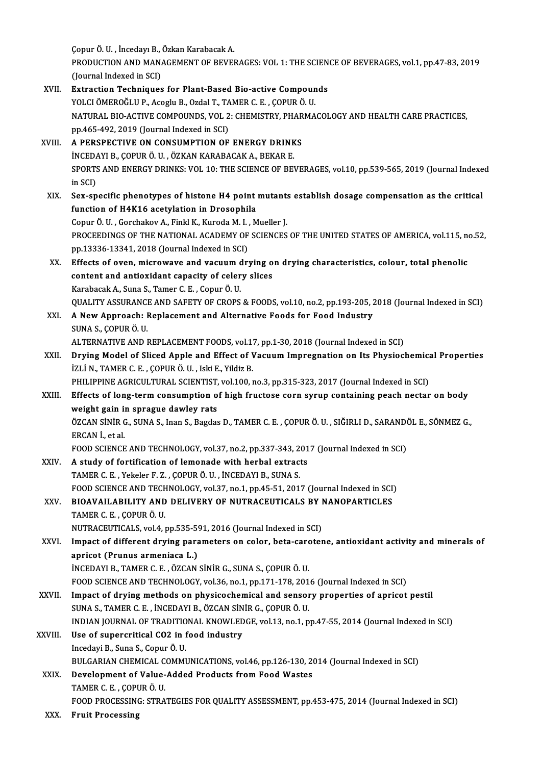Çopur Ö. U., İncedayı B., Özkan Karabacak A.

Çopur Ö. U. , İncedayı B., Özkan Karabacak A.<br>PRODUCTION AND MANAGEMENT OF BEVERAGES: VOL 1: THE SCIENCE OF BEVERAGES, vol.1, pp.47-83, 2019<br>(Jaunnal Indoved in SCD Copur Ö. U. , İncedayı B.,<br>PRODUCTION AND MAN.<br>(Journal Indexed in SCI)<br>Eutraction Techniques PRODUCTION AND MANAGEMENT OF BEVERAGES: VOL 1: THE SCIEN<br>(Journal Indexed in SCI)<br>XVII. Extraction Techniques for Plant-Based Bio-active Compounds<br>VOLCLÖMEROČLU P. Asselv B. Ordal T. TAMER G. E. COPUP Ö. U

(Journal Indexed in SCI)<br>Extraction Techniques for Plant-Based Bio-active Compoun<br>YOLCI ÖMEROĞLU P., Acoglu B., Ozdal T., TAMER C. E. , ÇOPUR Ö. U.<br>NATURAL PIO ACTIVE COMPOUNDS VOL 2. CHEMISTRY PHARMA Extraction Techniques for Plant-Based Bio-active Compounds<br>YOLCI ÖMEROĞLU P., Acoglu B., Ozdal T., TAMER C. E. , ÇOPUR Ö. U.<br>NATURAL BIO-ACTIVE COMPOUNDS, VOL 2: CHEMISTRY, PHARMACOLOGY AND HEALTH CARE PRACTICES,<br>nn 465-49 YOLCI ÖMEROĞLU P., Acoglu B., Ozdal T., TA<br>NATURAL BIO-ACTIVE COMPOUNDS, VOL 2<br>pp.465-492, 2019 (Journal Indexed in SCI)<br>A RERSBECTIVE ON CONSUMPTION OF NATURAL BIO-ACTIVE COMPOUNDS, VOL 2: CHEMISTRY, PHAR<br>pp.465-492, 2019 (Journal Indexed in SCI)<br>XVIII. A PERSPECTIVE ON CONSUMPTION OF ENERGY DRINKS<br>inceday B. Copiup Ö.U. ÖZKAN KARABACAK A. BEKAR E pp.465-492, 2019 (Journal Indexed in SCI)<br>A PERSPECTIVE ON CONSUMPTION OF ENERGY DRINKS<br>INCEDAYI B., COPUR Ö. U. , ÖZKAN KARABACAK A., BEKAR E. A PERSPECTIVE ON CONSUMPTION OF ENERGY DRINKS<br>İNCEDAYI B., ÇOPUR Ö. U. , ÖZKAN KARABACAK A., BEKAR E.<br>SPORTS AND ENERGY DRINKS: VOL 10: THE SCIENCE OF BEVERAGES, vol.10, pp.539-565, 2019 (Journal Indexed<br>in SCD inced<br>SPORTS<br>in SCI)<br>Sex sp SPORTS AND ENERGY DRINKS: VOL 10: THE SCIENCE OF BEVERAGES, vol.10, pp.539-565, 2019 (Journal Indexe<br>in SCI)<br>XIX. Sex-specific phenotypes of histone H4 point mutants establish dosage compensation as the critical<br>function o in SCI)<br>Sex-specific phenotypes of histone H4 point<br>function of H4K16 acetylation in Drosophila<br>Cenur Ö H. Cerchakay A. Finkl K. Kuroda M.L. M Sex-specific phenotypes of histone H4 point mutant:<br>function of H4K16 acetylation in Drosophila<br>Copur Ö.U., Gorchakov A., Finkl K., Kuroda M. I., Mueller J.<br>PROCEEDINCS OF THE NATIONAL ACADEMY OF SCIENCES function of H4K16 acetylation in Drosophila<br>Copur Ö. U., Gorchakov A., Finkl K., Kuroda M. I. , Mueller J.<br>PROCEEDINGS OF THE NATIONAL ACADEMY OF SCIENCES OF THE UNITED STATES OF AMERICA, vol.115, no.52,<br>pp.13336-13341, 20 Copur Ö. U., Gorchakov A., Finkl K., Kuroda M. I., Mueller J. PROCEEDINGS OF THE NATIONAL ACADEMY OF SCIENCES OF THE UNITED STATES OF AMERICA, vol.115, no<br>pp.13336-13341, 2018 (Journal Indexed in SCI)<br>XX. Effects of oven, microwave and vacuum drying on drying characteristics, colour, pp.13336-13341, 2018 (Journal Indexed in SCI)<br>Effects of oven, microwave and vacuum drying o<br>content and antioxidant capacity of celery slices<br>Karabasak A. Suna S. Tamar C. E. Conur Ö. U Effects of oven, microwave and vacuum c<br>content and antioxidant capacity of celer<br>Karabacak A., Suna S., Tamer C. E. , Copur Ö. U.<br>QUALITY ASSUPANCE AND SAEETY OF CROPS content and antioxidant capacity of celery slices<br>Karabacak A., Suna S., Tamer C. E. , Copur Ö. U.<br>QUALITY ASSURANCE AND SAFETY OF CROPS & FOODS, vol.10, no.2, pp.193-205, 2018 (Journal Indexed in SCI)<br>A Naw Annroach: Penl Karabacak A., Suna S., Tamer C. E. , Copur Ö. U.<br>QUALITY ASSURANCE AND SAFETY OF CROPS & FOODS, vol.10, no.2, pp.193-205, 2<br>XXI. A New Approach: Replacement and Alternative Foods for Food Industry<br>SINA S. COPUP Ö. U QUALITY ASSURANCI<br>A New Approach: I<br>SUNA S., ÇOPUR Ö. U.<br>ALTERNATIVE AND I A New Approach: Replacement and Alternative Foods for Food Industry<br>SUNA S., ÇOPUR Ö. U.<br>ALTERNATIVE AND REPLACEMENT FOODS, vol.17, pp.1-30, 2018 (Journal Indexed in SCI)<br>Drying Model of Slieed Apple and Effect of Vocuum I SUNA S., ÇOPUR Ö. U.<br>ALTERNATIVE AND REPLACEMENT FOODS, vol.17, pp.1-30, 2018 (Journal Indexed in SCI)<br>XXII. Drying Model of Sliced Apple and Effect of Vacuum Impregnation on Its Physiochemical Properties<br>1711 N. TAMER ALTERNATIVE AND REPLACEMENT FOODS, vol.1.<br>Drying Model of Sliced Apple and Effect of V<br>İZLİ N., TAMER C. E. , ÇOPUR Ö. U. , Iski E., Yildiz B.<br>PHILIPPINE ACPICULTIP AL SCIENTIST vol.100 . Drying Model of Sliced Apple and Effect of Vacuum Impregnation on Its Physiochemica<br>İZLİ N., TAMER C. E. , ÇOPUR Ö. U. , Iski E., Yildiz B.<br>PHILIPPINE AGRICULTURAL SCIENTIST, vol.100, no.3, pp.315-323, 2017 (Journal Indexe iZLİ N., TAMER C. E. , ÇOPUR Ö. U. , Iski E., Yildiz B.<br>PHILIPPINE AGRICULTURAL SCIENTIST, vol.100, no.3, pp.315-323, 2017 (Journal Indexed in SCI)<br>XXIII. Effects of long-term consumption of high fructose corn syrup contai PHILIPPINE AGRICULTURAL SCIENTIST,<br>Effects of long-term consumption of<br>weight gain in sprague dawley rats<br>ÖZCAN SİNİP C. SINA S. Inan S. Bagdas Effects of long-term consumption of high fructose corn syrup containing peach nectar on body<br>weight gain in sprague dawley rats<br>ÖZCAN SİNİR G., SUNA S., Inan S., Bagdas D., TAMER C. E. , ÇOPUR Ö. U. , SIĞIRLI D., SARANDÖL **weight gain in<br>ÖZCAN SİNİR C<br>ERCAN İ., et al.**<br>EQOD SCIENCE ÖZCAN SİNİR G., SUNA S., Inan S., Bagdas D., TAMER C. E. , ÇOPUR Ö. U. , SIĞIRLI D., SARANDO<br>ERCAN İ., et al.<br>FOOD SCIENCE AND TECHNOLOGY, vol.37, no.2, pp.337-343, 2017 (Journal Indexed in SCI)<br>A study of fortification of ERCAN I., et al.<br>FOOD SCIENCE AND TECHNOLOGY, vol.37, no.2, pp.337-343, 201<br>XXIV. A study of fortification of lemonade with herbal extracts<br>TAMER C E. Voltalor E Z., COPUR Ö U., INCEDAVLE, SUNA S. FOOD SCIENCE AND TECHNOLOGY, vol.37, no.2, pp.337-343, 2<br>A study of fortification of lemonade with herbal extract<br>TAMER C. E. , Yekeler F. Z. , ÇOPUR Ö. U. , İNCEDAYI B., SUNA S.<br>FOOD SCIENCE AND TECHNOLOGY vol.37, no.1, n TAMER C. E., Yekeler F. Z., ÇOPUR Ö. U., İNCEDAYI B., SUNA S.<br>FOOD SCIENCE AND TECHNOLOGY, vol.37, no.1, pp.45-51, 2017 (Journal Indexed in SCI) TAMER C. E. , Yekeler F. Z. , ÇOPUR Ö. U. , İNCEDAYI B., SUNA S.<br>FOOD SCIENCE AND TECHNOLOGY, vol.37, no.1, pp.45-51, 2017 (Journal Indexed in SCI)<br>XXV. BIOAVAILABILITY AND DELIVERY OF NUTRACEUTICALS BY NANOPARTICLES FOOD SCIENCE AND TECH<br>BIOAVAILABILITY AND<br>TAMER C. E. , ÇOPUR Ö. U.<br>NUTPACEUTICALS. vol.4. . BIOAVAILABILITY AND DELIVERY OF NUTRACEUTICALS BY I<br>TAMER C. E. , ÇOPUR Ö. U.<br>NUTRACEUTICALS, vol.4, pp.535-591, 2016 (Journal Indexed in SCI)<br>Impact of different druing parameters op seler, bete sarater TAMER C. E. , ÇOPUR Ö. U.<br>NUTRACEUTICALS, vol.4, pp.535-591, 2016 (Journal Indexed in SCI)<br>XXVI. Impact of different drying parameters on color, beta-carotene, antioxidant activity and minerals of<br>annisot (Prunus armoniaca NUTRACEUTICALS, vol.4, pp.535-59<br>Impact of different drying para<br>apricot (Prunus armeniaca L.)<br>INCEDAVI P. TAMER C.E., ÖZCAN Impact of different drying parameters on color, beta-card<br>apricot (Prunus armeniaca L.)<br>İNCEDAYI B., TAMER C. E. , ÖZCAN SİNİR G., SUNA S., ÇOPUR Ö. U.<br>FOOD SCIENCE AND TECUNOLOCY .val 26 na 1 nn 171 179 201 apricot (Prunus armeniaca L.)<br>İNCEDAYI B., TAMER C. E. , ÖZCAN SİNİR G., SUNA S., ÇOPUR Ö. U.<br>FOOD SCIENCE AND TECHNOLOGY, vol.36, no.1, pp.171-178, 2016 (Journal Indexed in SCI)<br>Impact of druing methods ap physisoshomical INCEDAYI B., TAMER C. E., ÖZCAN SINIR G., SUNA S., ÇOPUR Ö. U.<br>FOOD SCIENCE AND TECHNOLOGY, vol.36, no.1, pp.171-178, 2016 (Journal Indexed in SCI)<br>XXVII. Impact of drying methods on physicochemical and sensory properties FOOD SCIENCE AND TECHNOLOGY, vol.36, no.1, pp.171-178, 201<br>Impact of drying methods on physicochemical and sensor<br>SUNA S., TAMER C. E., İNCEDAYI B., ÖZCAN SİNİR G., ÇOPUR Ö. U.<br>INDIAN IQUENAL OF TRADITIONAL KNOWLEDCE, vol. Impact of drying methods on physicochemical and sensory properties of apricot pestil<br>SUNA S., TAMER C. E. , İNCEDAYI B., ÖZCAN SİNİR G., ÇOPUR Ö. U.<br>INDIAN JOURNAL OF TRADITIONAL KNOWLEDGE, vol.13, no.1, pp.47-55, 2014 (Jo SUNA S., TAMER C. E. , INCEDAYI B., ÖZCAN SINIR G., ÇOPUR Ö. U.<br>INDIAN JOURNAL OF TRADITIONAL KNOWLEDGE, vol.13, no.1, p<br>XXVIII. Use of supercritical CO2 in food industry<br>Incedayi B., Suna S., Copur Ö. U. INDIAN JOURNAL OF TRADITIONAL KNOWLEDGE, vol.13, no.1, pp.47-55, 2014 (Journal Indexed in SCI) Use of supercritical CO2 in food industry<br>Incedayi B., Suna S., Copur Ö. U.<br>BULGARIAN CHEMICAL COMMUNICATIONS, vol.46, pp.126-130, 2014 (Journal Indexed in SCI)<br>Dovelopment of Volve, Added Products from Food Westes XXIX. Development of Value-Added Products from Food Wastes<br>TAMER C. E., COPUR Ö. U. BULGARIAN CHEMICAL C<br>Development of Value-<br>TAMER C. E. , ÇOPUR Ö. U.<br>FOOD PROCESSINC. STRA FOOD PROCESSING: STRATEGIES FOR QUALITY ASSESSMENT, pp.453-475, 2014 (Journal Indexed in SCI) XXX. Fruit Processing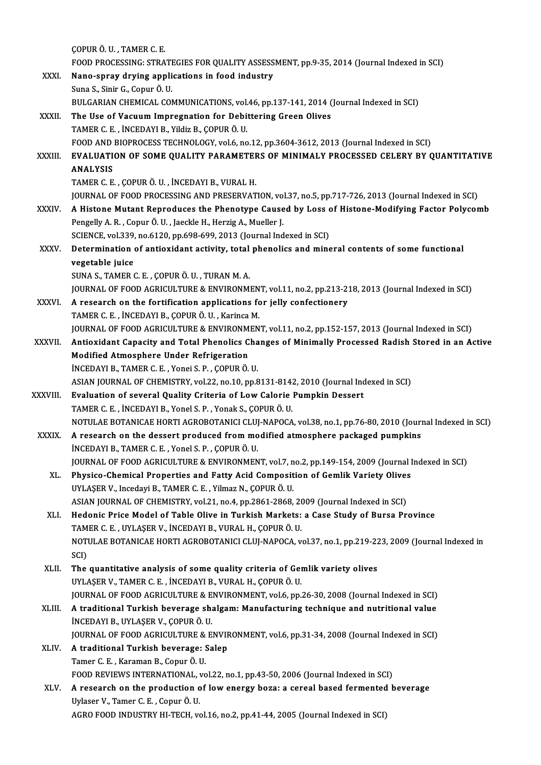|               | ÇOPUR Ö. U., TAMER C. E.                                                                                                                        |
|---------------|-------------------------------------------------------------------------------------------------------------------------------------------------|
|               | FOOD PROCESSING: STRATEGIES FOR QUALITY ASSESSMENT, pp.9-35, 2014 (Journal Indexed in SCI)                                                      |
| XXXI.         | Nano-spray drying applications in food industry                                                                                                 |
|               | Suna S., Sinir G., Copur Ö. U.                                                                                                                  |
|               | BULGARIAN CHEMICAL COMMUNICATIONS, vol.46, pp.137-141, 2014 (Journal Indexed in SCI)                                                            |
| XXXII.        | The Use of Vacuum Impregnation for Debittering Green Olives                                                                                     |
|               | TAMER C. E., İNCEDAYI B., Yildiz B., ÇOPUR Ö. U.                                                                                                |
|               | FOOD AND BIOPROCESS TECHNOLOGY, vol.6, no.12, pp.3604-3612, 2013 (Journal Indexed in SCI)                                                       |
| <b>XXXIII</b> | EVALUATION OF SOME QUALITY PARAMETERS OF MINIMALY PROCESSED CELERY BY QUANTITATIVE                                                              |
|               | <b>ANALYSIS</b>                                                                                                                                 |
|               | TAMER C. E., ÇOPUR Ö. U., İNCEDAYI B., VURAL H.                                                                                                 |
|               | JOURNAL OF FOOD PROCESSING AND PRESERVATION, vol.37, no.5, pp.717-726, 2013 (Journal Indexed in SCI)                                            |
| <b>XXXIV</b>  | A Histone Mutant Reproduces the Phenotype Caused by Loss of Histone-Modifying Factor Polycomb                                                   |
|               | Pengelly A. R., Copur Ö. U., Jaeckle H., Herzig A., Mueller J.                                                                                  |
|               | SCIENCE, vol.339, no.6120, pp.698-699, 2013 (Journal Indexed in SCI)                                                                            |
| XXXV.         | Determination of antioxidant activity, total phenolics and mineral contents of some functional                                                  |
|               | vegetable juice                                                                                                                                 |
|               | SUNA S., TAMER C. E., ÇOPUR Ö. U., TURAN M. A.                                                                                                  |
|               | JOURNAL OF FOOD AGRICULTURE & ENVIRONMENT, vol.11, no.2, pp.213-218, 2013 (Journal Indexed in SCI)                                              |
| XXXVI.        | A research on the fortification applications for jelly confectionery                                                                            |
|               | TAMER C. E., İNCEDAYI B., ÇOPUR Ö. U., Karinca M.                                                                                               |
|               | JOURNAL OF FOOD AGRICULTURE & ENVIRONMENT, vol.11, no.2, pp.152-157, 2013 (Journal Indexed in SCI)                                              |
| XXXVII.       | Antioxidant Capacity and Total Phenolics Changes of Minimally Processed Radish Stored in an Active                                              |
|               | Modified Atmosphere Under Refrigeration                                                                                                         |
|               | INCEDAYI B., TAMER C. E., Yonei S. P., COPUR Ö. U.                                                                                              |
|               | ASIAN JOURNAL OF CHEMISTRY, vol.22, no.10, pp.8131-8142, 2010 (Journal Indexed in SCI)                                                          |
| XXXVIII.      | Evaluation of several Quality Criteria of Low Calorie Pumpkin Dessert                                                                           |
|               | TAMER C. E., İNCEDAYI B., Yonel S. P., Yonak S., ÇOPUR Ö. U.                                                                                    |
|               | NOTULAE BOTANICAE HORTI AGROBOTANICI CLUJ-NAPOCA, vol.38, no.1, pp.76-80, 2010 (Journal Indexed in SCI)                                         |
| <b>XXXIX</b>  | A research on the dessert produced from modified atmosphere packaged pumpkins                                                                   |
|               | INCEDAYI B., TAMER C. E., Yonel S. P., COPUR Ö. U.                                                                                              |
|               | JOURNAL OF FOOD AGRICULTURE & ENVIRONMENT, vol.7, no.2, pp.149-154, 2009 (Journal Indexed in SCI)                                               |
| XL.           | Physico-Chemical Properties and Fatty Acid Composition of Gemlik Variety Olives<br>UYLAŞER V., Incedayi B., TAMER C. E., Yilmaz N., ÇOPUR Ö. U. |
|               | ASIAN JOURNAL OF CHEMISTRY, vol.21, no.4, pp.2861-2868, 2009 (Journal Indexed in SCI)                                                           |
| XLI.          | Hedonic Price Model of Table Olive in Turkish Markets: a Case Study of Bursa Province                                                           |
|               | TAMER C. E., UYLAŞER V., İNCEDAYI B., VURAL H., ÇOPUR Ö. U.                                                                                     |
|               | NOTULAE BOTANICAE HORTI AGROBOTANICI CLUJ-NAPOCA, vol.37, no.1, pp.219-223, 2009 (Journal Indexed in                                            |
|               | SCI)                                                                                                                                            |
| XLII.         | The quantitative analysis of some quality criteria of Gemlik variety olives                                                                     |
|               | UYLAŞER V., TAMER C. E., İNCEDAYI B., VURAL H., ÇOPUR Ö. U.                                                                                     |
|               | JOURNAL OF FOOD AGRICULTURE & ENVIRONMENT, vol.6, pp.26-30, 2008 (Journal Indexed in SCI)                                                       |
| XLIII.        | A traditional Turkish beverage shalgam: Manufacturing technique and nutritional value                                                           |
|               | INCEDAYI B., UYLAŞER V., ÇOPUR Ö. U.                                                                                                            |
|               | JOURNAL OF FOOD AGRICULTURE & ENVIRONMENT, vol.6, pp.31-34, 2008 (Journal Indexed in SCI)                                                       |
| XLIV.         | A traditional Turkish beverage: Salep                                                                                                           |
|               | Tamer C. E., Karaman B., Copur Ö. U.                                                                                                            |
|               | FOOD REVIEWS INTERNATIONAL, vol.22, no.1, pp.43-50, 2006 (Journal Indexed in SCI)                                                               |
| XLV.          | A research on the production of low energy boza: a cereal based fermented beverage                                                              |
|               | Uylaser V., Tamer C. E., Copur Ö. U.                                                                                                            |
|               | AGRO FOOD INDUSTRY HI-TECH, vol.16, no.2, pp.41-44, 2005 (Journal Indexed in SCI)                                                               |
|               |                                                                                                                                                 |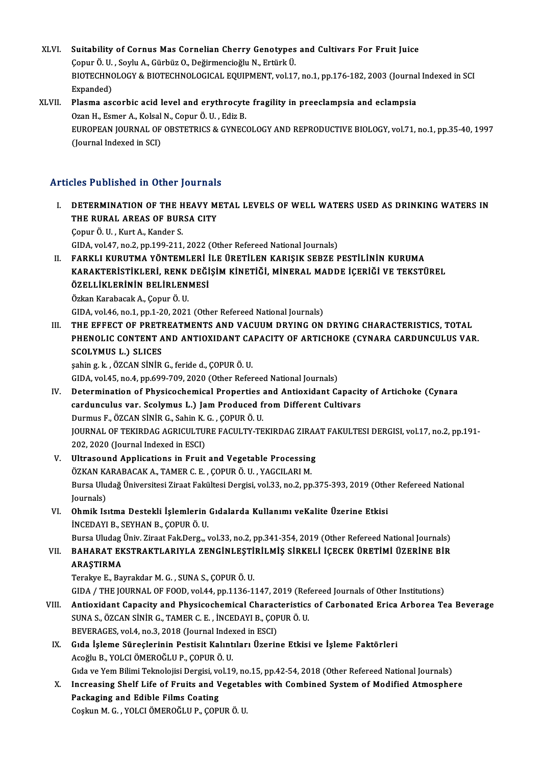- XLVI. Suitability of Cornus Mas Cornelian Cherry Genotypes and Cultivars For Fruit Juice<br>Conus Ö. U. Saylu A. Cürbüz O. Değirməngiqğlu N. Extürk Ü. Suitability of Cornus Mas Cornelian Cherry Genotypes<br>Çopur Ö.U., Soylu A., Gürbüz O., Değirmencioğlu N., Ertürk Ü.<br>PIOTECHNOLOCY & PIOTECHNOLOCICAL FOUUPMENT vol 17 Suitability of Cornus Mas Cornelian Cherry Genotypes and Cultivars For Fruit Juice<br>Çopur Ö. U. , Soylu A., Gürbüz O., Değirmencioğlu N., Ertürk Ü.<br>BIOTECHNOLOGY & BIOTECHNOLOGICAL EQUIPMENT, vol.17, no.1, pp.176-182, 2003 Copur Ö. U.<br>BIOTECHNC<br>Expanded)<br>Plasma ass BIOTECHNOLOGY & BIOTECHNOLOGICAL EQUIPMENT, vol.17, no.1, pp.176-182, 2003 (Journa<br>Expanded)<br>XLVII. Plasma ascorbic acid level and erythrocyte fragility in preeclampsia and eclampsia<br>Ozan H. Esman A. Kokal N. Copur Ö. U. E
- Expanded)<br>Plasma ascorbic acid level and erythrocyte<br>Ozan H., Esmer A., Kolsal N., Copur Ö. U. , Ediz B.<br>FUROPEAN JOURNAL OF OPSTETPICS & CYNEC Plasma ascorbic acid level and erythrocyte fragility in preeclampsia and eclampsia<br>Ozan H., Esmer A., Kolsal N., Copur Ö. U. , Ediz B.<br>EUROPEAN JOURNAL OF OBSTETRICS & GYNECOLOGY AND REPRODUCTIVE BIOLOGY, vol.71, no.1, pp. Ozan H., Esmer A., Kolsal<br>EUROPEAN JOURNAL OF<br>(Journal Indexed in SCI)

# Articles Published in Other Journals

TUCLES Published in Other Journals<br>I. DETERMINATION OF THE HEAVY METAL LEVELS OF WELL WATERS USED AS DRINKING WATERS IN THE RURAL AREAS OF BURSA CITY<br>THE RURAL AREAS OF BURSA CITY<br>Conur O H - Kurt A, Karder S **DETERMINATION OF THE H<br>THE RURAL AREAS OF BUR<br>Çopur Ö.U., Kurt A., Kander S.<br>CIDA vol 47, no 2, nn 199, 211** THE RURAL AREAS OF BURSA CITY<br>Copur Ö. U. , Kurt A., Kander S.<br>GIDA, vol.47, no.2, pp.199-211, 2022 (Other Refereed National Journals)

Copur Ö. U. , Kurt A., Kander S.<br>GIDA, vol.47, no.2, pp.199-211, 2022 (Other Refereed National Journals)<br>II. FARKLI KURUTMA YÖNTEMLERİ İLE ÜRETİLEN KARIŞIK SEBZE PESTİLİNİN KURUMA<br>KARAKTERİSTİKLERİ, RENK DEĞISIM KİNETİĞI, GIDA, vol.47, no.2, pp.199-211, 2022 (Other Refereed National Journals)<br>FARKLI KURUTMA YÖNTEMLERİ İLE ÜRETİLEN KARIŞIK SEBZE PESTİLİNİN KURUMA<br>KARAKTERİSTİKLERİ, RENK DEĞİŞİM KİNETİĞİ, MİNERAL MADDE İÇERİĞİ VE TEKSTÜREL<br>ÖZ FARKLI KURUTMA YÖNTEMLERİ<br>KARAKTERİSTİKLERİ, RENK DEĞİ<br>ÖZELLİKLERİNİN BELİRLENMESİ<br>Özkən Karabasılı (Leanur Ölü KARAKTERİSTİKLERİ, RENK<br>ÖZELLİKLERİNİN BELİRLEN<br>Özkan Karabacak A., Çopur Ö. U.<br>CIDA vel46 ne 1 nn 1 20 2021 ÖZELLİKLERİNİN BELİRLENMESİ<br>Özkan Karabacak A., Çopur Ö. U.<br>GIDA, vol.46, no.1, pp.1-20, 2021 (Other Refereed National Journals)

Özkan Karabacak A., Çopur Ö. U.<br>GIDA, vol.46, no.1, pp.1-20, 2021 (Other Refereed National Journals)<br>III. THE EFFECT OF PRETREATMENTS AND VACUUM DRYING ON DRYING CHARACTERISTICS, TOTAL<br>PUENOL IC CONTENT AND ANTIOVIDANT CAR GIDA, vol46, no.1, pp.1-20, 2021 (Other Refereed National Journals)<br>THE EFFECT OF PRETREATMENTS AND VACUUM DRYING ON DRYING CHARACTERISTICS, TOTAL<br>PHENOLIC CONTENT AND ANTIOXIDANT CAPACITY OF ARTICHOKE (CYNARA CARDUNCULUS THE EFFECT OF PRETH<br>PHENOLIC CONTENT A<br>SCOLYMUS L.) SLICES<br>sabin 5 k. ÖZCAN Sinip PHENOLIC CONTENT AND ANTIOXIDANT CAPACITY OF ARTICHOKE (CYNARA CARDUNCULUS VAR.<br>SCOLYMUS L.) SLICES<br>şahin g. k. ,ÖZCAN SİNİR G., feride d., ÇOPUR Ö. U.

GIDA, vol.45, no.4, pp.699-709, 2020 (Other Refereed National Journals)

- sahin g. k. , ÖZCAN SİNİR G., feride d., ÇOPUR Ö. U.<br>GIDA, vol.45, no.4, pp.699-709, 2020 (Other Refereed National Journals)<br>IV. Determination of Physicochemical Properties and Antioxidant Capacity of Artichoke (Cynara GIDA, vol.45, no.4, pp.699-709, 2020 (Other Refereed National Journals)<br>Determination of Physicochemical Properties and Antioxidant Capacit<br>cardunculus var. Scolymus L.) Jam Produced from Different Cultivars<br>Durmus E. ÖZCA Determination of Physicochemical Properties<br>cardunculus var. Scolymus L.) Jam Produced f<br>Durmus F., ÖZCAN SİNİR G., Sahin K. G. , ÇOPUR Ö. U.<br>JOUPNAL OF TEVIPDAC ACRICULTURE FACULTV TE cardunculus var. Scolymus L.) Jam Produced from Different Cultivars<br>Durmus F., ÖZCAN SİNİR G., Sahin K. G. , ÇOPUR Ö. U.<br>JOURNAL OF TEKIRDAG AGRICULTURE FACULTY-TEKIRDAG ZIRAAT FAKULTESI DERGISI, vol.17, no.2, pp.191-<br>202. Durmus F., ÖZCAN SİNİR G., Sahin K.<br>JOURNAL OF TEKIRDAG AGRICULTU!<br>202, 2020 (Journal Indexed in ESCI)<br>Illtressund Annlisstions in Enuit JOURNAL OF TEKIRDAG AGRICULTURE FACULTY-TEKIRDAG ZIRA<br>202, 2020 (Journal Indexed in ESCI)<br>V. Ultrasound Applications in Fruit and Vegetable Processing<br> $\ddot{\text{OZYAN YADABACAY A TAMEP CE COPUD \ddot{\text{O U XACU ADIM}}}}$
- 202, 2020 (Journal Indexed in ESCI)<br>V. Ultrasound Applications in Fruit and Vegetable Processing<br>ÖZKAN KARABACAK A., TAMER C. E. , ÇOPUR Ö. U. , YAGCILARI M. Ultrasound Applications in Fruit and Vegetable Processing<br>ÖZKAN KARABACAK A., TAMER C. E. , ÇOPUR Ö. U. , YAGCILARI M.<br>Bursa Uludağ Üniversitesi Ziraat Fakültesi Dergisi, vol.33, no.2, pp.375-393, 2019 (Other Refereed Nati ÖZKAN KA<br>Bursa Ulu<br>Journals)<br>Ohmik Ja Bursa Uludağ Üniversitesi Ziraat Fakültesi Dergisi, vol.33, no.2, pp.375-393, 2019 (Othe<br>Journals)<br>VI. Ohmik Isıtma Destekli İşlemlerin Gıdalarda Kullanımı veKalite Üzerine Etkisi<br>İNCEDAYLE SEVHAN E COPUP Ö U
- Journals)<br>Ohmik Isıtma Destekli İşlemlerin<br>İNCEDAYI B., SEYHAN B., ÇOPUR Ö. U.<br>Bursa Uludas Üniy Zirast Fak Dars

İNCEDAYI B., SEYHAN B., ÇOPUR Ö. U.<br>Bursa Uludag Üniv. Ziraat Fak.Derg.,, vol.33, no.2, pp.341-354, 2019 (Other Refereed National Journals)

İNCEDAYI B., SEYHAN B., ÇOPUR Ö. U.<br>Bursa Uludag Üniv. Ziraat Fak.Derg.,, vol.33, no.2, pp.341-354, 2019 (Other Refereed National Journals)<br>VII. BAHARAT EKSTRAKTLARIYLA ZENGİNLEŞTİRİLMİŞ SİRKELİ İÇECEK ÜRETİMİ ÜZERİN Bursa Uludag<br>BAHARAT EK<br>ARAŞTIRMA<br>Terelaye E. Per BAHARAT EKSTRAKTLARIYLA ZENGİNLEŞTİ<br>ARAŞTIRMA<br>Terakye E., Bayrakdar M. G. , SUNA S., ÇOPUR Ö. U.<br>CIDA / THE JOUPMAL OF FOOD. VOL44 AP 1136 1 ARAŞTIRMA<br>Terakye E., Bayrakdar M. G. , SUNA S., ÇOPUR Ö. U.<br>GIDA / THE JOURNAL OF FOOD, vol.44, pp.1136-1147, 2019 (Refereed Journals of Other Institutions)

- Terakye E., Bayrakdar M. G. , SUNA S., ÇOPUR Ö. U.<br>GIDA / THE JOURNAL OF FOOD, vol.44, pp.1136-1147, 2019 (Refereed Journals of Other Institutions)<br>VIII. Antioxidant Capacity and Physicochemical Characteristics of Carbonat GIDA / THE JOURNAL OF FOOD, vol.44, pp.1136-1147, 2019 (Ref<br>Antioxidant Capacity and Physicochemical Characteristics<br>SUNA S., ÖZCAN SİNİR G., TAMER C. E. , İNCEDAYI B., ÇOPUR Ö. U.<br>PEVERACES. vol.4, po.2, 2019 (Journal Ind Antioxidant Capacity and Physicochemical Charact<br>SUNA S., ÖZCAN SİNİR G., TAMER C. E. , İNCEDAYI B., ÇOP<br>BEVERAGES, vol.4, no.3, 2018 (Journal Indexed in ESCI)<br>Cıda İslama Sünaslarinin Bastisit Kalıntıları Üzerin BEVERAGES, vol.4, no.3, 2018 (Journal Indexed in ESCI)
- SUNA S., ÖZCAN SİNİR G., TAMER C. E. , İNCEDAYI B., ÇOPUR Ö. U.<br>BEVERAGES, vol.4, no.3, 2018 (Journal Indexed in ESCI)<br>IX. Gıda İşleme Süreçlerinin Pestisit Kalıntıları Üzerine Etkisi ve İşleme Faktörleri<br>Acoğlu B., YO

Gıda ve Yem Bilimi Teknolojisi Dergisi, vol.19, no.15, pp.42-54, 2018 (Other Refereed National Journals)

Acoğlu B., YOLCI ÖMEROĞLU P., ÇOPUR Ö. U.<br>Gıda ve Yem Bilimi Teknolojisi Dergisi, vol.19, no.15, pp.42-54, 2018 (Other Refereed National Journals)<br>X. Increasing Shelf Life of Fruits and Vegetables with Combined System Gıda ve Yem Bilimi Teknolojisi Dergisi, vo<br>Increasing Shelf Life of Fruits and V<br>Packaging and Edible Films Coating<br>Coakin M.C., VOLGI ÖMEROĞI U.R. COPI Increasing Shelf Life of Fruits and Vegetal<br>Packaging and Edible Films Coating<br>Coşkun M. G. , YOLCI ÖMEROĞLU P., ÇOPUR Ö. U.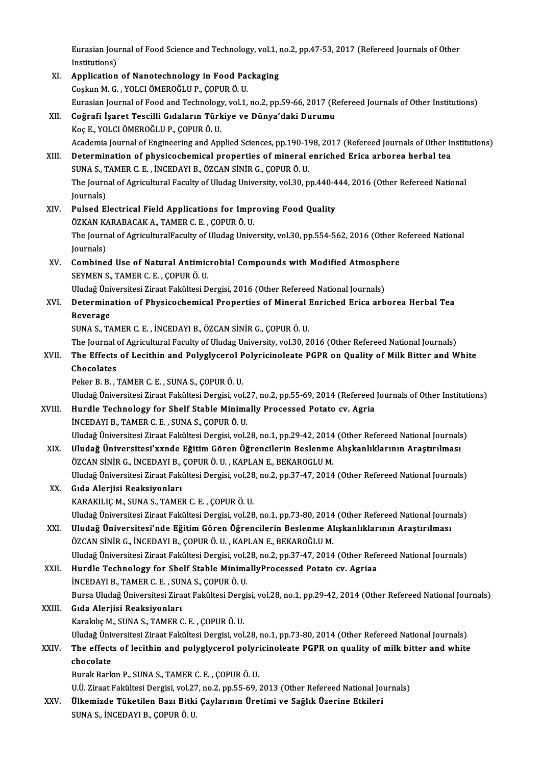Eurasian Journal of Food Science and Technology, vol.1, no.2, pp.47-53, 2017 (Refereed Journals of Other<br>Institutions) Eurasian Jou<br>Institutions)<br>Annligation Eurasian Journal of Food Science and Technology, vol.1, i<br>Institutions)<br>XI. Application of Nanotechnology in Food Packaging<br>Coslum M.C. VOLG ÖMEROČLU R. CORUR Ö. U

Institutions)<br>XI. Application of Nanotechnology in Food Packaging<br>Coskun M. G., YOLCI ÖMEROĞLU P., ÇOPUR Ö. U. Eurasian Journal of Food and Technology, vol.1, no.2, pp.59-66, 2017 (Refereed Journals of Other Institutions) XII. Coğrafi İşaret Tescilli Gıdaların Türkiye ve Dünya'daki Durumu KoçE.,YOLCIÖMEROĞLUP.,ÇOPURÖ.U. Academia Journal of Engineering and Applied Sciences, pp.190-198, 2017 (Refereed Journals of Other Institutions) Koç E., YOLCI ÖMEROĞLU P., ÇOPUR Ö. U.<br>Academia Journal of Engineering and Applied Sciences, pp.190-198, 2017 (Refereed Journals of Other In<br>XIII. Determination of physicochemical properties of mineral enriched Erica arbor Academia Journal of Engineering and Applied Sciences, pp.190-19<br>Determination of physicochemical properties of mineral<br>SUNA S., TAMER C. E. , İNCEDAYI B., ÖZCAN SİNİR G., ÇOPUR Ö. U.<br>The Journal of Agricultural Faculty of The Journal of Agricultural Faculty of Uludag University, vol.30, pp.440-444, 2016 (Other Refereed National Iournals) SUNA S., TAMER C. E., İNCEDAYI B., ÖZCAN SİNİR G., ÇOPUR Ö. U. XIV. Pulsed Electrical Field Applications for Improving Food Quality Journals)<br>Pulsed Electrical Field Applications for Impr<br>ÖZKAN KARABACAK A., TAMER C. E. , ÇOPUR Ö. U.<br>The Journal of AgriculturalEoculty of Uludeg Unive Pulsed Electrical Field Applications for Improving Food Quality<br>ÖZKAN KARABACAK A., TAMER C. E. , ÇOPUR Ö. U.<br>The Journal of AgriculturalFaculty of Uludag University, vol.30, pp.554-562, 2016 (Other Refereed National<br>Journ ÖZKAN KA<br>The Journ<br>Journals)<br>Combine The Journal of Agricultural Faculty of Uludag University, vol.30, pp.554-562, 2016 (Other R<br>Journals)<br>XV. Combined Use of Natural Antimicrobial Compounds with Modified Atmosphere<br>SEVMEN S. TAMER G. E. COPUR Ö. U Journals)<br>Combined Use of Natural Antimic<br>SEYMEN S., TAMER C. E. , ÇOPUR Ö. U.<br>Uludeğ Üniversitesi Zirast Fekültesi D Combined Use of Natural Antimicrobial Compounds with Modified Atmosph<br>SEYMEN S., TAMER C. E. , ÇOPUR Ö. U.<br>Uludağ Üniversitesi Ziraat Fakültesi Dergisi, 2016 (Other Refereed National Journals)<br>Determination of Physicoshomi SEYMEN S., TAMER C. E. , ÇOPUR Ö. U.<br>Uludağ Üniversitesi Ziraat Fakültesi Dergisi, 2016 (Other Refereed National Journals)<br>XVI. Determination of Physicochemical Properties of Mineral Enriched Erica arborea Herbal Tea<br>B Uludağ Üni<br><mark>Determina</mark><br>Beverage<br>SUNA S. T4 Determination of Physicochemical Properties of Mineral I<br>Beverage<br>SUNA S., TAMER C. E. , İNCEDAYI B., ÖZCAN SİNİR G., ÇOPUR Ö. U.<br>The Journal of Agricultural Faculty of Uludas University vol 30-2 Beverage<br>SUNA S., TAMER C. E. , İNCEDAYI B., ÖZCAN SİNİR G., ÇOPUR Ö. U.<br>The Journal of Agricultural Faculty of Uludag University, vol.30, 2016 (Other Refereed National Journals)<br>The Effects of Lesithin and Bolyglycerel Bo SUNA S., TAMER C. E. , İNCEDAYI B., ÖZCAN SİNİR G., ÇOPUR Ö. U.<br>The Journal of Agricultural Faculty of Uludag University, vol.30, 2016 (Other Refereed National Journals)<br>XVII. The Effects of Lecithin and Polyglycerol P The Journal<br>The Effects<br>Chocolates<br>Peker B. B. The Effects of Lecithin and Polyglycerol P<br>Chocolates<br>Peker B. B. , TAMER C. E. , SUNA S., ÇOPUR Ö. U.<br>Uludağ Üniversitesi Zirast Fakültesi Dergisi vel Chocolates<br>Peker B. B. , TAMER C. E. , SUNA S., ÇOPUR Ö. U.<br>Uludağ Üniversitesi Ziraat Fakültesi Dergisi, vol.27, no.2, pp.55-69, 2014 (Refereed Journals of Other Institutions)<br>Hundle Teshnology for Shelf Stable Minimelly Peker B. B., TAMER C. E., SUNA S., ÇOPUR Ö. U.<br>Uludağ Üniversitesi Ziraat Fakültesi Dergisi, vol.27, no.2, pp.55-69, 2014 (Refereed<br>XVIII. Hurdle Technology for Shelf Stable Minimally Processed Potato cv. Agria<br>INCEDAVI B. Hurdle Technology for Shelf Stable Minimally Processed Potato cv. Agria INCEDAYI B., TAMER C. E., SUNAS., ÇOPUR Ö.U. Uludağ Üniversitesi Ziraat Fakültesi Dergisi, vol.28, no.1, pp.29-42, 2014 (Other Refereed National Journals) XIX. Uludağ Üniversitesi'xxnde EğitimGören Öğrencilerin Beslenme Alışkanlıklarının Araştırılması Uludağ Üniversitesi Ziraat Fakültesi Dergisi, vol.28, no.1, pp.29-42, 2014<br>Uludağ Üniversitesi'xxnde Eğitim Gören Öğrencilerin Beslenme<br>ÖZCAN SİNİR G., İNCEDAYI B., ÇOPUR Ö. U. , KAPLAN E., BEKAROGLU M.<br>Uludağ Üniversitesi Uludağ Üniversitesi Ziraat Fakültesi Dergisi, vol.28, no.2, pp.37-47, 2014 (Other Refereed National Journals)<br>Gıda Alerjisi Reaksiyonları ÖZCAN SİNİR G., İNCEDAYI B.,<br>Uludağ Üniversitesi Ziraat Fakı<br>XX. Gıda Alerjisi Reaksiyonları KARAKILIÇM.,SUNAS.,TAMERC.E. ,ÇOPURÖ.U. Uludağ Üniversitesi Ziraat Fakültesi Dergisi, vol.28, no.1, pp.73-80, 2014 (Other Refereed National Journals) XXI. Uludağ Üniversitesi'nde EğitimGören Öğrencilerin Beslenme Alışkanlıklarının Araştırılması ÖZCAN SİNİR G., İNCEDAYI B., ÇOPUR Ö. U., KAPLAN E., BEKAROĞLU M. Uludağ Üniversitesi Ziraat Fakültesi Dergisi, vol.28, no.2, pp.37-47, 2014 (Other Refereed National Journals) XXII. Hurdle Technology for Shelf Stable MinimallyProcessed Potato cv. Agriaa Uludağ Üniversitesi Ziraat Fakültesi Dergisi, vol.2<br>Hurdle Technology for Shelf Stable Minima<br>İNCEDAYI B., TAMER C. E. , SUNA S., ÇOPUR Ö. U.<br>Bursa Uludağ Üniversitesi Ziraat Fakültesi Dergi Hurdle Technology for Shelf Stable MinimallyProcessed Potato cv. Agriaa<br>İNCEDAYI B., TAMER C. E. , SUNA S., ÇOPUR Ö. U.<br>Bursa Uludağ Üniversitesi Ziraat Fakültesi Dergisi, vol.28, no.1, pp.29-42, 2014 (Other Refereed Natio INCEDAYI B., TAMER C. E. , SUI<br>Bursa Uludağ Üniversitesi Zira<br>XXIII. Gıda Alerjisi Reaksiyonları<br><sup>Varalake M.</sup> SUNA S. TAMER G Bursa Uludağ Üniversitesi Ziraat Fakültesi Derg<br>Gıda Alerjisi Reaksiyonları<br>Karakılıç M., SUNA S., TAMER C. E. , ÇOPUR Ö. U.<br>Uludağ Üniversitesi Ziraat Fakültesi Dergisi vel Gı<mark>da Alerjisi Reaksiyonları</mark><br>Karakılıç M., SUNA S., TAMER C. E. , ÇOPUR Ö. U.<br>Uludağ Üniversitesi Ziraat Fakültesi Dergisi, vol.28, no.1, pp.73-80, 2014 (Other Refereed National Journals)<br>The effects of legithin and nalyg Karakılıç M., SUNA S., TAMER C. E. , ÇOPUR Ö. U.<br>Uludağ Üniversitesi Ziraat Fakültesi Dergisi, vol.28, no.1, pp.73-80, 2014 (Other Refereed National Journals)<br>XXIV. The effects of lecithin and polyglycerol polyricinoleate Uludağ Üniv<br>The effect<br>chocolate<br><sup>Purak Park</sup> Burak Barkın P., SUNA S., TAMER C. E., ÇOPURÖ.U. U.Ü. Ziraat Fakültesi Dergisi, vol.27, no.2, pp.55-69, 2013 (Other Refereed National Journals) Burak Barkın P., SUNA S., TAMER C. E. , ÇOPUR Ö. U.<br>U.Ü. Ziraat Fakültesi Dergisi, vol.27, no.2, pp.55-69, 2013 (Other Refereed National Journal S. Incentive Bazı Bitki Çaylarının Üretimi ve Sağlık Üzerine Etkileri U.Ü. Ziraat Fakültesi Dergisi, vol.27<br><mark>Ülkemizde Tüketilen Bazı Bitki</mark><br>SUNA S., İNCEDAYI B., ÇOPUR Ö. U.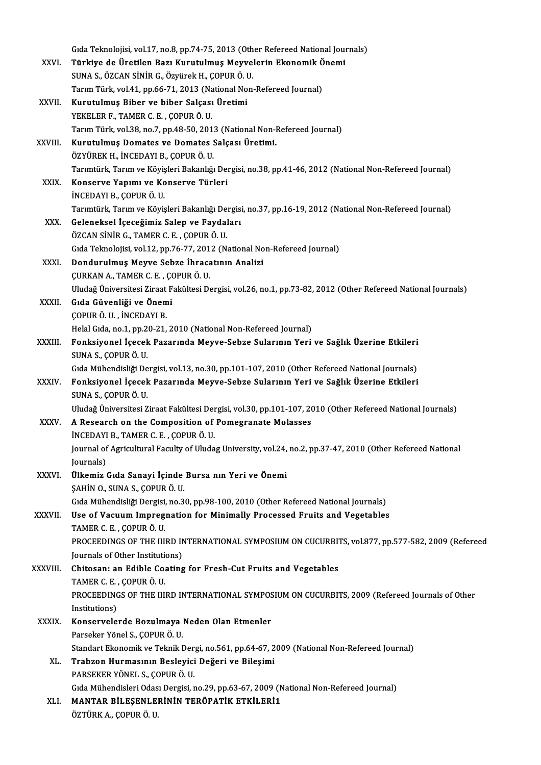|              | Gida Teknolojisi, vol.17, no.8, pp.74-75, 2013 (Other Refereed National Journals)                                                                      |
|--------------|--------------------------------------------------------------------------------------------------------------------------------------------------------|
| XXVI.        | Türkiye de Üretilen Bazı Kurutulmuş Meyvelerin Ekonomik Önemi                                                                                          |
|              | SUNA S., ÖZCAN SİNİR G., Özyürek H., ÇOPUR Ö. U.                                                                                                       |
|              | Tarım Türk, vol.41, pp.66-71, 2013 (National Non-Refereed Journal)                                                                                     |
| XXVII.       | Kurutulmuş Biber ve biber Salçası Üretimi                                                                                                              |
|              | YEKELER F., TAMER C. E., ÇOPUR Ö. U.                                                                                                                   |
|              | Tarım Türk, vol.38, no.7, pp.48-50, 2013 (National Non-Refereed Journal)                                                                               |
| XXVIII.      | Kurutulmuş Domates ve Domates Salçası Üretimi.                                                                                                         |
|              | ÖZYÜREK H., İNCEDAYI B., ÇOPUR Ö. U.<br>Tarımtürk, Tarım ve Köyişleri Bakanlığı Dergisi, no 38, pp.41-46, 2012 (National Non-Refereed Journal)         |
| XXIX.        | Konserve Yapımı ve Konserve Türleri                                                                                                                    |
|              | İNCEDAYI B., ÇOPUR Ö. U.                                                                                                                               |
|              | Tarımtürk, Tarım ve Köyişleri Bakanlığı Dergisi, no 37, pp.16-19, 2012 (National Non-Refereed Journal)                                                 |
| XXX.         | Geleneksel İçeceğimiz Salep ve Faydaları                                                                                                               |
|              | ÖZCAN SİNİR G., TAMER C. E., ÇOPUR Ö. U.                                                                                                               |
|              | Gida Teknolojisi, vol.12, pp.76-77, 2012 (National Non-Refereed Journal)                                                                               |
| XXXI.        | Dondurulmuş Meyve Sebze İhracatının Analizi                                                                                                            |
|              | ÇURKAN A., TAMER C. E., ÇOPUR Ö. U.                                                                                                                    |
|              | Uludağ Üniversitesi Ziraat Fakültesi Dergisi, vol.26, no.1, pp.73-82, 2012 (Other Refereed National Journals)                                          |
| XXXII.       | Gıda Güvenliği ve Önemi                                                                                                                                |
|              | ÇOPUR Ö. U., İNCEDAYI B.                                                                                                                               |
| XXXIII.      | Helal Gida, no.1, pp.20-21, 2010 (National Non-Refereed Journal)<br>Fonksiyonel İçecek Pazarında Meyve-Sebze Sularının Yeri ve Sağlık Üzerine Etkileri |
|              | SUNA S., ÇOPUR Ö. U.                                                                                                                                   |
|              | Gıda Mühendisliği Dergisi, vol.13, no.30, pp.101-107, 2010 (Other Refereed National Journals)                                                          |
| <b>XXXIV</b> | Fonksiyonel İçecek Pazarında Meyve-Sebze Sularının Yeri ve Sağlık Üzerine Etkileri                                                                     |
|              | SUNA S., ÇOPUR Ö. U.                                                                                                                                   |
|              | Uludağ Üniversitesi Ziraat Fakültesi Dergisi, vol.30, pp.101-107, 2010 (Other Refereed National Journals)                                              |
| XXXV         | A Research on the Composition of Pomegranate Molasses                                                                                                  |
|              | INCEDAYI B., TAMER C. E., COPUR Ö. U.                                                                                                                  |
|              | Journal of Agricultural Faculty of Uludag University, vol.24, no.2, pp.37-47, 2010 (Other Refereed National                                            |
|              | Journals)                                                                                                                                              |
| <b>XXXVI</b> | Ülkemiz Gıda Sanayi İçinde Bursa nın Yeri ve Önemi<br>ŞAHİN O., SUNA S., ÇOPUR Ö. U.                                                                   |
|              | Gıda Mühendisliği Dergisi, no.30, pp.98-100, 2010 (Other Refereed National Journals)                                                                   |
| XXXVII.      | Use of Vacuum Impregnation for Minimally Processed Fruits and Vegetables                                                                               |
|              | TAMER C. E., ÇOPUR Ö. U.                                                                                                                               |
|              | PROCEEDINGS OF THE IIIRD INTERNATIONAL SYMPOSIUM ON CUCURBITS, vol.877, pp.577-582, 2009 (Refereed                                                     |
|              | Journals of Other Institutions)                                                                                                                        |
| XXXVIII.     | Chitosan: an Edible Coating for Fresh-Cut Fruits and Vegetables                                                                                        |
|              | TAMER C E , ÇOPUR Ö U                                                                                                                                  |
|              | PROCEEDINGS OF THE IIIRD INTERNATIONAL SYMPOSIUM ON CUCURBITS, 2009 (Refereed Journals of Other                                                        |
|              | Institutions)                                                                                                                                          |
| <b>XXXIX</b> | Konservelerde Bozulmaya Neden Olan Etmenler<br>Parseker Yönel S., ÇOPUR Ö. U.                                                                          |
|              | Standart Ekonomik ve Teknik Dergi, no.561, pp.64-67, 2009 (National Non-Refereed Journal)                                                              |
| XL.          | Trabzon Hurmasının Besleyici Değeri ve Bileşimi                                                                                                        |
|              | PARSEKER YÖNEL S., ÇOPUR Ö. U.                                                                                                                         |
|              | Gıda Mühendisleri Odası Dergisi, no.29, pp.63-67, 2009 (National Non-Refereed Journal)                                                                 |
| XLI.         | MANTAR BİLEŞENLERİNİN TERÖPATİK ETKİLERİ1                                                                                                              |
|              | ÖZTÜRK A., ÇOPUR Ö. U.                                                                                                                                 |
|              |                                                                                                                                                        |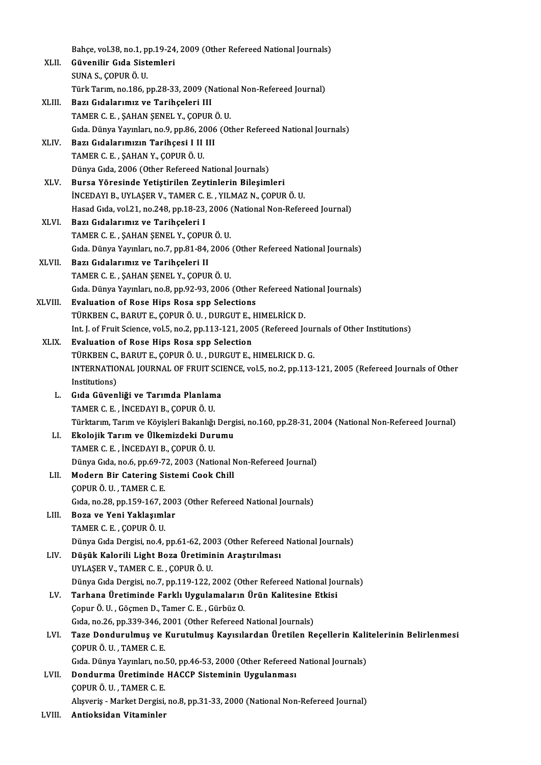|         | Bahçe, vol.38, no.1, pp.19-24, 2009 (Other Refereed National Journals)                                  |
|---------|---------------------------------------------------------------------------------------------------------|
| XLII.   | Güvenilir Gıda Sistemleri                                                                               |
|         | SUNA S., ÇOPUR Ö. U.                                                                                    |
|         | Türk Tarım, no.186, pp.28-33, 2009 (National Non-Refereed Journal)                                      |
| XLIII.  | Bazı Gıdalarımız ve Tarihçeleri III                                                                     |
|         | TAMER C. E., ŞAHAN ŞENEL Y., ÇOPUR Ö. U.                                                                |
|         | Gıda. Dünya Yayınları, no.9, pp.86, 2006 (Other Refereed National Journals)                             |
| XLIV.   | Bazı Gıdalarımızın Tarihçesi I II III                                                                   |
|         | TAMER C. E., ŞAHAN Y., ÇOPUR Ö. U.                                                                      |
|         | Dünya Gıda, 2006 (Other Refereed National Journals)                                                     |
| XLV     | Bursa Yöresinde Yetiştirilen Zeytinlerin Bileşimleri                                                    |
|         | İNCEDAYI B., UYLAŞER V., TAMER C. E., YILMAZ N., ÇOPUR Ö. U.                                            |
|         | Hasad Gida, vol.21, no.248, pp.18-23, 2006 (National Non-Refereed Journal)                              |
| XLVI.   | Bazı Gıdalarımız ve Tarihçeleri I                                                                       |
|         | TAMER C. E., ŞAHAN ŞENEL Y., ÇOPUR Ö. U.                                                                |
|         | Gida. Dünya Yayınları, no.7, pp.81-84, 2006 (Other Refereed National Journals)                          |
| XLVII.  | Bazı Gıdalarımız ve Tarihçeleri II                                                                      |
|         | TAMER C. E., ŞAHAN ŞENEL Y., ÇOPUR Ö. U.                                                                |
|         | Gıda. Dünya Yayınları, no.8, pp.92-93, 2006 (Other Refereed National Journals)                          |
| XLVIII. | Evaluation of Rose Hips Rosa spp Selections                                                             |
|         | TÜRKBEN C., BARUT E., ÇOPUR Ö. U., DURGUT E., HIMELRİCK D.                                              |
|         | Int. J. of Fruit Science, vol.5, no.2, pp.113-121, 2005 (Refereed Journals of Other Institutions)       |
| XLIX.   | Evaluation of Rose Hips Rosa spp Selection                                                              |
|         | TÜRKBEN C., BARUT E., ÇOPUR Ö. U., DURGUT E., HIMELRICK D. G.                                           |
|         | INTERNATIONAL JOURNAL OF FRUIT SCIENCE, vol.5, no.2, pp.113-121, 2005 (Refereed Journals of Other       |
|         | Institutions)                                                                                           |
| L.      | Gıda Güvenliği ve Tarımda Planlama                                                                      |
|         | TAMER C. E., İNCEDAYI B., ÇOPUR Ö. U.                                                                   |
|         | Türktarım, Tarım ve Köyişleri Bakanlığı Dergisi, no.160, pp.28-31, 2004 (National Non-Refereed Journal) |
| LI.     | Ekolojik Tarım ve Ülkemizdeki Durumu                                                                    |
|         | TAMER C. E., İNCEDAYI B., ÇOPUR Ö. U.                                                                   |
|         | Dünya Gıda, no.6, pp.69-72, 2003 (National Non-Refereed Journal)                                        |
| LII.    | Modern Bir Catering Sistemi Cook Chill                                                                  |
|         | ÇOPUR Ö. U., TAMER C. E.                                                                                |
|         | Gida, no.28, pp.159-167, 2003 (Other Refereed National Journals)                                        |
| LIII.   | Boza ve Yeni Yaklaşımlar                                                                                |
|         | TAMER C. E., ÇOPUR Ö. U.                                                                                |
|         | Dünya Gıda Dergisi, no.4, pp.61-62, 2003 (Other Refereed National Journals)                             |
| LIV.    | Düşük Kalorili Light Boza Üretiminin Araştırılması                                                      |
|         | UYLAŞER V, TAMER C E , ÇOPUR Ö U                                                                        |
|         | Dünya Gıda Dergisi, no.7, pp.119-122, 2002 (Other Refereed National Journals)                           |
| LV.     | Tarhana Üretiminde Farklı Uygulamaların Ürün Kalitesine Etkisi                                          |
|         | Çopur Ö. U., Göçmen D., Tamer C. E., Gürbüz O.                                                          |
|         | Gida, no.26, pp.339-346, 2001 (Other Refereed National Journals)                                        |
| LVI.    | Taze Dondurulmuş ve Kurutulmuş Kayısılardan Üretilen Reçellerin Kalitelerinin Belirlenmesi              |
|         | ÇOPUR Ö. U., TAMER C. E.                                                                                |
|         | Gida. Dünya Yayınları, no.50, pp.46-53, 2000 (Other Refereed National Journals)                         |
| LVII.   | Dondurma Üretiminde HACCP Sisteminin Uygulanması                                                        |
|         | ÇOPUR Ö. U., TAMER C. E.                                                                                |
|         | Alışveriş - Market Dergisi, no.8, pp.31-33, 2000 (National Non-Refereed Journal)                        |
| 1.17111 | Antiolisidan Witaminlan                                                                                 |

LVIII. Antioksidan Vitaminler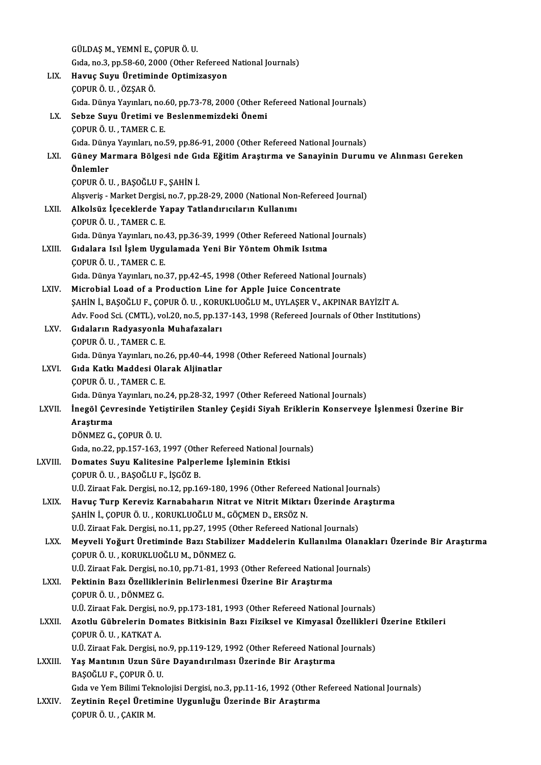|              | GÜLDAŞ M., YEMNİ E., ÇOPUR Ö. U.                                                                  |
|--------------|---------------------------------------------------------------------------------------------------|
|              | Gida, no.3, pp.58-60, 2000 (Other Refereed National Journals)                                     |
| LIX.         | Havuç Suyu Üretiminde Optimizasyon                                                                |
|              | ÇOPUR Ö. U., ÖZŞAR Ö.                                                                             |
|              | Gida. Dünya Yayınları, no.60, pp.73-78, 2000 (Other Refereed National Journals)                   |
| LX.          | Sebze Suyu Üretimi ve Beslenmemizdeki Önemi                                                       |
|              | ÇOPUR Ö. U., TAMER C. E.                                                                          |
|              | Gida. Dünya Yayınları, no.59, pp.86-91, 2000 (Other Refereed National Journals)                   |
| LXI.         | Güney Marmara Bölgesi nde Gıda Eğitim Araştırma ve Sanayinin Durumu ve Alınması Gereken           |
|              | Önlemler                                                                                          |
|              | ÇOPUR Ö. U., BAŞOĞLU F., ŞAHİN İ.                                                                 |
|              | Alışveriş - Market Dergisi, no.7, pp.28-29, 2000 (National Non-Refereed Journal)                  |
| LXII.        | Alkolsüz İçeceklerde Yapay Tatlandırıcıların Kullanımı                                            |
|              | ÇOPUR Ö. U., TAMER C. E.                                                                          |
|              | Gida. Dünya Yayınları, no.43, pp.36-39, 1999 (Other Refereed National Journals)                   |
| LXIII.       | Gıdalara Isıl İşlem Uygulamada Yeni Bir Yöntem Ohmik Isıtma                                       |
|              | ÇOPUR Ö. U., TAMER C. E.                                                                          |
|              | Gida. Dünya Yayınları, no.37, pp.42-45, 1998 (Other Refereed National Journals)                   |
| LXIV.        | Microbial Load of a Production Line for Apple Juice Concentrate                                   |
|              | ŞAHİN İ., BAŞOĞLU F., ÇOPUR Ö. U. , KORUKLUOĞLU M., UYLAŞER V., AKPINAR BAYİZİT A.                |
|              | Adv. Food Sci. (CMTL), vol.20, no.5, pp.137-143, 1998 (Refereed Journals of Other Institutions)   |
| LXV.         | Gıdaların Radyasyonla Muhafazaları                                                                |
|              | ÇOPUR Ö. U., TAMER C. E.                                                                          |
|              | Gıda. Dünya Yayınları, no.26, pp.40-44, 1998 (Other Refereed National Journals)                   |
| LXVI.        | Gıda Katkı Maddesi Olarak Aljinatlar                                                              |
|              | ÇOPUR Ö. U., TAMER C. E.                                                                          |
|              | Gida. Dünya Yayınları, no.24, pp.28-32, 1997 (Other Refereed National Journals)                   |
| LXVII.       | İnegöl Çevresinde Yetiştirilen Stanley Çeşidi Siyah Eriklerin Konserveye İşlenmesi Üzerine Bir    |
|              | Arastırma                                                                                         |
|              | DÖNMEZ G., ÇOPUR Ö. U.                                                                            |
|              | Gida, no.22, pp.157-163, 1997 (Other Refereed National Journals)                                  |
| LXVIII.      | Domates Suyu Kalitesine Palperleme İşleminin Etkisi                                               |
|              | ÇOPUR Ö. U., BAŞOĞLU F., İŞGÖZ B.                                                                 |
|              | U.Ü. Ziraat Fak. Dergisi, no.12, pp.169-180, 1996 (Other Refereed National Journals)              |
| LXIX.        | Havuç Turp Kereviz Karnabaharın Nitrat ve Nitrit Miktarı Üzerinde Araştırma                       |
|              | ŞAHİN İ., ÇOPUR Ö. U., KORUKLUOĞLU M., GÖÇMEN D., ERSÖZ N.                                        |
|              | U.Ü. Ziraat Fak. Dergisi, no.11, pp.27, 1995 (Other Refereed National Journals)                   |
| LXX.         | Meyveli Yoğurt Üretiminde Bazı Stabilizer Maddelerin Kullanılma Olanakları Üzerinde Bir Araştırma |
|              | ÇOPUR Ö. U., KORUKLUOĞLU M., DÖNMEZ G.                                                            |
|              | U.Ü. Ziraat Fak. Dergisi, no.10, pp.71-81, 1993 (Other Refereed National Journals)                |
| LXXI.        | Pektinin Bazı Özelliklerinin Belirlenmesi Üzerine Bir Araştırma                                   |
|              | ÇOPUR Ö. U., DÖNMEZ G.                                                                            |
|              | U.Ü. Ziraat Fak. Dergisi, no.9, pp.173-181, 1993 (Other Refereed National Journals)               |
| <b>LXXII</b> | Azotlu Gübrelerin Domates Bitkisinin Bazı Fiziksel ve Kimyasal Özellikleri Üzerine Etkileri       |
|              | ÇOPUR Ö U , KATKAT A                                                                              |
|              | U.Ü. Ziraat Fak. Dergisi, no.9, pp.119-129, 1992 (Other Refereed National Journals)               |
| LXXIII.      | Yaş Mantının Uzun Süre Dayandırılması Üzerinde Bir Araştırma                                      |
|              | BAŞOĞLU F., ÇOPUR Ö. U.                                                                           |
|              | Gıda ve Yem Bilimi Teknolojisi Dergisi, no.3, pp.11-16, 1992 (Other Refereed National Journals)   |
| <b>LXXIV</b> | Zeytinin Reçel Üretimine Uygunluğu Üzerinde Bir Araştırma                                         |
|              | ÇOPUR Ö. U., ÇAKIR M.                                                                             |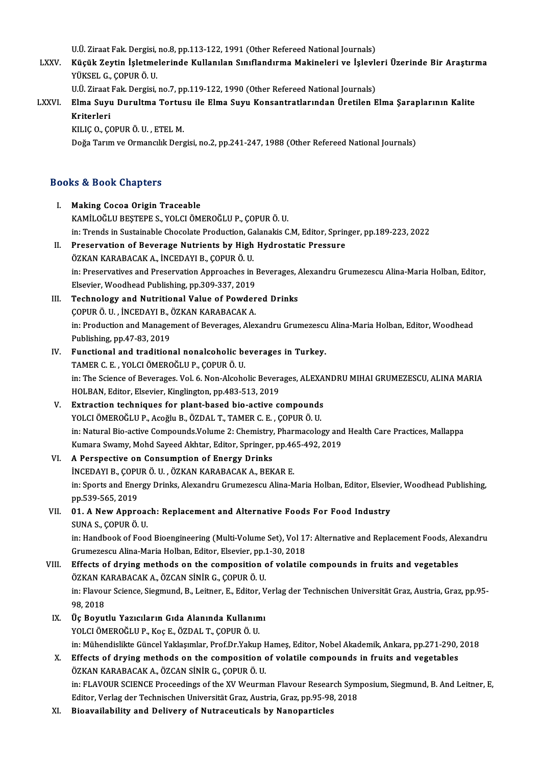U.Ü. Ziraat Fak. Dergisi, no.8, pp.113-122, 1991 (Other Refereed National Journals)

U.Ü. Ziraat Fak. Dergisi, no.8, pp.113-122, 1991 (Other Refereed National Journals)<br>LXXV. Küçük Zeytin İşletmelerinde Kullanılan Sınıflandırma Makineleri ve İşlevleri Üzerinde Bir Araştırma<br>VÜKSEL G. CORUR Ö. U YÜKSEL G., ÇOPUR Ö. U. Küçük Zeytin İşletmelerinde Kullanılan Sınıflandırma Makineleri ve İşlevle<br>YÜKSEL G., ÇOPUR Ö. U.<br>U.Ü. Ziraat Fak. Dergisi, no.7, pp.119-122, 1990 (Other Refereed National Journals)<br>Flma Suun Dunultma Tontugu ile Flma Suun

U.Ü. Ziraat Fak. Dergisi, no.7, pp.119-122, 1990 (Other Refereed National Journals)

# LXXVI. Elma Suyu Durultma Tortusu ile Elma Suyu Konsantratlarından Üretilen Elma Şaraplarının Kalite

KILIÇO.,ÇOPURÖ.U. ,ETELM.

Doğa Tarım ve Ormancılık Dergisi, no.2, pp.241-247, 1988 (Other Refereed National Journals)

# boga Tarim ve ormanciil<br>Books & Book Chapters

|       | <b>Books &amp; Book Chapters</b>                                                                                                  |
|-------|-----------------------------------------------------------------------------------------------------------------------------------|
| Ι.    | <b>Making Cocoa Origin Traceable</b>                                                                                              |
|       | KAMİLOĞLU BEŞTEPE S., YOLCI ÖMEROĞLU P., ÇOPUR Ö. U.                                                                              |
|       | in: Trends in Sustainable Chocolate Production, Galanakis C.M, Editor, Springer, pp.189-223, 2022                                 |
| П.    | Preservation of Beverage Nutrients by High Hydrostatic Pressure                                                                   |
|       | ÖZKAN KARABACAK A., İNCEDAYI B., ÇOPUR Ö. U.                                                                                      |
|       | in: Preservatives and Preservation Approaches in Beverages, Alexandru Grumezescu Alina-Maria Holban, Editor,                      |
|       | Elsevier, Woodhead Publishing, pp.309-337, 2019                                                                                   |
| III.  | Technology and Nutritional Value of Powdered Drinks                                                                               |
|       | ÇOPUR Ö. U., İNCEDAYI B., ÖZKAN KARABACAK A.                                                                                      |
|       | in: Production and Management of Beverages, Alexandru Grumezescu Alina-Maria Holban, Editor, Woodhead                             |
|       | Publishing, pp 47-83, 2019                                                                                                        |
| IV.   | Functional and traditional nonalcoholic beverages in Turkey.                                                                      |
|       | TAMER C. E., YOLCI ÖMEROĞLU P., ÇOPUR Ö. U.                                                                                       |
|       | in: The Science of Beverages. Vol. 6. Non-Alcoholic Beverages, ALEXANDRU MIHAI GRUMEZESCU, ALINA MARIA                            |
|       | HOLBAN, Editor, Elsevier, Kinglington, pp.483-513, 2019                                                                           |
| V.    | Extraction techniques for plant-based bio-active compounds                                                                        |
|       | YOLCI ÖMEROĞLU P., Acoğlu B., ÖZDAL T., TAMER C. E., ÇOPUR Ö. U.                                                                  |
|       | in: Natural Bio-active Compounds Volume 2: Chemistry, Pharmacology and Health Care Practices, Mallappa                            |
|       | Kumara Swamy, Mohd Sayeed Akhtar, Editor, Springer, pp.465-492, 2019                                                              |
| VI.   | A Perspective on Consumption of Energy Drinks                                                                                     |
|       | İNCEDAYI B., ÇOPUR Ö. U., ÖZKAN KARABACAK A., BEKAR E.                                                                            |
|       | in: Sports and Energy Drinks, Alexandru Grumezescu Alina-Maria Holban, Editor, Elsevier, Woodhead Publishing,<br>pp 539-565, 2019 |
| VII.  | 01. A New Approach: Replacement and Alternative Foods For Food Industry                                                           |
|       | SUNA S., ÇOPUR Ö. U.                                                                                                              |
|       | in: Handbook of Food Bioengineering (Multi-Volume Set), Vol 17: Alternative and Replacement Foods, Alexandru                      |
|       | Grumezescu Alina-Maria Holban, Editor, Elsevier, pp.1-30, 2018                                                                    |
| VIII. | Effects of drying methods on the composition of volatile compounds in fruits and vegetables                                       |
|       | ÖZKAN KARABACAK A., ÖZCAN SİNİR G., ÇOPUR Ö. U.                                                                                   |
|       | in: Flavour Science, Siegmund, B., Leitner, E., Editor, Verlag der Technischen Universität Graz, Austria, Graz, pp.95-            |
|       | 98,2018                                                                                                                           |
| IX.   | Üç Boyutlu Yazıcıların Gıda Alanında Kullanımı                                                                                    |
|       | YOLCI ÖMEROĞLU P., Koç E., ÖZDAL T., ÇOPUR Ö. U.                                                                                  |
|       | in: Mühendislikte Güncel Yaklaşımlar, Prof.Dr.Yakup Hameş, Editor, Nobel Akademik, Ankara, pp.271-290, 2018                       |
| Х.    | Effects of drying methods on the composition of volatile compounds in fruits and vegetables                                       |
|       | ÖZKAN KARABACAK A., ÖZCAN SİNİR G., ÇOPUR Ö. U.                                                                                   |
|       | in: FLAVOUR SCIENCE Proceedings of the XV Weurman Flavour Research Symposium, Siegmund, B. And Leitner, E,                        |
|       | Editor, Verlag der Technischen Universität Graz, Austria, Graz, pp.95-98, 2018                                                    |
| XI.   | Bioavailability and Delivery of Nutraceuticals by Nanoparticles                                                                   |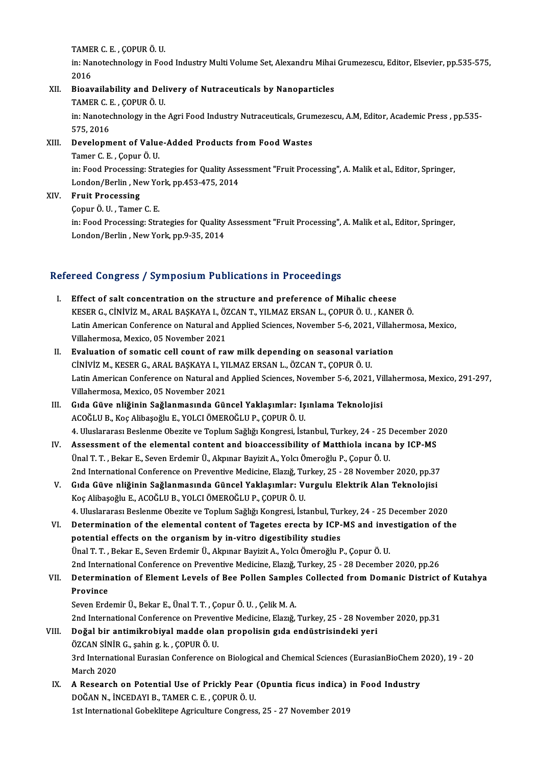TAMER C. E. , ÇOPUR Ö. U.<br>İn: Nanatashnelegy in Fee

in: Nanotechnology in Food Industry Multi Volume Set, Alexandru Mihai Grumezescu, Editor, Elsevier, pp.535-575,<br>2016 TAME<br>in: Nai<br>2016<br>Bioar in: Nanotechnology in Food Industry Multi Volume Set, Alexandru Mihai<br>2016<br>XII. Bioavailability and Delivery of Nutraceuticals by Nanoparticles<br>TAMER C E COPUR Ö U

# 2016<br>Bioavailability and Del:<br>TAMER C. E. , ÇOPUR Ö. U.<br>in: Nanatashnelegy in the

TAMER C. E., ÇOPUR Ö. U.

in: Nanotechnology in the Agri Food Industry Nutraceuticals, Grumezescu, A.M, Editor, Academic Press , pp.535-<br>575, 2016 in: Nanotechnology in the Agri Food Industry Nutraceuticals, Grun<br>575, 2016<br>XIII. Development of Value-Added Products from Food Wastes<br>Tamar C. E. Capur Ö. II

# 575, 2016<br>Development of Value<br>Tamer C. E. , Çopur Ö. U.<br>in: Eood Processing: Stre Tamer C. E. , Çopur Ö. U.<br>in: Food Processing: Strategies for Quality Assessment "Fruit Processing", A. Malik et al., Editor, Springer, Tamer C. E. , Çopur Ö. U.<br>in: Food Processing: Strategies for Quality Ass<br>London/Berlin , New York, pp.453-475, 2014<br>Erwit Processing London/Berlin , New Yo<br>Fruit Processing<br>Çopur Ö. U. , Tamer C. E.<br>in: Eood Processing: Stra

# XIV. Fruit Processing<br>Copur Ö. U., Tamer C. E.

Fruit Processing<br>Çopur Ö. U. , Tamer C. E.<br>in: Food Processing: Strategies for Quality Assessment "Fruit Processing", A. Malik et al., Editor, Springer,<br>Landan (Barlin, Navy Yark, pp.9, 25, 2014 Çopur Ö. U. , Tamer C. E.<br>in: Food Processing: Strategies for Quality<br>London/Berlin , New York, pp.9-35, 2014

# London/Berlin , New York, pp.9-35, 2014<br>Refereed Congress / Symposium Publications in Proceedings

- I. Effect of salt concentration on the structure and preference of Mihalic cheese KESER G., CİNİVİZ M., ARAL BAŞKAYA I., ÖZCANT., YILMAZ ERSAN L., ÇOPUR Ö. U., KANER Ö.<br>KESER G., CİNİVİZ M., ARAL BAŞKAYA I., ÖZCAN T., YILMAZ ERSAN L., ÇOPUR Ö. U., KANER Ö.<br>Latin American Conference on Natural and Annlie Latin American Conference on Natural and Applied Sciences, November 5-6, 2021, Villahermosa, Mexico,<br>Villahermosa, Mexico, 05 November 2021 KESER G., CİNİVİZ M., ARAL BAŞKAYA I., ÖZ<br>Latin American Conference on Natural and<br>Villahermosa, Mexico, 05 November 2021<br>Evaluation of somatis sell seunt of rel Latin American Conference on Natural and Applied Sciences, November 5-6, 2021, Villah<br>Villahermosa, Mexico, 05 November 2021<br>II. Evaluation of somatic cell count of raw milk depending on seasonal variation<br>Ciniviz M. KESER
- Villahermosa, Mexico, 05 November 2021<br><mark>Evaluation of somatic cell count of raw milk depending on seasonal vari</mark>.<br>CİNİVİZ M., KESER G., ARAL BAŞKAYA I., YILMAZ ERSAN L., ÖZCAN T., ÇOPUR Ö. U.<br>Latin American Conference on N Evaluation of somatic cell count of raw milk depending on seasonal variation<br>CiNiViZ M., KESER G., ARAL BAŞKAYA I., YILMAZ ERSAN L., ÖZCAN T., ÇOPUR Ö. U.<br>Latin American Conference on Natural and Applied Sciences, November CINIVIZ M., KESER G., ARAL BAŞKAYA I., YI<br>Latin American Conference on Natural and<br>Villahermosa, Mexico, 05 November 2021<br>Cide Güye pliğinin Sağlanmasında Güy Latin American Conference on Natural and Applied Sciences, November 5-6, 2021, Vi<br>Villahermosa, Mexico, 05 November 2021<br>III. Gıda Güve nliğinin Sağlanmasında Güncel Yaklaşımlar: Işınlama Teknolojisi<br>ACQĞLU B. Kos Alibasoğ
- Villahermosa, Mexico, 05 November 2021<br>III. Gıda Güve nliğinin Sağlanmasında Güncel Yaklaşımlar: Işınlama Teknolojisi<br>ACOĞLU B., Koç Alibaşoğlu E., YOLCI ÖMEROĞLU P., ÇOPUR Ö. U. Gıda Güve nliğinin Sağlanmasında Güncel Yaklaşımlar: Işınlama Teknolojisi<br>ACOĞLU B., Koç Alibaşoğlu E., YOLCI ÖMEROĞLU P., ÇOPUR Ö. U.<br>4. Uluslararası Beslenme Obezite ve Toplum Sağlığı Kongresi, İstanbul, Turkey, 24 - 25 ACOĞLU B., Koç Alibaşoğlu E., YOLCI ÖMEROĞLU P., ÇOPUR Ö. U.<br>1. Uluslararası Beslenme Obezite ve Toplum Sağlığı Kongresi, İstanbul, Turkey, 24 - 25 December 20<br>1. Assessment of the elemental content and bioaccessibility of
- 4. Uluslararası Beslenme Obezite ve Toplum Sağlığı Kongresi, İstanbul, Turkey, 24 25 I<br>Assessment of the elemental content and bioaccessibility of Matthiola incana<br>Ünal T. T. , Bekar E., Seven Erdemir Ü., Akpınar Bayizit IV. Assessment of the elemental content and bioaccessibility of Matthiola incana by ICP-MS<br>Ünal T. T., Bekar E., Seven Erdemir Ü., Akpınar Bayizit A., Yolcı Ömeroğlu P., Çopur Ö. U.<br>2nd International Conference on Preventi Ünal T. T. , Bekar E., Seven Erdemir Ü., Akpınar Bayizit A., Yolcı Ömeroğlu P., Çopur Ö. U.<br>2nd International Conference on Preventive Medicine, Elazığ, Turkey, 25 - 28 November 2020, pp.37<br>7. Gıda Güve nliğinin Sağlanması
- 2nd International Conference on Preventive Medicine, Elazığ, Tu<br>Gıda Güve nliğinin Sağlanmasında Güncel Yaklaşımlar: Vı<br>Koç Alibaşoğlu E., ACOĞLU B., YOLCI ÖMEROĞLU P., ÇOPUR Ö. U.<br>4. Uluslaranası Beslanma Obasita ve Tanlu Gıda Güve nliğinin Sağlanmasında Güncel Yaklaşımlar: Vurgulu Elektrik Alan Teknolojisi<br>Koç Alibaşoğlu E., ACOĞLU B., YOLCI ÖMEROĞLU P., ÇOPUR Ö. U.<br>4. Uluslararası Beslenme Obezite ve Toplum Sağlığı Kongresi, İstanbul, Tur
- Koç Alibaşoğlu E., ACOĞLU B., YOLCI ÖMEROĞLU P., ÇOPUR Ö. U.<br>4. Uluslararası Beslenme Obezite ve Toplum Sağlığı Kongresi, İstanbul, Turkey, 24 25 December 2020<br>VI. Determination of the elemental content of Tagetes erecta 4. Uluslararası Beslenme Obezite ve Toplum Sağlığı Kongresi, İstanbul, Tur<br>Determination of the elemental content of Tagetes erecta by ICP-<br>potential effects on the organism by in-vitro digestibility studies<br><sup>Ünal T. T.</sub> P</sup> Determination of the elemental content of Tagetes erecta by ICP-MS and investigation of the<br>potential effects on the organism by in-vitro digestibility studies<br>Ünal T. T. , Bekar E., Seven Erdemir Ü., Akpınar Bayizit A., Y 2nd International Conference on Preventive Medicine, Elazığ, Turkey, 25 - 28 December 2020, pp.26 Ünal T. T. , Bekar E., Seven Erdemir Ü., Akpınar Bayizit A., Yolcı Ömeroğlu P., Çopur Ö. U.<br>2nd International Conference on Preventive Medicine, Elazığ, Turkey, 25 - 28 December 2020, pp.26<br>VII. Determination of Elemen
- 2nd Intern<br>Determin<br>Province<br>Seven Erde Determination of Element Levels of Bee Pollen Sample<br>Province<br>Seven Erdemir Ü., Bekar E., Ünal T. T. , Çopur Ö. U. , Çelik M. A.<br>2nd International Conference on Preventive Medicine, Flarvă

Province<br>Seven Erdemir Ü., Bekar E., Ünal T. T. , Çopur Ö. U. , Çelik M. A.<br>2nd International Conference on Preventive Medicine, Elazığ, Turkey, 25 - 28 November 2020, pp.31<br>Değal bir antimikrabiyal madde alan propolisin g Seven Erdemir Ü., Bekar E., Ünal T. T. , Çopur Ö. U. , Çelik M. A.<br>2nd International Conference on Preventive Medicine, Elazığ, Turkey, 25 - 28 Noven<br>VIII. Doğal bir antimikrobiyal madde olan propolisin gıda endüstrisi

- 2nd International Conference on Preven<br>Doğal bir antimikrobiyal madde ola<br>ÖZCAN SİNİR G., şahin g.k., ÇOPUR Ö.U.<br><sup>2nd International Eurosian Conference o</sup> Doğal bir antimikrobiyal madde olan propolisin gıda endüstrisindeki yeri<br>ÖZCAN SİNİR G., şahin g. k. , ÇOPUR Ö. U.<br>3rd International Eurasian Conference on Biological and Chemical Sciences (EurasianBioChem 2020), 19 - 20<br>M ÖZCAN SİNİR<br>3rd Internati<br>March 2020<br>A Pessensh 3rd International Eurasian Conference on Biological and Chemical Sciences (EurasianBioChem :<br>March 2020<br>IX. A Research on Potential Use of Prickly Pear (Opuntia ficus indica) in Food Industry<br>DOČAN N. INCEDAVI B. TAMER C.
- March 2020<br>A Research on Potential Use of Prickly Pear<br>DOĞAN N., İNCEDAYI B., TAMER C. E. , ÇOPUR Ö. U.<br>1st International Cobel·litane Agriculture Congress A Research on Potential Use of Prickly Pear (Opuntia ficus indica)<br>DOĞAN N., İNCEDAYI B., TAMER C. E. , ÇOPUR Ö. U.<br>1st International Gobeklitepe Agriculture Congress, 25 - 27 November 2019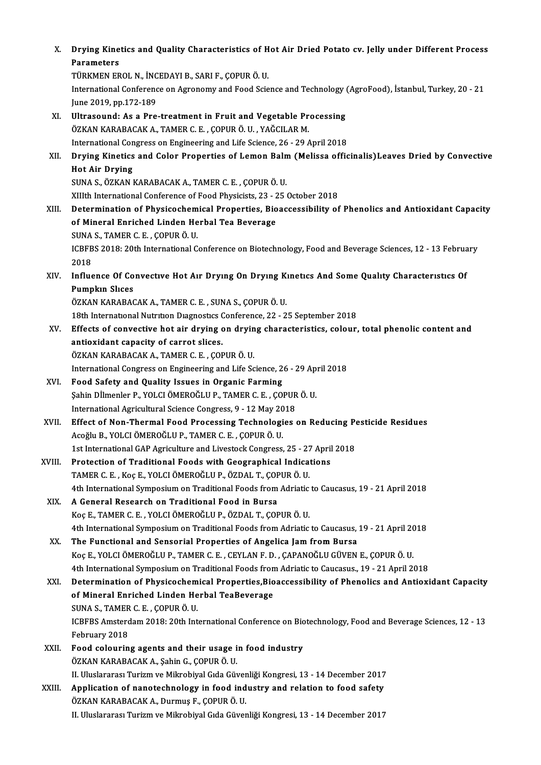| Х.     | Drying Kinetics and Quality Characteristics of Hot Air Dried Potato cv. Jelly under Different Process<br><b>Parameters</b>                                       |
|--------|------------------------------------------------------------------------------------------------------------------------------------------------------------------|
|        | TÜRKMEN EROL N., İNCEDAYI B., SARI F., ÇOPUR Ö. U.<br>International Conference on Agronomy and Food Science and Technology (AgroFood), İstanbul, Turkey, 20 - 21 |
|        | June 2019, pp 172-189                                                                                                                                            |
| XI.    | Ultrasound: As a Pre-treatment in Fruit and Vegetable Processing                                                                                                 |
|        | ÖZKAN KARABACAK A., TAMER C. E., ÇOPUR Ö. U., YAĞCILAR M.                                                                                                        |
|        | International Congress on Engineering and Life Science, 26 - 29 April 2018                                                                                       |
| XII.   | Drying Kinetics and Color Properties of Lemon Balm (Melissa officinalis) Leaves Dried by Convective                                                              |
|        | <b>Hot Air Drying</b>                                                                                                                                            |
|        | SUNA S., ÖZKAN KARABACAK A., TAMER C. E., ÇOPUR Ö. U.                                                                                                            |
|        | XIIIth International Conference of Food Physicists, 23 - 25 October 2018                                                                                         |
| XIII.  | Determination of Physicochemical Properties, Bioaccessibility of Phenolics and Antioxidant Capacity                                                              |
|        | of Mineral Enriched Linden Herbal Tea Beverage                                                                                                                   |
|        | SUNA S., TAMER C. E., ÇOPUR Ö. U.                                                                                                                                |
|        | ICBFBS 2018: 20th International Conference on Biotechnology, Food and Beverage Sciences, 12 - 13 February<br>2018                                                |
| XIV.   | Influence Of Convective Hot Air Drying On Drying Kinetics And Some Quality Characteristics Of                                                                    |
|        | <b>Pumpkin Slices</b>                                                                                                                                            |
|        | ÖZKAN KARABACAK A., TAMER C. E., SUNA S., ÇOPUR Ö. U.                                                                                                            |
|        | 18th International Nutrition Diagnostics Conference, 22 - 25 September 2018                                                                                      |
| XV.    | Effects of convective hot air drying on drying characteristics, colour, total phenolic content and                                                               |
|        | antioxidant capacity of carrot slices.                                                                                                                           |
|        | ÖZKAN KARABACAK A., TAMER C. E., ÇOPUR Ö. U.                                                                                                                     |
|        | International Congress on Engineering and Life Science, 26 - 29 April 2018                                                                                       |
| XVI.   | Food Safety and Quality Issues in Organic Farming                                                                                                                |
|        | Şahin Dİlmenler P., YOLCI ÖMEROĞLU P., TAMER C. E., ÇOPUR Ö. U.                                                                                                  |
|        | International Agricultural Science Congress, 9 - 12 May 2018                                                                                                     |
| XVII.  | Effect of Non-Thermal Food Processing Technologies on Reducing Pesticide Residues                                                                                |
|        | Acoğlu B., YOLCI ÖMEROĞLU P., TAMER C. E., COPUR Ö. U.                                                                                                           |
| XVIII. | 1st International GAP Agriculture and Livestock Congress, 25 - 27 April 2018<br>Protection of Traditional Foods with Geographical Indications                    |
|        | TAMER C. E., Koç E., YOLCI ÖMEROĞLU P., ÖZDAL T., ÇOPUR Ö. U.                                                                                                    |
|        | 4th International Symposium on Traditional Foods from Adriatic to Caucasus, 19 - 21 April 2018                                                                   |
| XIX.   | A General Research on Traditional Food in Bursa                                                                                                                  |
|        | Koç E., TAMER C. E., YOLCI ÖMEROĞLU P., ÖZDAL T., ÇOPUR Ö. U.                                                                                                    |
|        | 4th International Symposium on Traditional Foods from Adriatic to Caucasus, 19 - 21 April 2018                                                                   |
| XX.    | The Functional and Sensorial Properties of Angelica Jam from Bursa                                                                                               |
|        | Koç E., YOLCI ÖMEROĞLU P., TAMER C. E., CEYLAN F. D., ÇAPANOĞLU GÜVEN E., ÇOPUR Ö. U.                                                                            |
|        | 4th International Symposium on Traditional Foods from Adriatic to Caucasus., 19 - 21 April 2018                                                                  |
| XXI.   | Determination of Physicochemical Properties, Bioaccessibility of Phenolics and Antioxidant Capacity                                                              |
|        | of Mineral Enriched Linden Herbal TeaBeverage                                                                                                                    |
|        | SUNA S., TAMER C. E., COPUR Ö. U.                                                                                                                                |
|        | ICBFBS Amsterdam 2018: 20th International Conference on Biotechnology, Food and Beverage Sciences, 12 - 13                                                       |
|        | February 2018                                                                                                                                                    |
| XXII.  | Food colouring agents and their usage in food industry                                                                                                           |
|        | ÖZKAN KARABACAK A., Şahin G., ÇOPUR Ö. U.                                                                                                                        |
|        | II. Uluslararası Turizm ve Mikrobiyal Gıda Güvenliği Kongresi, 13 - 14 December 2017                                                                             |
| XXIII. | Application of nanotechnology in food industry and relation to food safety                                                                                       |
|        | ÖZKAN KARABACAK A., Durmuş F., ÇOPUR Ö. U.                                                                                                                       |
|        | II. Uluslararası Turizm ve Mikrobiyal Gıda Güvenliği Kongresi, 13 - 14 December 2017                                                                             |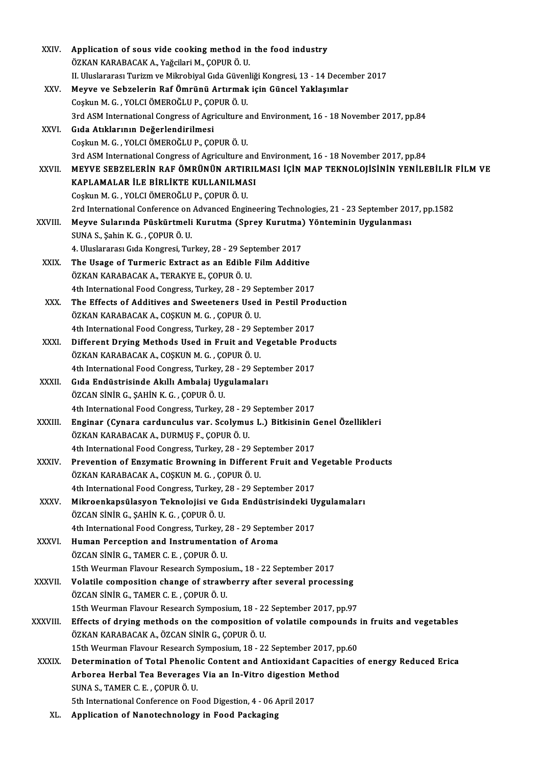| XXIV.         | Application of sous vide cooking method in the food industry                                       |
|---------------|----------------------------------------------------------------------------------------------------|
|               | ÖZKAN KARABACAK A., Yağcilari M., ÇOPUR Ö. U.                                                      |
|               | II. Uluslararası Turizm ve Mikrobiyal Gıda Güvenliği Kongresi, 13 - 14 December 2017               |
| XXV.          | Meyve ve Sebzelerin Raf Ömrünü Artırmak için Güncel Yaklaşımlar                                    |
|               | Coşkun M. G., YOLCI ÖMEROĞLU P., ÇOPUR Ö. U.                                                       |
|               | 3rd ASM International Congress of Agriculture and Environment, 16 - 18 November 2017, pp.84        |
| XXVI.         | Gıda Atıklarının Değerlendirilmesi                                                                 |
|               | Coşkun M. G., YOLCI ÖMEROĞLU P., ÇOPUR Ö. U.                                                       |
|               | 3rd ASM International Congress of Agriculture and Environment, 16 - 18 November 2017, pp.84        |
| <b>XXVII</b>  | MEYVE SEBZELERİN RAF ÖMRÜNÜN ARTIRILMASI İÇİN MAP TEKNOLOJİSİNİN YENİLEBİLİR FİLM VE               |
|               | KAPLAMALAR İLE BİRLİKTE KULLANILMASI                                                               |
|               | Coşkun M. G., YOLCI ÖMEROĞLU P., ÇOPUR Ö. U.                                                       |
|               | 2rd International Conference on Advanced Engineering Technologies, 21 - 23 September 2017, pp.1582 |
| XXVIII.       | Meyve Sularında Püskürtmeli Kurutma (Sprey Kurutma) Yönteminin Uygulanması                         |
|               | SUNA S., Şahin K. G., ÇOPUR Ö. U.                                                                  |
|               | 4. Uluslararası Gıda Kongresi, Turkey, 28 - 29 September 2017                                      |
| XXIX.         | The Usage of Turmeric Extract as an Edible Film Additive                                           |
|               | ÖZKAN KARABACAK A., TERAKYE E., ÇOPUR Ö. U.                                                        |
|               | 4th International Food Congress, Turkey, 28 - 29 September 2017                                    |
| XXX.          | The Effects of Additives and Sweeteners Used in Pestil Production                                  |
|               | ÖZKAN KARABACAK A., COŞKUN M. G. , ÇOPUR Ö. U.                                                     |
|               | 4th International Food Congress, Turkey, 28 - 29 September 2017                                    |
| XXXI.         | Different Drying Methods Used in Fruit and Vegetable Products                                      |
|               | ÖZKAN KARABACAK A., COŞKUN M. G. , ÇOPUR Ö. U.                                                     |
|               | 4th International Food Congress, Turkey, 28 - 29 September 2017                                    |
| XXXII.        | Gıda Endüstrisinde Akıllı Ambalaj Uygulamaları                                                     |
|               | ÖZCAN SİNİR G., ŞAHİN K. G., ÇOPUR Ö. U.                                                           |
|               | 4th International Food Congress, Turkey, 28 - 29 September 2017                                    |
| XXXIII.       | Enginar (Cynara cardunculus var. Scolymus L.) Bitkisinin Genel Özellikleri                         |
|               | ÖZKAN KARABACAK A., DURMUŞ F., ÇOPUR Ö. U.                                                         |
|               | 4th International Food Congress, Turkey, 28 - 29 September 2017                                    |
| XXXIV.        | Prevention of Enzymatic Browning in Different Fruit and Vegetable Products                         |
|               | ÖZKAN KARABACAK A., COŞKUN M. G., ÇOPUR Ö. U.                                                      |
|               | 4th International Food Congress, Turkey, 28 - 29 September 2017                                    |
| XXXV.         | Mikroenkapsülasyon Teknolojisi ve Gıda Endüstrisindeki Uygulamaları                                |
|               | ÖZCAN SİNİR G., ŞAHİN K. G., ÇOPUR Ö. U.                                                           |
|               | 4th International Food Congress, Turkey, 28 - 29 September 2017                                    |
| XXXVI.        | Human Perception and Instrumentation of Aroma                                                      |
|               | ÖZCAN SİNİR G., TAMER C. E., ÇOPUR Ö. U.                                                           |
|               | 15th Weurman Flavour Research Symposium., 18 - 22 September 2017                                   |
| <b>XXXVII</b> | Volatile composition change of strawberry after several processing                                 |
|               | ÖZCAN SİNİR G., TAMER C. E. , ÇOPUR Ö. U.                                                          |
|               | 15th Weurman Flavour Research Symposium, 18 - 22 September 2017, pp 97                             |
| XXXVIII.      | Effects of drying methods on the composition of volatile compounds in fruits and vegetables        |
|               | ÖZKAN KARABACAK A., ÖZCAN SİNİR G., ÇOPUR Ö. U.                                                    |
|               | 15th Weurman Flavour Research Symposium, 18 - 22 September 2017, pp.60                             |
| <b>XXXIX</b>  | Determination of Total Phenolic Content and Antioxidant Capacities of energy Reduced Erica         |
|               | Arborea Herbal Tea Beverages Via an In-Vitro digestion Method                                      |
|               | SUNA S., TAMER C. E., ÇOPUR Ö. U.                                                                  |
|               | 5th International Conference on Food Digestion, 4 - 06 April 2017                                  |
| XL.           | Application of Nanotechnology in Food Packaging                                                    |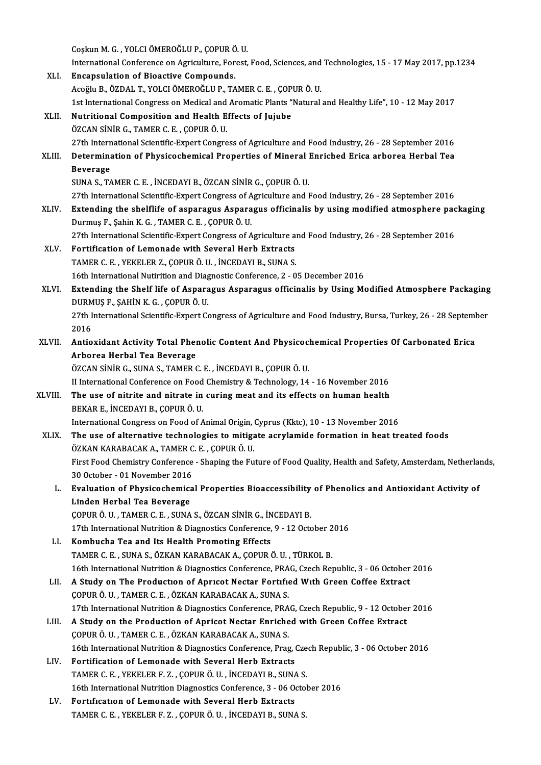CoşkunM.G. ,YOLCIÖMEROĞLUP.,ÇOPURÖ.U.

Coşkun M. G. , YOLCI ÖMEROĞLU P., ÇOPUR Ö. U.<br>International Conference on Agriculture, Forest, Food, Sciences, and Technologies, 15 - 17 May 2017, pp.1234<br>Ensensulation of Bioastive Compounds XLI. Encapsulation of Bioactive Compounds. International Conference on Agriculture, Forest, Food, Sciences, and<br>Encapsulation of Bioactive Compounds.<br>Acoğlu B., ÖZDAL T., YOLCI ÖMEROĞLU P., TAMER C. E. , ÇOPUR Ö. U.<br>1st International Congress on Medisal and Aramati Encapsulation of Bioactive Compounds.<br>Acoğlu B., ÖZDAL T., YOLCI ÖMEROĞLU P., TAMER C. E. , ÇOPUR Ö. U.<br>1st International Congress on Medical and Aromatic Plants "Natural and Healthy Life", 10 - 12 May 2017<br>Nutritional Com XLII. Nutritional Composition and Health Effects of Jujube<br>ÖZCAN SİNİR G., TAMER C. E., ÇOPUR Ö. U. 1st International Congress on Medical and<br>**Nutritional Composition and Health E**<br>ÖZCAN SİNİR G., TAMER C. E. , ÇOPUR Ö. U.<br>27th International Scientific Expect Congre 27th International Scientific-Expert Congress of Agriculture and Food Industry, 26 - 28 September 2016 ÖZCAN SİNİR G., TAMER C. E. , ÇOPUR Ö. U.<br>27th International Scientific-Expert Congress of Agriculture and Food Industry, 26 - 28 September 2016<br>28 Equator of Physicochemical Properties of Mineral Enriched Erica arborea He 27th Intern<br>Determina<br>Beverage<br>SUNA S. T4 Determination of Physicochemical Properties of Mineral I<br>Beverage<br>SUNA S., TAMER C. E. , İNCEDAYI B., ÖZCAN SİNİR G., ÇOPUR Ö. U.<br>27th International Scientific Expert Congress of Agriculture and I Beverage<br>27th International Scientific-Expert Congress of Agriculture and Food Industry, 26 - 28 September 2016<br>27th International Scientific-Expert Congress of Agriculture and Food Industry, 26 - 28 September 2016 XLIV. Extending the shelflife of asparagus Asparagus officinalis by usingmodified atmosphere packaging Durmuş F.,ŞahinK.G. ,TAMERC.E. ,ÇOPURÖ.U. Extending the shelflife of asparagus Asparagus officinalis by using modified atmosphere pac<br>Durmuş F., Şahin K. G. , TAMER C. E. , ÇOPUR Ö. U.<br>27th International Scientific-Expert Congress of Agriculture and Food Industry, Durmuş F., Şahin K. G., TAMER C. E., ÇOPUR Ö. U.<br>27th International Scientific-Expert Congress of Agriculture a<br>XLV. Fortification of Lemonade with Several Herb Extracts<br>TAMER C. E., YEKELER Z. COPUR Ö. U. İNCERAVLE, SUNA 27th International Scientific-Expert Congress of Agriculture and<br>Fortification of Lemonade with Several Herb Extracts<br>TAMER C. E. , YEKELER Z., ÇOPUR Ö. U. , İNCEDAYI B., SUNA S. XLV. Fortification of Lemonade with Several Herb Extracts<br>TAMER C. E., YEKELER Z., ÇOPUR Ö. U., İNCEDAYI B., SUNA S.<br>16th International Nutirition and Diagnostic Conference, 2 - 05 December 2016 TAMER C. E. , YEKELER Z., ÇOPUR Ö. U. , İNCEDAYI B., SUNA S.<br>16th International Nutirition and Diagnostic Conference, 2 - 05 December 2016<br>XLVI. Extending the Shelf life of Asparagus Asparagus officinalis by Using Modified 16th International Nutirition and Diag<br>Extending the Shelf life of Aspara<br>DURMUŞ F., ŞAHİN K. G. , ÇOPUR Ö. U.<br>27th International Scientific Expert Co Extending the Shelf life of Asparagus Asparagus officinalis by Using Modified Atmosphere Packaging<br>DURMUŞ F., ŞAHİN K. G. , ÇOPUR Ö. U.<br>27th International Scientific-Expert Congress of Agriculture and Food Industry, Bursa, DURMUŞ F., ŞAHİN K. G. , ÇOPUR Ö. U.<br>27th International Scientific-Expert Congress of Agriculture and Food Industry, Bursa, Turkey, 26 - 28 September<br>2016 27th International Scientific-Expert Congress of Agriculture and Food Industry, Bursa, Turkey, 26 - 28 Septeml<br>2016<br>XLVII. Antioxidant Activity Total Phenolic Content And Physicochemical Properties Of Carbonated Erica<br>Arbo 2016<br>Antioxidant Activity Total Pher<br>Arborea Herbal Tea Beverage<br>ÖZCAN SİNİR C. SINA S. TAMER G Antioxidant Activity Total Phenolic Content And Physicoc.<br>Arborea Herbal Tea Beverage<br>ÖZCAN SİNİR G., SUNA S., TAMER C. E. , İNCEDAYI B., ÇOPUR Ö. U.<br>U International Conference en Foed Chemistry & Technology, 14 Arborea Herbal Tea Beverage<br>ÖZCAN SİNİR G., SUNA S., TAMER C. E. , İNCEDAYI B., ÇOPUR Ö. U.<br>II International Conference on Food Chemistry & Technology, 14 - 16 November 2016<br>The use of nitrite and nitrate in suring meet an ÖZCAN SİNİR G., SUNA S., TAMER C. E., İNCEDAYI B., ÇOPUR Ö. U.<br>II International Conference on Food Chemistry & Technology, 14 - 16 November 2016<br>XLVIII. The use of nitrite and nitrate in curing meat and its effects on huma II International Conference on Food<br>The use of nitrite and nitrate in<br>BEKAR E., İNCEDAYI B., ÇOPUR Ö. U.<br>International Congress on Food of A The use of nitrite and nitrate in curing meat and its effects on human health<br>BEKAR E., İNCEDAYI B., ÇOPUR Ö. U.<br>International Congress on Food of Animal Origin, Cyprus (Kktc), 10 - 13 November 2016<br>The use of alternative XLIX. The use of alternative technologies to mitigate acrylamide formation in heat treated foods International Congress on Food of Animal Origin,<br>The use of alternative technologies to mitiga<br>ÖZKAN KARABACAK A., TAMER C. E. , ÇOPUR Ö. U.<br>First Food Chemistry Conference, Shaning the Eu First Food Chemistry Conference - Shaping the Future of Food Quality, Health and Safety, Amsterdam, Netherlands, 30October -01November 2016 First Food Chemistry Conference - Shaping the Future of Food Quality, Health and Safety, Amsterdam, Netherlai<br>30 October - 01 November 2016<br>L. Evaluation of Physicochemical Properties Bioaccessibility of Phenolics and Anti 30 October - 01 November 2016<br>Evaluation of Physicochemica<br>Linden Herbal Tea Beverage<br>COPUP Ö U TAMER C E SUNA Evaluation of Physicochemical Properties Bioaccessibility<br>Linden Herbal Tea Beverage<br>ÇOPUR Ö. U., TAMER C. E., SUNA S., ÖZCAN SİNİR G., İNCEDAYI B.<br>17th International Nutrition & Diagnesties Conference Q. 12 Osta Linden Herbal Tea Beverage<br>ÇOPUR Ö. U. , TAMER C. E. , SUNA S., ÖZCAN SİNİR G., İNCEDAYI B.<br>17th International Nutrition & Diagnostics Conference, 9 - 12 October 2016<br>Kombucha Tea and Its Haalth Promoting Effects COPUR Ö. U., TAMER C. E., SUNA S., ÖZCAN SİNİR G., İNCEDAYI B.<br>17th International Nutrition & Diagnostics Conference, 9 - 12 October 2<br>LI. Kombucha Tea and Its Health Promoting Effects<br>TAMER C. E., SUNA S., ÖZKAN KARABACAK 17th International Nutrition & Diagnostics Conference, 9 - 12 October 2<br>**Kombucha Tea and Its Health Promoting Effects**<br>TAMER C. E. , SUNA S., ÖZKAN KARABACAK A., ÇOPUR Ö. U. , TÜRKOL B.<br>16th International Nutrition & Diag 16th International Nutrition & Diagnostics Conference, PRAG, Czech Republic, 3 - 06 October 2016 TAMER C. E. , SUNA S., ÖZKAN KARABACAK A., ÇOPUR Ö. U. , TÜRKOL B.<br>16th International Nutrition & Diagnostics Conference, PRAG, Czech Republic, 3 - 06 October<br>LII. A Study on The Production of Apricot Nectar Fortified With 16th International Nutrition & Diagnostics Conference, PRA<br>A Study on The Production of Apricot Nectar Fortific<br>COPUR Ö. U., TAMER C. E., ÖZKAN KARABACAK A., SUNA S. 19th International Assember of Apricot Nectar Fortified With Green Coffee Extract<br>17th International Nutrition & Diagnostics Conference, PRAG, Czech Republic, 9 - 12 October 2016<br>18th International Nutrition & Diagnostics COPUR Ö. U. , TAMER C. E. , ÖZKAN KARABACAK A., SUNA S.<br>17th International Nutrition & Diagnostics Conference, PRAG, Czech Republic, 9 - 12 October<br>11. A Study on the Production of Apricot Nectar Enriched with Green Coffee 17th International Nutrition & Diagnostics Conference, PRAG, Czech Republic, 9 - 12 October 2016 16th International Nutrition & Diagnostics Conference, Prag, Czech Republic, 3 - 06 October 2016 COPUR Ö. U., TAMER C. E., ÖZKAN KARABACAK A., SUNA S.<br>16th International Nutrition & Diagnostics Conference, Prag, J.<br>LIV. Fortification of Lemonade with Several Herb Extracts<br>TAMER C. E., VEKELER E.Z., COPUR Ö. U., İNCERA 16th International Nutrition & Diagnostics Conference, Prag, Cze<br>Fortification of Lemonade with Several Herb Extracts<br>TAMER C. E., YEKELER F. Z., ÇOPUR Ö. U., İNCEDAYI B., SUNA S.<br>16th International Nutrition Diagnostics C TAMER C. E., YEKELER F. Z., ÇOPUR Ö. U., İNCEDAYI B., SUNA S.<br>16th International Nutrition Diagnostics Conference, 3 - 06 October 2016 LV. Fortıfıcatıon of Lemonade with Several Herb Extracts TAMERC.E. ,YEKELERF.Z. ,ÇOPURÖ.U. , İNCEDAYIB.,SUNAS.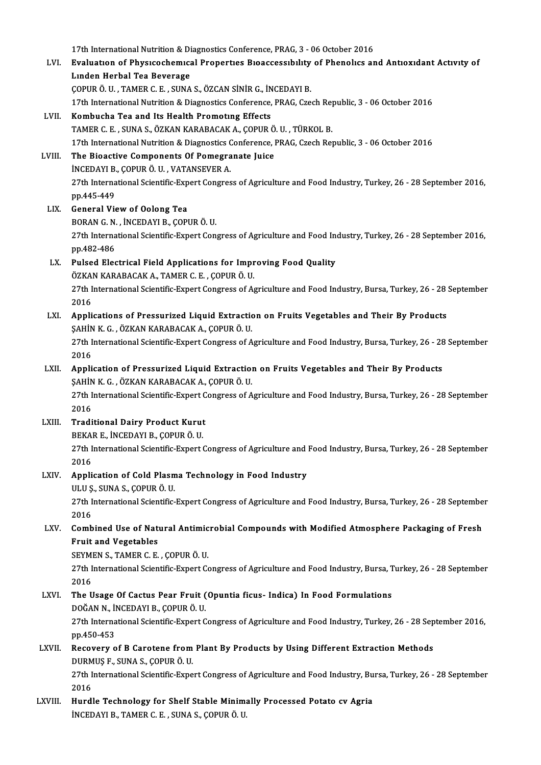17th International Nutrition & Diagnostics Conference, PRAG, 3 - 06 October 2016<br>Evaluation of Physicachemical Properties Piecessesshilty of Phopelies an

LVI. Evaluatıon of Physıcochemıcal Propertıes Bıoaccessıbılıty of Phenolıcs and Antıoxıdant Actıvıty of 17th International Nutrition & Di<br>Evaluation of Physicochemica<br>Linden Herbal Tea Beverage<br>COPUP Ö UL TAMER C EL SUNA ÇOPURÖ.U. ,TAMERC.E. ,SUNAS.,ÖZCANSİNİRG., İNCEDAYIB. 17th International Nutrition & Diagnostics Conference, PRAG, Czech Republic, 3 - 06 October 2016 LVII. Kombucha Tea and Its Health Promoting Effects TAMERC.E. ,SUNAS.,ÖZKANKARABACAKA.,ÇOPURÖ.U. ,TÜRKOLB. 17th International Nutrition & Diagnostics Conference, PRAG, Czech Republic, 3 - 06 October 2016 LVIII. The Bioactive Components Of Pomegranate Juice İNCEDAYIB.,ÇOPURÖ.U. ,VATANSEVERA. The Bioactive Components Of Pomegranate Juice<br>İNCEDAYI B., ÇOPUR Ö. U. , VATANSEVER A.<br>27th International Scientific-Expert Congress of Agriculture and Food Industry, Turkey, 26 - 28 September 2016,<br>nn 445 449 inceday<br>127th Interna<br>pp.445-449<br>Conoral Vie 27th International Scientific-Exp<br>pp.445-449<br>LIX. General View of Oolong Tea pp.445-449<br>General View of Oolong Tea<br>BORAN G. N. , İNCEDAYI B., ÇOPUR Ö. U.<br>27th International Scientific Eunert Con 27th International Scientific-Expert Congress of Agriculture and Food Industry, Turkey, 26 - 28 September 2016,<br>27th International Scientific-Expert Congress of Agriculture and Food Industry, Turkey, 26 - 28 September 2016 BORAN G.N.<br>27th Interna<br>pp.482-486<br>Pulsed Elec 27th International Scientific-Expert Congress of Agriculture and Food In<br>pp.482-486<br>LX. Pulsed Electrical Field Applications for Improving Food Quality<br> $\frac{\partial T}{\partial Y}$ pp.482-486<br>Pulsed Electrical Field Applications for Impr<br>ÖZKAN KARABACAK A., TAMER C. E. , ÇOPUR Ö. U.<br>27th International Scientific Eunert Congress of A Pulsed Electrical Field Applications for Improving Food Quality<br>ÖZKAN KARABACAK A., TAMER C. E. , ÇOPUR Ö. U.<br>27th International Scientific-Expert Congress of Agriculture and Food Industry, Bursa, Turkey, 26 - 28 September ÖZKA<br>27th I<br>2016 27th International Scientific-Expert Congress of Agriculture and Food Industry, Bursa, Turkey, 26 - 28<br>2016<br>LXI. Applications of Pressurized Liquid Extraction on Fruits Vegetables and Their By Products<br>SAHIN K.C. ÖZKAN KAR 2016<br>LXI. Applications of Pressurized Liquid Extraction on Fruits Vegetables and Their By Products<br>ŞAHİN K. G. , ÖZKAN KARABACAK A., ÇOPUR Ö. U. Applications of Pressurized Liquid Extraction on Fruits Vegetables and Their By Products<br>ŞAHİN K. G. , ÖZKAN KARABACAK A., ÇOPUR Ö. U.<br>27th International Scientific-Expert Congress of Agriculture and Food Industry, Bursa, **\$AHIN**<br>27th I<br>2016 27th International Scientific-Expert Congress of Agriculture and Food Industry, Bursa, Turkey, 26 - 28<br>2016 <br>LXII. Application of Pressurized Liquid Extraction on Fruits Vegetables and Their By Products<br>2011 K.C. ÖZKAN KAR 2016<br>Application of Pressurized Liquid Extraction<br>ŞAHİN K. G. , ÖZKAN KARABACAK A., ÇOPUR Ö. U.<br>27th International Scientific Expert Congress of A 27th International Scientized Liquid Extraction on Fruits Vegetables and Their By Products<br>27th International Scientific-Expert Congress of Agriculture and Food Industry, Bursa, Turkey, 26 - 28 September<br>2016 **ŞAHİN<br>27th I<br>2016<br>Tradi** 27th International Scientific-Expert C<br>2016<br>LXIII. Traditional Dairy Product Kurut<br>PEKARE INCEDAVI B. COBUR Ö U 2016<br>Traditional Dairy Product Kurut<br>BEKAR E., İNCEDAYI B., ÇOPUR Ö. U.<br>27th International Scientific Eunert ( 27th International Scientific-Expert Congress of Agriculture and Food Industry, Bursa, Turkey, 26 - 28 September<br>2016 BEKAR E., İNCEDAYI B., ÇOPUR Ö. U. 27th International Scientific-Expert Congress of Agriculture and<br>2016<br>LXIV. Application of Cold Plasma Technology in Food Industry<br>III U.S. SUNA S. COPUP O U 2016<br>Application of Cold Plasm<br>ULU Ş., SUNA S., ÇOPUR Ö. U.<br>27th International Scientific Application of Cold Plasma Technology in Food Industry<br>ULU \$., SUNA S., ÇOPUR Ö. U.<br>27th International Scientific-Expert Congress of Agriculture and Food Industry, Bursa, Turkey, 26 - 28 September<br>2016 ULU Ş<br>27th I<br>2016<br>Camb 27th International Scientific-Expert Congress of Agriculture and Food Industry, Bursa, Turkey, 26 - 28 Septembe<br>2016<br>LXV. Combined Use of Natural Antimicrobial Compounds with Modified Atmosphere Packaging of Fresh<br>Fruit an 2016<br>LXV. Combined Use of Natural Antimicrobial Compounds with Modified Atmosphere Packaging of Fresh<br>Fruit and Vegetables Combined Use of Natural Antimic<br>Fruit and Vegetables<br>SEYMEN S., TAMER C. E. , ÇOPUR Ö. U.<br>27th International Scientific Expect Ce 27th International Scientific-Expert Congress of Agriculture and Food Industry, Bursa, Turkey, 26 - 28 September<br>2016 SEYMI<br>27th I<br>2016<br>The U 27th International Scientific-Expert Congress of Agriculture and Food Industry, Bursa, T<br>2016<br>LXVI. The Usage Of Cactus Pear Fruit (Opuntia ficus- Indica) In Food Formulations<br>DOČAN N. INCEDAVI B. COPUP Ö. U 2016<br>The Usage Of Cactus Pear Fruit (<br>DOĞAN N., İNCEDAYI B., ÇOPUR Ö. U.<br>27th International Scientific Evnert C 27th International Scientific-Expert Congress of Agriculture and Food Industry, Turkey, 26 - 28 September 2016,<br>pp.450-453 DOĞAN N., İNCEDAYI B., ÇOPUR Ö. U. 27th International Scientific-Expert Congress of Agriculture and Food Industry, Turkey, 26 - 28 Sep<br>pp.450-453<br>LXVII. Recovery of B Carotene from Plant By Products by Using Different Extraction Methods<br>puppers F SUNA S COP pp.450-453<br>Recovery of B Carotene from<br>DURMUŞ F., SUNA S., ÇOPUR Ö. U.<br>27th International Scientific Eune Recovery of B Carotene from Plant By Products by Using Different Extraction Methods<br>DURMUŞ F., SUNA S., ÇOPUR Ö. U.<br>27th International Scientific-Expert Congress of Agriculture and Food Industry, Bursa, Turkey, 26 - 28 Sep DURM<br>27th I<br>2016<br>Hurdl 27th International Scientific-Expert Congress of Agriculture and Food Industry, Bu<br>2016<br>LXVIII. Hurdle Technology for Shelf Stable Minimally Processed Potato cv Agria<br>NGEDAVI B. TAMER C.E., SUNA S. COPUR Ö. U 2016<br>Hurdle Technology for Shelf Stable Minimally Processed Potato cv Agria<br>İNCEDAYI B., TAMER C. E. , SUNA S., ÇOPUR Ö. U.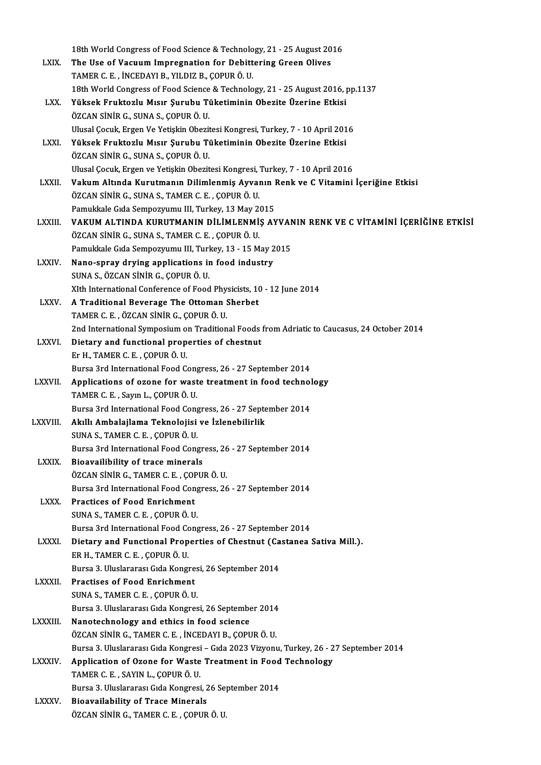|                | 18th World Congress of Food Science & Technology, 21 - 25 August 2016                       |
|----------------|---------------------------------------------------------------------------------------------|
| LXIX.          | The Use of Vacuum Impregnation for Debittering Green Olives                                 |
|                | TAMER C. E., İNCEDAYI B., YILDIZ B., ÇOPUR Ö. U.                                            |
|                | 18th World Congress of Food Science & Technology, 21 - 25 August 2016, pp.1137              |
| LXX.           | Yüksek Fruktozlu Mısır Şurubu Tüketiminin Obezite Üzerine Etkisi                            |
|                | ÖZCAN SİNİR G., SUNA S., ÇOPUR Ö. U.                                                        |
|                | Ulusal Çocuk, Ergen Ve Yetişkin Obezitesi Kongresi, Turkey, 7 - 10 April 2016               |
| LXXI.          | Yüksek Fruktozlu Mısır Şurubu Tüketiminin Obezite Üzerine Etkisi                            |
|                | ÖZCAN SİNİR G., SUNA S., ÇOPUR Ö. U.                                                        |
|                | Ulusal Çocuk, Ergen ve Yetişkin Obezitesi Kongresi, Turkey, 7 - 10 April 2016               |
| <b>LXXII</b> . | Vakum Altında Kurutmanın Dilimlenmiş Ayvanın Renk ve C Vitamini İçeriğine Etkisi            |
|                | ÖZCAN SİNİR G., SUNA S., TAMER C. E., ÇOPUR Ö. U.                                           |
|                | Pamukkale Gıda Sempozyumu III, Turkey, 13 May 2015                                          |
| LXXIII.        | VAKUM ALTINDA KURUTMANIN DİLİMLENMİŞ AYVANIN RENK VE C VİTAMİNİ İÇERİĞİNE ETKİSİ            |
|                | ÖZCAN SİNİR G., SUNA S., TAMER C. E., ÇOPUR Ö. U.                                           |
|                | Pamukkale Gida Sempozyumu III, Turkey, 13 - 15 May 2015                                     |
| <b>LXXIV</b>   | Nano-spray drying applications in food industry                                             |
|                | SUNA S., ÖZCAN SİNİR G., ÇOPUR Ö. U.                                                        |
|                | XIth International Conference of Food Physicists, 10 - 12 June 2014                         |
| <b>LXXV</b>    | A Traditional Beverage The Ottoman Sherbet                                                  |
|                | TAMER C. E., ÖZCAN SİNİR G., ÇOPUR Ö. U.                                                    |
|                | 2nd International Symposium on Traditional Foods from Adriatic to Caucasus, 24 October 2014 |
| <b>LXXVI.</b>  | Dietary and functional properties of chestnut                                               |
|                | Er H., TAMER C. E., ÇOPUR Ö. U.                                                             |
|                | Bursa 3rd International Food Congress, 26 - 27 September 2014                               |
| <b>LXXVII</b>  | Applications of ozone for waste treatment in food technology                                |
|                | TAMER C. E., Sayın L., ÇOPUR Ö. U.                                                          |
|                | Bursa 3rd International Food Congress, 26 - 27 September 2014                               |
| <b>LXXVIII</b> | Akıllı Ambalajlama Teknolojisi ve İzlenebilirlik                                            |
|                | SUNA S., TAMER C. E., COPUR Ö. U.                                                           |
|                | Bursa 3rd International Food Congress, 26 - 27 September 2014                               |
| <b>LXXIX</b>   | Bioavailibility of trace minerals                                                           |
|                | ÖZCAN SİNİR G., TAMER C. E., ÇOPUR Ö. U.                                                    |
|                | Bursa 3rd International Food Congress, 26 - 27 September 2014                               |
| <b>LXXX</b>    | <b>Practices of Food Enrichment</b>                                                         |
|                | SUNA S., TAMER C. E., ÇOPUR Ö. U.                                                           |
|                | Bursa 3rd International Food Congress, 26 - 27 September 2014                               |
| LXXXI.         | Dietary and Functional Properties of Chestnut (Castanea Sativa Mill.).                      |
|                | ER H., TAMER C. E., ÇOPUR Ö. U.                                                             |
|                | Bursa 3. Uluslararası Gıda Kongresi, 26 September 2014                                      |
| LXXXII.        | <b>Practises of Food Enrichment</b>                                                         |
|                | SUNA S., TAMER C. E., ÇOPUR Ö. U.                                                           |
|                | Bursa 3. Uluslararası Gıda Kongresi, 26 September 2014                                      |
| <b>LXXXIII</b> | Nanotechnology and ethics in food science                                                   |
|                | ÖZCAN SİNİR G., TAMER C. E., İNCEDAYI B., ÇOPUR Ö. U.                                       |
|                | Bursa 3. Uluslararası Gıda Kongresi - Gıda 2023 Vizyonu, Turkey, 26 - 27 September 2014     |
| <b>LXXXIV</b>  | Application of Ozone for Waste Treatment in Food Technology                                 |
|                | TAMER C. E., SAYIN L., ÇOPUR Ö. U.                                                          |
|                | Bursa 3. Uluslararası Gıda Kongresi, 26 September 2014                                      |
| <b>LXXXV.</b>  | <b>Bioavailability of Trace Minerals</b>                                                    |
|                | ÖZCAN SİNİR G., TAMER C. E., ÇOPUR Ö. U.                                                    |
|                |                                                                                             |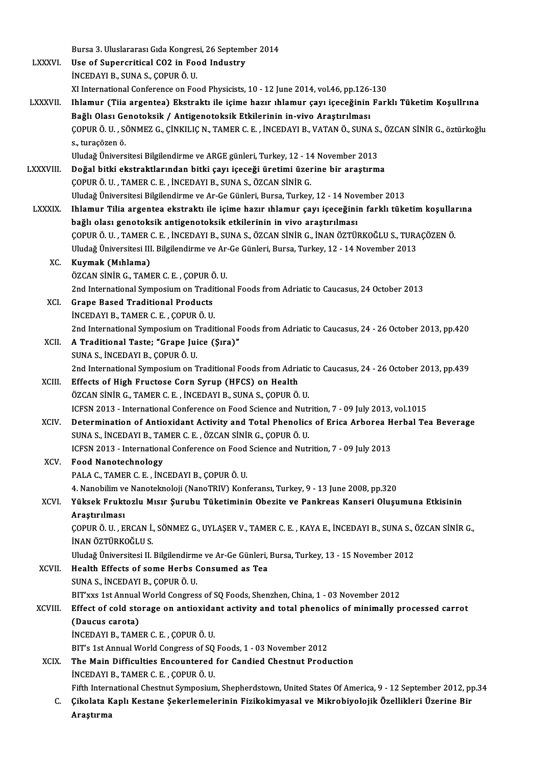|                 | Bursa 3. Uluslararası Gıda Kongresi, 26 September 2014                                                                                                 |
|-----------------|--------------------------------------------------------------------------------------------------------------------------------------------------------|
| <b>LXXXVI</b>   | Use of Supercritical CO2 in Food Industry                                                                                                              |
|                 | INCEDAYI B., SUNA S., ÇOPUR Ö. U.                                                                                                                      |
|                 | XI International Conference on Food Physicists, 10 - 12 June 2014, vol.46, pp.126-130                                                                  |
| <b>LXXXVII.</b> | Ihlamur (Tiia argentea) Ekstraktı ile içime hazır ıhlamur çayı içeceğinin Farklı Tüketim Koşullrına                                                    |
|                 | Bağlı Olası Genotoksik / Antigenotoksik Etkilerinin in-vivo Araştırılması                                                                              |
|                 | ÇOPUR Ö. U. , SÖNMEZ G., ÇİNKILIÇ N., TAMER C. E. , İNCEDAYI B., VATAN Ö., SUNA S., ÖZCAN SİNİR G., öztürkoğlu<br>s, turaçözen ö.                      |
|                 | Uludağ Üniversitesi Bilgilendirme ve ARGE günleri, Turkey, 12 - 14 November 2013                                                                       |
| LXXXVIII.       | Doğal bitki ekstraktlarından bitki çayı içeceği üretimi üzerine bir araştırma                                                                          |
|                 | ÇOPUR Ö. U. , TAMER C. E. , İNCEDAYI B., SUNA S., ÖZCAN SİNİR G.                                                                                       |
|                 | Uludağ Üniversitesi Bilgilendirme ve Ar-Ge Günleri, Bursa, Turkey, 12 - 14 November 2013                                                               |
| <b>LXXXIX</b>   | Ihlamur Tilia argentea ekstraktı ile içime hazır ıhlamur çayı içeceğinin farklı tüketim koşullarına                                                    |
|                 | bağlı olası genotoksik antigenotoksik etkilerinin in vivo araştırılması                                                                                |
|                 | ÇOPUR Ö. U. , TAMER C. E. , İNCEDAYI B., SUNA S., ÖZCAN SİNİR G., İNAN ÖZTÜRKOĞLU S., TURAÇÖZEN Ö.                                                     |
|                 | Uludağ Üniversitesi III. Bilgilendirme ve Ar-Ge Günleri, Bursa, Turkey, 12 - 14 November 2013                                                          |
| XC.             | Kuymak (Mıhlama)                                                                                                                                       |
|                 | ÖZCAN SİNİR G., TAMER C. E., ÇOPUR Ö. U.                                                                                                               |
|                 | 2nd International Symposium on Traditional Foods from Adriatic to Caucasus, 24 October 2013                                                            |
| XCI.            | <b>Grape Based Traditional Products</b>                                                                                                                |
|                 | INCEDAYI B., TAMER C. E., ÇOPUR Ö. U.                                                                                                                  |
|                 | 2nd International Symposium on Traditional Foods from Adriatic to Caucasus, 24 - 26 October 2013, pp.420                                               |
| XCII.           | A Traditional Taste; "Grape Juice (Şıra)"<br>SUNA S., İNCEDAYI B., ÇOPUR Ö. U.                                                                         |
|                 | 2nd International Symposium on Traditional Foods from Adriatic to Caucasus, 24 - 26 October 2013, pp.439                                               |
| XCIII.          | Effects of High Fructose Corn Syrup (HFCS) on Health                                                                                                   |
|                 | ÖZCAN SİNİR G., TAMER C. E., İNCEDAYI B., SUNA S., ÇOPUR Ö. U.                                                                                         |
|                 | ICFSN 2013 - International Conference on Food Science and Nutrition, 7 - 09 July 2013, vol.1015                                                        |
| XCIV.           | Determination of Antioxidant Activity and Total Phenolics of Erica Arborea Herbal Tea Beverage                                                         |
|                 | SUNA S., İNCEDAYI B., TAMER C. E., ÖZCAN SİNİR G., ÇOPUR Ö. U.                                                                                         |
|                 | ICFSN 2013 - International Conference on Food Science and Nutrition, 7 - 09 July 2013                                                                  |
| XCV.            | <b>Food Nanotechnology</b>                                                                                                                             |
|                 | PALA C., TAMER C. E., İNCEDAYI B., ÇOPUR Ö. U.                                                                                                         |
|                 | 4. Nanobilim ve Nanoteknoloji (NanoTRIV) Konferansı, Turkey, 9 - 13 June 2008, pp.320                                                                  |
| XCVI.           | Yüksek Fruktozlu Mısır Şurubu Tüketiminin Obezite ve Pankreas Kanseri Oluşumuna Etkisinin                                                              |
|                 | Araştırılması                                                                                                                                          |
|                 | ÇOPUR Ö. U., ERCAN İ., SÖNMEZ G., UYLAŞER V., TAMER C. E., KAYA E., İNCEDAYI B., SUNA S., ÖZCAN SİNİR G.,                                              |
|                 | İNAN ÖZTÜRKOĞLU S.                                                                                                                                     |
|                 | Uludağ Üniversitesi II. Bilgilendirme ve Ar-Ge Günleri, Bursa, Turkey, 13 - 15 November 2012                                                           |
| XCVII.          | Health Effects of some Herbs Consumed as Tea                                                                                                           |
|                 | SUNA S., İNCEDAYI B., ÇOPUR Ö. U.                                                                                                                      |
|                 | BIT'xxs 1st Annual World Congress of SQ Foods, Shenzhen, China, 1 - 03 November 2012                                                                   |
| XCVIII.         | Effect of cold storage on antioxidant activity and total phenolics of minimally processed carrot                                                       |
|                 | (Daucus carota)                                                                                                                                        |
|                 | INCEDAYI B., TAMER C. E., ÇOPUR Ö. U.                                                                                                                  |
|                 | BIT's 1st Annual World Congress of SQ Foods, 1 - 03 November 2012                                                                                      |
| <b>XCIX</b>     | The Main Difficulties Encountered for Candied Chestnut Production                                                                                      |
|                 | INCEDAYI B., TAMER C. E., ÇOPUR Ö. U.<br>Fifth International Chestnut Symposium, Shepherdstown, United States Of America, 9 - 12 September 2012, pp.34 |
| C.              | Çikolata Kaplı Kestane Şekerlemelerinin Fizikokimyasal ve Mikrobiyolojik Özellikleri Üzerine Bir                                                       |
|                 | Araştırma                                                                                                                                              |
|                 |                                                                                                                                                        |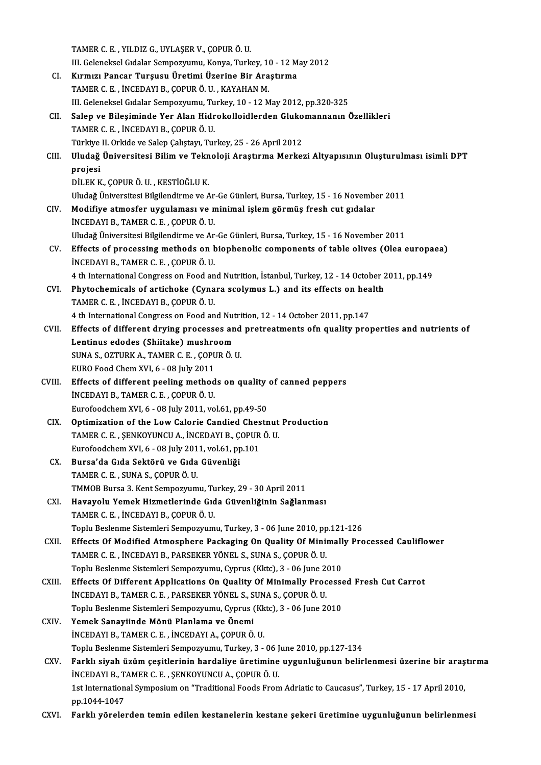|              | TAMER C. E., YILDIZ G., UYLAŞER V., ÇOPUR Ö. U.                                                                |
|--------------|----------------------------------------------------------------------------------------------------------------|
|              | III. Geleneksel Gıdalar Sempozyumu, Konya, Turkey, 10 - 12 May 2012                                            |
| CI.          | Kırmızı Pancar Turşusu Üretimi Üzerine Bir Araştırma                                                           |
|              | TAMER C. E., İNCEDAYI B., ÇOPUR Ö. U., KAYAHAN M.                                                              |
|              | III. Geleneksel Gıdalar Sempozyumu, Turkey, 10 - 12 May 2012, pp.320-325                                       |
| CII.         | Salep ve Bileşiminde Yer Alan Hidrokolloidlerden Glukomannanın Özellikleri                                     |
|              | TAMER C. E., İNCEDAYI B., ÇOPUR Ö. U.                                                                          |
|              | Türkiye II. Orkide ve Salep Çalıştayı, Turkey, 25 - 26 April 2012                                              |
| CIII.        | Uludağ Üniversitesi Bilim ve Teknoloji Araştırma Merkezi Altyapısının Oluşturulması isimli DPT                 |
|              | projesi                                                                                                        |
|              | DİLEK K., ÇOPUR Ö. U., KESTİOĞLU K.                                                                            |
|              | Uludağ Üniversitesi Bilgilendirme ve Ar-Ge Günleri, Bursa, Turkey, 15 - 16 November 2011                       |
| CIV.         | Modifiye atmosfer uygulaması ve minimal işlem görmüş fresh cut gıdalar                                         |
|              | INCEDAYI B., TAMER C. E., ÇOPUR Ö. U.                                                                          |
|              | Uludağ Üniversitesi Bilgilendirme ve Ar-Ge Günleri, Bursa, Turkey, 15 - 16 November 2011                       |
| CV.          | Effects of processing methods on biophenolic components of table olives (Olea europaea)                        |
|              | INCEDAYI B., TAMER C. E., ÇOPUR Ö. U.                                                                          |
|              | 4 th International Congress on Food and Nutrition, İstanbul, Turkey, 12 - 14 October 2011, pp.149              |
| CVI.         | Phytochemicals of artichoke (Cynara scolymus L.) and its effects on health                                     |
|              | TAMER C. E., İNCEDAYI B., ÇOPUR Ö. U.                                                                          |
|              | 4 th International Congress on Food and Nutrition, 12 - 14 October 2011, pp.147                                |
| CVII.        | Effects of different drying processes and pretreatments ofn quality properties and nutrients of                |
|              | Lentinus edodes (Shiitake) mushroom                                                                            |
|              | SUNA S., OZTURK A., TAMER C. E., ÇOPUR Ö. U.                                                                   |
|              | EURO Food Chem XVI, 6 - 08 July 2011                                                                           |
| CVIII.       | Effects of different peeling methods on quality of canned peppers                                              |
|              | INCEDAYI B., TAMER C. E., ÇOPUR Ö. U.                                                                          |
|              | Eurofoodchem XVI, 6 - 08 July 2011, vol 61, pp.49-50                                                           |
| CIX -        | Optimization of the Low Calorie Candied Chestnut Production                                                    |
|              | TAMER C. E., ŞENKOYUNCU A., İNCEDAYI B., ÇOPUR Ö. U.                                                           |
|              | Eurofoodchem XVI, 6 - 08 July 2011, vol.61, pp.101                                                             |
| CX.          | Bursa'da Gıda Sektörü ve Gıda Güvenliği                                                                        |
|              | TAMER C. E., SUNA S., ÇOPUR Ö. U.                                                                              |
|              | TMMOB Bursa 3. Kent Sempozyumu, Turkey, 29 - 30 April 2011                                                     |
| CXI.         | Havayolu Yemek Hizmetlerinde Gıda Güvenliğinin Sağlanması                                                      |
|              | TAMER C. E., İNCEDAYI B., ÇOPUR Ö. U.                                                                          |
|              | Toplu Beslenme Sistemleri Sempozyumu, Turkey, 3 - 06 June 2010, pp.121-126                                     |
| CXII.        | Effects Of Modified Atmosphere Packaging On Quality Of Minimally Processed Cauliflower                         |
|              | TAMER C. E., İNCEDAYI B., PARSEKER YÖNEL S., SUNA S., ÇOPUR Ö. U.                                              |
|              | Toplu Beslenme Sistemleri Sempozyumu, Cyprus (Kktc), 3 - 06 June 2010                                          |
| <b>CXIII</b> | Effects Of Different Applications On Quality Of Minimally Processed Fresh Cut Carrot                           |
|              | İNCEDAYI B., TAMER C. E., PARSEKER YÖNEL S., SUNA S., ÇOPUR Ö. U.                                              |
|              | Toplu Beslenme Sistemleri Sempozyumu, Cyprus (Kktc), 3 - 06 June 2010                                          |
| <b>CXIV</b>  | Yemek Sanayiinde Mönü Planlama ve Önemi                                                                        |
|              | İNCEDAYI B., TAMER C. E., İNCEDAYI A., ÇOPUR Ö. U.                                                             |
|              | Toplu Beslenme Sistemleri Sempozyumu, Turkey, 3 - 06 June 2010, pp.127-134                                     |
| CXV.         | Farklı siyah üzüm çeşitlerinin hardaliye üretimine uygunluğunun belirlenmesi üzerine bir araştırma             |
|              | INCEDAYI B., TAMER C. E., ŞENKOYUNCU A., ÇOPUR Ö. U.                                                           |
|              | 1st International Symposium on "Traditional Foods From Adriatic to Caucasus", Turkey, 15 - 17 April 2010,      |
|              | pp.1044-1047<br>Farklı yörelerden temin edilen kestanelerin kestane şekeri üretimine uygunluğunun belirlenmesi |
| CXVI.        |                                                                                                                |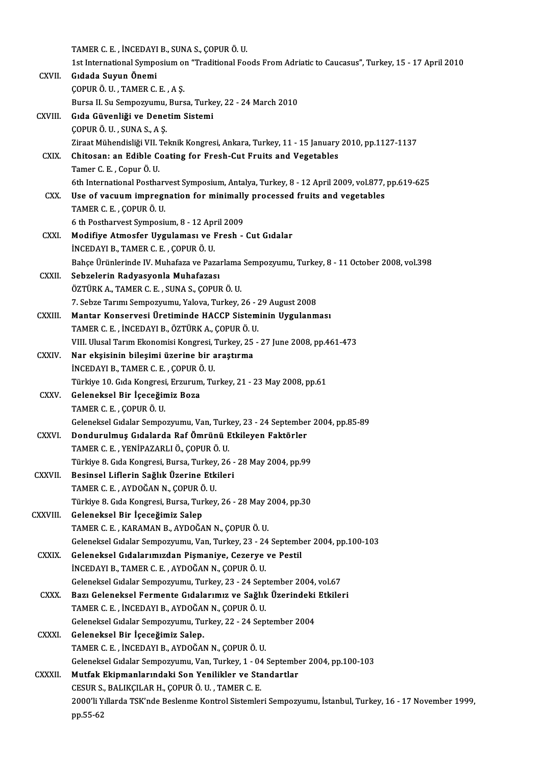TAMERC.E. , İNCEDAYIB.,SUNAS.,ÇOPURÖ.U.

1st International Symposium on "Traditional Foods From Adriatic to Caucasus", Turkey, 15 - 17 April 2010

CXVII. Gıdada Suyun Önemi ÇOPURÖ.U. ,TAMERC.E. ,AŞ. Gıdada Suyun Önemi<br>ÇOPUR Ö. U. , TAMER C. E. , A Ş.<br>Bursa II. Su Sempozyumu, Bursa, Turkey, 22 - 24 March 2010<br>Cıda Güyenliği ve Denetim Sistemi

|                | COPUR Ö. U., TAMER C. E., A S.                                                                                                              |
|----------------|---------------------------------------------------------------------------------------------------------------------------------------------|
|                | Bursa II. Su Sempozyumu, Bursa, Turkey, 22 - 24 March 2010                                                                                  |
| CXVIII.        | Gıda Güvenliği ve Denetim Sistemi                                                                                                           |
|                | ÇOPUR Ö. U., SUNA S., A Ş.                                                                                                                  |
|                | Ziraat Mühendisliği VII. Teknik Kongresi, Ankara, Turkey, 11 - 15 January 2010, pp.1127-1137                                                |
| CXIX.          | Chitosan: an Edible Coating for Fresh-Cut Fruits and Vegetables                                                                             |
|                | Tamer C.E., Copur Ö.U.                                                                                                                      |
|                | 6th International Postharvest Symposium, Antalya, Turkey, 8 - 12 April 2009, vol.877, pp.619-625                                            |
| CXX.           | Use of vacuum impregnation for minimally processed fruits and vegetables                                                                    |
|                | TAMER C E , ÇOPUR Ö U                                                                                                                       |
|                | 6 th Postharvest Symposium, 8 - 12 April 2009                                                                                               |
| <b>CXXI</b>    | Modifiye Atmosfer Uygulaması ve Fresh - Cut Gıdalar                                                                                         |
|                | INCEDAYI B., TAMER C. E., ÇOPUR Ö. U.                                                                                                       |
|                | Bahçe Ürünlerinde IV. Muhafaza ve Pazarlama Sempozyumu, Turkey, 8 - 11 October 2008, vol.398                                                |
| CXXII.         | Sebzelerin Radyasyonla Muhafazası                                                                                                           |
|                | ÖZTÜRK A., TAMER C. E., SUNA S., ÇOPUR Ö. U.                                                                                                |
|                | 7. Sebze Tarımı Sempozyumu, Yalova, Turkey, 26 - 29 August 2008                                                                             |
| <b>CXXIII.</b> | Mantar Konservesi Üretiminde HACCP Sisteminin Uygulanması                                                                                   |
|                | TAMER C. E., İNCEDAYI B., ÖZTÜRK A., ÇOPUR Ö. U.                                                                                            |
|                | VIII. Ulusal Tarım Ekonomisi Kongresi, Turkey, 25 - 27 June 2008, pp.461-473                                                                |
| <b>CXXIV</b>   | Nar ekşisinin bileşimi üzerine bir araştırma                                                                                                |
|                | INCEDAYI B., TAMER C. E., ÇOPUR Ö. U.                                                                                                       |
|                | Türkiye 10. Gıda Kongresi, Erzurum, Turkey, 21 - 23 May 2008, pp.61                                                                         |
| <b>CXXV</b>    | Geleneksel Bir İçeceğimiz Boza                                                                                                              |
|                | TAMER C. E., ÇOPUR Ö. U.                                                                                                                    |
|                | Geleneksel Gıdalar Sempozyumu, Van, Turkey, 23 - 24 September 2004, pp.85-89                                                                |
| <b>CXXVI.</b>  | Dondurulmuş Gıdalarda Raf Ömrünü Etkileyen Faktörler                                                                                        |
|                | TAMER C. E., YENİPAZARLI Ö., ÇOPUR Ö. U.                                                                                                    |
|                | Türkiye 8. Gıda Kongresi, Bursa, Turkey, 26 - 28 May 2004, pp.99                                                                            |
| CXXVII.        | Besinsel Liflerin Sağlık Üzerine Etkileri                                                                                                   |
|                | TAMER C. E., AYDOĞAN N., COPUR Ö. U.                                                                                                        |
|                | Türkiye 8. Gıda Kongresi, Bursa, Turkey, 26 - 28 May 2004, pp.30                                                                            |
| CXXVIII.       | Geleneksel Bir İçeceğimiz Salep                                                                                                             |
|                | TAMER C. E., KARAMAN B., AYDOĞAN N., ÇOPUR Ö. U.                                                                                            |
|                | Geleneksel Gıdalar Sempozyumu, Van, Turkey, 23 - 24 September 2004, pp.100-103                                                              |
| <b>CXXIX</b>   | Geleneksel Gıdalarımızdan Pişmaniye, Cezerye ve Pestil                                                                                      |
|                | İNCEDAYI B., TAMER C. E., AYDOĞAN N., ÇOPUR Ö. U.                                                                                           |
|                | Geleneksel Gıdalar Sempozyumu, Turkey, 23 - 24 September 2004, vol.67<br>Bazı Geleneksel Fermente Gıdalarımız ve Sağlık Üzerindeki Etkileri |
| <b>CXXX</b>    | TAMER C. E., İNCEDAYI B., AYDOĞAN N., ÇOPUR Ö. U.                                                                                           |
|                |                                                                                                                                             |
| <b>CXXXI</b>   | Geleneksel Gıdalar Sempozyumu, Turkey, 22 - 24 September 2004<br>Geleneksel Bir İçeceğimiz Salep.                                           |
|                | TAMER C. E., İNCEDAYI B., AYDOĞAN N., ÇOPUR Ö. U.                                                                                           |
|                | Geleneksel Gıdalar Sempozyumu, Van, Turkey, 1 - 04 September 2004, pp.100-103                                                               |
| <b>CXXXII</b>  | Mutfak Ekipmanlarındaki Son Yenilikler ve Standartlar                                                                                       |
|                | CESUR S., BALIKÇILAR H., ÇOPUR Ö. U., TAMER C. E.                                                                                           |
|                | 2000'li Yıllarda TSK'nde Beslenme Kontrol Sistemleri Sempozyumu, İstanbul, Turkey, 16 - 17 November 1999,                                   |
|                | pp 55-62                                                                                                                                    |
|                |                                                                                                                                             |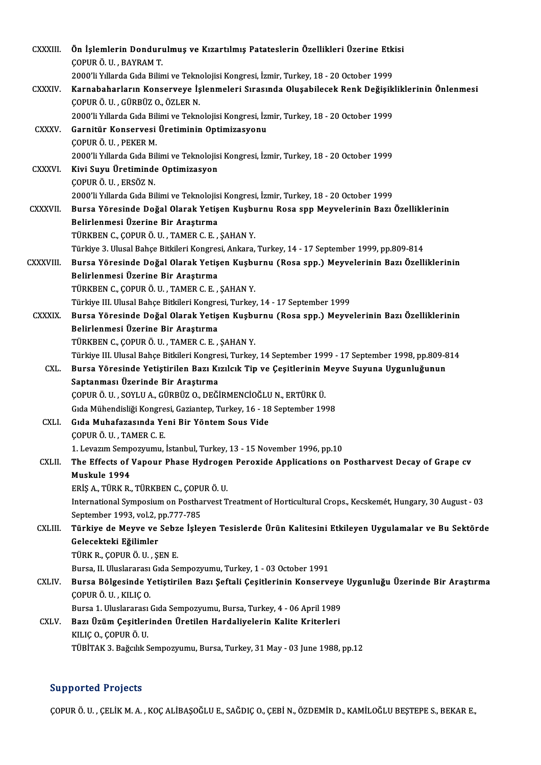| <b>CXXXIII</b> | Ön İşlemlerin Dondurulmuş ve Kızartılmış Patateslerin Özellikleri Üzerine Etkisi<br>ÇOPUR Ö. U., BAYRAM T.                       |
|----------------|----------------------------------------------------------------------------------------------------------------------------------|
|                | 2000'li Yıllarda Gıda Bilimi ve Teknolojisi Kongresi, İzmir, Turkey, 18 - 20 October 1999                                        |
| <b>CXXXIV.</b> | Karnabaharların Konserveye İşlenmeleri Sırasında Oluşabilecek Renk Değişikliklerinin Önlenmesi                                   |
|                | ÇOPUR Ö. U., GÜRBÜZ O., ÖZLER N.                                                                                                 |
|                | 2000'li Yıllarda Gıda Bilimi ve Teknolojisi Kongresi, İzmir, Turkey, 18 - 20 October 1999                                        |
| <b>CXXXV</b>   | Garnitür Konservesi Üretiminin Optimizasyonu                                                                                     |
|                | ÇOPUR Ö. U., PEKER M.                                                                                                            |
|                | 2000'li Yıllarda Gıda Bilimi ve Teknolojisi Kongresi, İzmir, Turkey, 18 - 20 October 1999                                        |
| <b>CXXXVI</b>  | Kivi Suyu Üretiminde Optimizasyon                                                                                                |
|                | ÇOPUR Ö. U., ERSÖZ N.                                                                                                            |
|                | 2000'li Yıllarda Gıda Bilimi ve Teknolojisi Kongresi, İzmir, Turkey, 18 - 20 October 1999                                        |
| CXXXVII.       | Bursa Yöresinde Doğal Olarak Yetişen Kuşburnu Rosa spp Meyvelerinin Bazı Özelliklerinin                                          |
|                | Belirlenmesi Üzerine Bir Araştırma                                                                                               |
|                | TÜRKBEN C., ÇOPUR Ö. U., TAMER C. E., ŞAHAN Y.                                                                                   |
|                | Türkiye 3. Ulusal Bahçe Bitkileri Kongresi, Ankara, Turkey, 14 - 17 September 1999, pp.809-814                                   |
| CXXXVIII.      | Bursa Yöresinde Doğal Olarak Yetişen Kuşburnu (Rosa spp.) Meyvelerinin Bazı Özelliklerinin<br>Belirlenmesi Üzerine Bir Araştırma |
|                | TÜRKBEN C., ÇOPUR Ö. U., TAMER C. E., ŞAHAN Y.                                                                                   |
|                | Türkiye III. Ulusal Bahçe Bitkileri Kongresi, Turkey, 14 - 17 September 1999                                                     |
| <b>CXXXIX</b>  | Bursa Yöresinde Doğal Olarak Yetişen Kuşburnu (Rosa spp.) Meyvelerinin Bazı Özelliklerinin                                       |
|                | Belirlenmesi Üzerine Bir Araştırma                                                                                               |
|                | TÜRKBEN C., ÇOPUR Ö. U., TAMER C. E., ŞAHAN Y.                                                                                   |
|                | Türkiye III. Ulusal Bahçe Bitkileri Kongresi, Turkey, 14 September 1999 - 17 September 1998, pp.809-814                          |
| CXL.           | Bursa Yöresinde Yetiştirilen Bazı Kızılcık Tip ve Çeşitlerinin Meyve Suyuna Uygunluğunun                                         |
|                | Saptanması Üzerinde Bir Araştırma                                                                                                |
|                | ÇOPUR Ö. U., SOYLU A., GÜRBÜZ O., DEĞİRMENCİOĞLU N., ERTÜRK Ü.                                                                   |
|                | Gıda Mühendisliği Kongresi, Gaziantep, Turkey, 16 - 18 September 1998                                                            |
| CXLI.          | Gida Muhafazasında Yeni Bir Yöntem Sous Vide                                                                                     |
|                | <b>COPUR Ö. U., TAMER C. E.</b>                                                                                                  |
|                | 1. Levazım Sempozyumu, İstanbul, Turkey, 13 - 15 November 1996, pp.10                                                            |
| <b>CXLII</b>   | The Effects of Vapour Phase Hydrogen Peroxide Applications on Postharvest Decay of Grape cv                                      |
|                | Muskule 1994                                                                                                                     |
|                | ERİŞ A., TÜRK R., TÜRKBEN C., ÇOPUR Ö. U.                                                                                        |
|                | International Symposium on Postharvest Treatment of Horticultural Crops., Kecskemét, Hungary, 30 August - 03                     |
|                | September 1993, vol.2, pp.777-785                                                                                                |
| CXLIII.        | Türkiye de Meyve ve Sebze İşleyen Tesislerde Ürün Kalitesini Etkileyen Uygulamalar ve Bu Sektörde                                |
|                | Gelecekteki Eğilimler                                                                                                            |
|                | TÜRK R., ÇOPUR Ö. U., ŞEN E.                                                                                                     |
|                | Bursa, II. Uluslararası Gıda Sempozyumu, Turkey, 1 - 03 October 1991                                                             |
| CXLIV.         | Bursa Bölgesinde Yetiştirilen Bazı Şeftali Çeşitlerinin Konserveye Uygunluğu Üzerinde Bir Araştırma<br>ÇOPUR Ö. U., KILIÇ O.     |
|                | Bursa 1. Uluslararası Gıda Sempozyumu, Bursa, Turkey, 4 - 06 April 1989                                                          |
| CXLV.          | Bazı Üzüm Çeşitlerinden Üretilen Hardaliyelerin Kalite Kriterleri                                                                |
|                | KILIÇ O., ÇOPUR Ö. U.                                                                                                            |
|                | TÜBİTAK 3. Bağcılık Sempozyumu, Bursa, Turkey, 31 May - 03 June 1988, pp.12                                                      |
|                |                                                                                                                                  |

### Supported Projects

ÇOPUR Ö. U. , ÇELİK M. A. , KOÇ ALİBAŞOĞLU E., SAĞDIÇ O., ÇEBİ N., ÖZDEMİR D., KAMİLOĞLU BEŞTEPE S., BEKAR E.,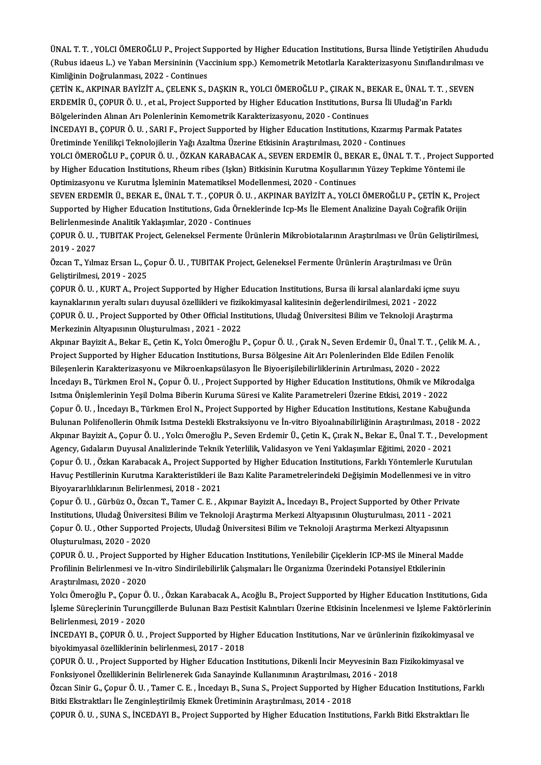ÜNAL T. T. , YOLCI ÖMEROĞLU P., Project Supported by Higher Education Institutions, Bursa İlinde Yetiştirilen Ahududu<br>(Bubus idasya L.) ve Yaban Marsininin (Vassinium spp.) Komametrik Metatlarla Karaktarizasyanu Surflandur ÜNAL T. T. , YOLCI ÖMEROĞLU P., Project Supported by Higher Education Institutions, Bursa İlinde Yetiştirilen Ahududı<br>(Rubus idaeus L.) ve Yaban Mersininin (Vaccinium spp.) Kemometrik Metotlarla Karakterizasyonu Sınıflandı ÜNAL T. T. , YOLCI ÖMEROĞLU P., Project Su<br>(Rubus idaeus L.) ve Yaban Mersininin (Va<br>Kimliğinin Doğrulanması, 2022 - Continues<br>CETİN K. AKRINAR BAYİZİT A. CELENK S. I

(Rubus idaeus L.) ve Yaban Mersininin (Vaccinium spp.) Kemometrik Metotlarla Karakterizasyonu Sınıflandırılması ve<br>Kimliğinin Doğrulanması, 2022 - Continues<br>ÇETİN K., AKPINAR BAYİZİT A., ÇELENK S., DAŞKIN R., YOLCI ÖMEROĞL Kimliğinin Doğrulanması, 2022 - Continues<br>ÇETİN K., AKPINAR BAYİZİT A., ÇELENK S., DAŞKIN R., YOLCI ÖMEROĞLU P., ÇIRAK N., BEKAR E., ÜNAL T. T. , S<br>ERDEMİR Ü., ÇOPUR Ö. U. , et al., Project Supported by Higher Education In ÇETİN K., AKPINAR BAYİZİT A., ÇELENK S., DAŞKIN R., YOLCI ÖMEROĞLU P., ÇIRAK N., B<br>ERDEMİR Ü., ÇOPUR Ö. U. , et al., Project Supported by Higher Education Institutions, Bu<br>Bölgelerinden Alınan Arı Polenlerinin Kemometrik K ERDEMİR Ü., ÇOPUR Ö. U. , et al., Project Supported by Higher Education Institutions, Bursa İli Uludağ'ın Farklı<br>Bölgelerinden Alınan Arı Polenlerinin Kemometrik Karakterizasyonu, 2020 - Continues<br>İNCEDAYI B., ÇOPUR Ö. U.

Bölgelerinden Alınan Arı Polenlerinin Kemometrik Karakterizasyonu, 2020 - Continues<br>İNCEDAYI B., ÇOPUR Ö. U. , SARI F., Project Supported by Higher Education Institutions, Kızarmış I<br>Üretiminde Yenilikçi Teknolojilerin Yağ

Üretiminde Yenilikçi Teknolojilerin Yağı Azaltma Üzerine Etkisinin Araştırılması, 2020 - Continues<br>YOLCI ÖMEROĞLU P., COPUR Ö. U. , ÖZKAN KARABACAK A., SEVEN ERDEMİR Ü., BEKAR E., ÜNAL T. T. , Project Supported Üretiminde Yenilikçi Teknolojilerin Yağı Azaltma Üzerine Etkisinin Araştırılması, 2020 - Continues<br>YOLCI ÖMEROĞLU P., ÇOPUR Ö. U. , ÖZKAN KARABACAK A., SEVEN ERDEMİR Ü., BEKAR E., ÜNAL T. T. , Project Sup<br>by Higher Educati YOLCI ÖMEROĞLU P., ÇOPUR Ö. U. , ÖZKAN KARABACAK A., SEVEN ERDEMİR Ü., BEK<br>by Higher Education Institutions, Rheum ribes (Işkın) Bitkisinin Kurutma Koşulların<br>Optimizasyonu ve Kurutma İşleminin Matematiksel Modellenmesi, 2 by Higher Education Institutions, Rheum ribes (Işkın) Bitkisinin Kurutma Koşullarının Yüzey Tepkime Yöntemi ile<br>Optimizasyonu ve Kurutma İşleminin Matematiksel Modellenmesi, 2020 - Continues<br>SEVEN ERDEMİR Ü., BEKAR E., ÜNA

Optimizasyonu ve Kurutma İşleminin Matematiksel Modellenmesi, 2020 - Continues<br>SEVEN ERDEMİR Ü., BEKAR E., ÜNAL T. T. , ÇOPUR Ö. U. , AKPINAR BAYİZİT A., YOLCI ÖMEROĞLU P., ÇETİN K., Project<br>Supported by Higher Education I Supported by Higher Education Institutions, Gida Örneklerinde Icp-Ms İle Element Analizine Dayalı Coğrafik Orijin Supported by Higher Education Institutions, Gıda Örneklerinde Icp-Ms İle Element Analizine Dayalı Coğrafik Orijin<br>Belirlenmesinde Analitik Yaklaşımlar, 2020 - Continues<br>ÇOPUR Ö. U. , TUBITAK Project, Geleneksel Fermente Ür

Belirlenmesir<br>ÇOPUR Ö. U. ,<br>2019 - 2027<br>Özeon T. Yılm ÇOPUR Ö. U. , TUBITAK Project, Geleneksel Fermente Ürünlerin Mikrobiotalarının Araştırılması ve Ürün Geliştir<br>2019 - 2027<br>Özcan T., Yılmaz Ersan L., Çopur Ö. U. , TUBITAK Project, Geleneksel Fermente Ürünlerin Araştırılmas

2019 - 2027<br>Özcan T., Yılmaz Ersan L., Çopur Ö. U. , TUBITAK Project, Geleneksel Fermente Ürünlerin Araştırılması ve Ürün<br>Gelistirilmesi, 2019 - 2025

ÇOPURÖ.U. ,KURTA.,ProjectSupported byHigher EducationInstitutions,Bursa ilikırsalalanlardaki içme suyu Geliştirilmesi, 2019 - 2025<br>ÇOPUR Ö. U. , KURT A., Project Supported by Higher Education Institutions, Bursa ili kırsal alanlardaki içme<br>kaynaklarının yeraltı suları duyusal özellikleri ve fizikokimyasal kalitesinin değerl ÇOPUR Ö. U. , KURT A., Project Supported by Higher Education Institutions, Bursa ili kırsal alanlardaki içme suy<br>kaynaklarının yeraltı suları duyusal özellikleri ve fizikokimyasal kalitesinin değerlendirilmesi, 2021 - 2022 kaynaklarının yeraltı suları duyusal özellikleri ve fizik<br>ÇOPUR Ö. U. , Project Supported by Other Official Inst<br>Merkezinin Altyapısının Oluşturulması , 2021 - 2022<br>Almınar Pavirit A., Pokar E. Cetin K. Yoka Ömereğlu I ÇOPUR Ö. U. , Project Supported by Other Official Institutions, Uludağ Üniversitesi Bilim ve Teknoloji Araştırma<br>Merkezinin Altyapısının Oluşturulması , 2021 - 2022<br>Akpınar Bayizit A., Bekar E., Çetin K., Yolcı Ömeroğlu P.

Merkezinin Altyapısının Oluşturulması , 2021 - 2022<br>Akpınar Bayizit A., Bekar E., Çetin K., Yolcı Ömeroğlu P., Çopur Ö. U. , Çırak N., Seven Erdemir Ü., Ünal T. T. , Çelik<br>Project Supported by Higher Education Institutions Akpınar Bayizit A., Bekar E., Çetin K., Yolcı Ömeroğlu P., Çopur Ö. U. , Çırak N., Seven Erdemir Ü., Ünal T. T. , Ç<br>Project Supported by Higher Education Institutions, Bursa Bölgesine Ait Arı Polenlerinden Elde Edilen Fenc Project Supported by Higher Education Institutions, Bursa Bölgesine Ait Arı Polenlerinden Elde Edilen Fenolik<br>Bileşenlerin Karakterizasyonu ve Mikroenkapsülasyon İle Biyoerişilebilirliklerinin Artırılması, 2020 - 2022<br>İnce Bileşenlerin Karakterizasyonu ve Mikroenkapsülasyon İle Biyoerişilebilirliklerinin Artırılması, 2020 - 2022<br>İncedayı B., Türkmen Erol N., Çopur Ö. U. , Project Supported by Higher Education Institutions, Ohmik ve Mikr<br>Isıt İncedayı B., Türkmen Erol N., Çopur Ö. U. , Project Supported by Higher Education Institutions, Ohmik ve Mikrodalga<br>Isitma Önişlemlerinin Yeşil Dolma Biberin Kuruma Süresi ve Kalite Parametreleri Üzerine Etkisi, 2019 - 202 Isitma Önişlemlerinin Yeşil Dolma Biberin Kuruma Süresi ve Kalite Parametreleri Üzerine Etkisi, 2019 - 2022<br>Çopur Ö. U. , İncedayı B., Türkmen Erol N., Project Supported by Higher Education Institutions, Kestane Kabuğunda<br> Çopur Ö. U. , İncedayı B., Türkmen Erol N., Project Supported by Higher Education Institutions, Kestane Kabuğunda<br>Bulunan Polifenollerin Ohmik Isıtma Destekli Ekstraksiyonu ve İn-vitro Biyoalınabilirliğinin Araştırılması, Bulunan Polifenollerin Ohmik Isıtma Destekli Ekstraksiyonu ve İn-vitro Biyoalınabilirliğinin Araştırılması, 2018<br>Akpınar Bayizit A., Çopur Ö. U. , Yolcı Ömeroğlu P., Seven Erdemir Ü., Çetin K., Çırak N., Bekar E., Ünal T. Akpınar Bayizit A., Çopur Ö. U. , Yolcı Ömeroğlu P., Seven Erdemir Ü., Çetin K., Çırak N., Bekar E., Ünal T. T. , Development<br>Agency, Gıdaların Duyusal Analizlerinde Teknik Yeterlilik, Validasyon ve Yeni Yaklaşımlar Eğitim Agency, Gıdaların Duyusal Analizlerinde Teknik Yeterlilik, Validasyon ve Yeni Yaklaşımlar Eğitimi, 2020 - 2021<br>Çopur Ö. U. , Özkan Karabacak A., Project Supported by Higher Education Institutions, Farklı Yöntemlerle Kurutu Çopur Ö. U. , Özkan Karabacak A., Project Suppo<br>Havuç Pestillerinin Kurutma Karakteristikleri ile<br>Biyoyararlılıklarının Belirlenmesi, 2018 - 2021<br>Cenur Ö. U. Gürbür O. Özsan T. Temer G. E. A Havuç Pestillerinin Kurutma Karakteristikleri ile Bazı Kalite Parametrelerindeki Değişimin Modellenmesi ve in vit<br>Biyoyararlılıklarının Belirlenmesi, 2018 - 2021<br>Çopur Ö. U. , Gürbüz O., Özcan T., Tamer C. E. , Akpınar Bay

Biyoyararlılıklarının Belirlenmesi, 2018 - 2021<br>Çopur Ö. U. , Gürbüz O., Özcan T., Tamer C. E. , Akpınar Bayizit A., İncedayı B., Project Supported by Other Privat<br>Institutions, Uludağ Üniversitesi Bilim ve Teknoloji Araşt Çopur Ö. U. , Gürbüz O., Özcan T., Tamer C. E. , Akpınar Bayizit A., İncedayı B., Project Supported by Other Priva<br>Institutions, Uludağ Üniversitesi Bilim ve Teknoloji Araştırma Merkezi Altyapısının Oluşturulması, 2011 - 2 Institutions, Uludağ Üniversitesi Bilim ve Teknoloji Araştırma Merkezi Altyapısının Oluşturulması, 2011 - 2021<br>Çopur Ö. U. , Other Supported Projects, Uludağ Üniversitesi Bilim ve Teknoloji Araştırma Merkezi Altyapısının<br>O Çopur Ö. U. , Other Supported Projects, Uludağ Üniversitesi Bilim ve Teknoloji Araştırma Merkezi Altyapısının<br>Oluşturulması, 2020 - 2020<br>ÇOPUR Ö. U. , Project Supported by Higher Education Institutions, Yenilebilir Çiçekle

Oluşturulması, 2020 - 2020<br>ÇOPUR Ö. U. , Project Supported by Higher Education Institutions, Yenilebilir Çiçeklerin ICP-MS ile Mineral Ma<br>Profilinin Belirlenmesi ve In-vitro Sindirilebilirlik Çalışmaları İle Organizma Üzer ÇOPUR Ö. U. , Project Suppo<br>Profilinin Belirlenmesi ve Iı<br>Araştırılması, 2020 - 2020<br>Yelsı Ömereğlu B. Cenur Ö Profilinin Belirlenmesi ve In-vitro Sindirilebilirlik Çalışmaları İle Organizma Üzerindeki Potansiyel Etkilerinin<br>Araştırılması, 2020 - 2020<br>Yolcı Ömeroğlu P., Çopur Ö. U. , Özkan Karabacak A., Acoğlu B., Project Supported

Araştırılması, 2020 - 2020<br>Yolcı Ömeroğlu P., Çopur Ö. U. , Özkan Karabacak A., Acoğlu B., Project Supported by Higher Education Institutions, Gıda<br>İşleme Süreçlerinin Turunçgillerde Bulunan Bazı Pestisit Kalıntıları Üzeri Yolcı Ömeroğlu P., Çopur Ö<br>İşleme Süreçlerinin Turunç<br>Belirlenmesi, 2019 - 2020<br>İNCEDAYI B. COPUP Ö. H İşleme Süreçlerinin Turunçgillerde Bulunan Bazı Pestisit Kalıntıları Üzerine Etkisinin İncelenmesi ve İşleme Faktörlerinin<br>Belirlenmesi, 2019 - 2020<br>İNCEDAYI B., ÇOPUR Ö. U. , Project Supported by Higher Education Institut

İNCEDAYI B., COPUR Ö. U., Project Supported by Higher Education Institutions. Nar ve ürünlerinin fizikokimyasal ve İNCEDAYI B., ÇOPUR Ö. U. , Project Supported by Higher Education Institutions, Nar ve ürünlerinin fizikokimyasal<br>biyokimyasal özelliklerinin belirlenmesi, 2017 - 2018<br>ÇOPUR Ö. U. , Project Supported by Higher Education Ins

biyokimyasal özelliklerinin belirlenmesi, 2017 - 2018<br>ÇOPUR Ö. U. , Project Supported by Higher Education Institutions, Dikenli İncir Meyvesinin Bazı i<br>Fonksiyonel Özelliklerinin Belirlenerek Gıda Sanayinde Kullanımının Ar ÇOPUR Ö. U. , Project Supported by Higher Education Institutions, Dikenli İncir Meyvesinin Bazı Fizikokimyasal ve<br>Fonksiyonel Özelliklerinin Belirlenerek Gıda Sanayinde Kullanımının Araştırılması, 2016 - 2018<br>Özcan Sinir G

Fonksiyonel Özelliklerinin Belirlenerek Gıda Sanayinde Kullanımının Araştırılması, 2016 - 2018<br>Özcan Sinir G., Çopur Ö. U. , Tamer C. E. , İncedayı B., Suna S., Project Supported by Higher Education Institutions, Farklı<br>Bi

ÇOPUR Ö.U., SUNA S., İNCEDAYI B., Project Supported by Higher Education Institutions, Farklı Bitki Ekstraktları İle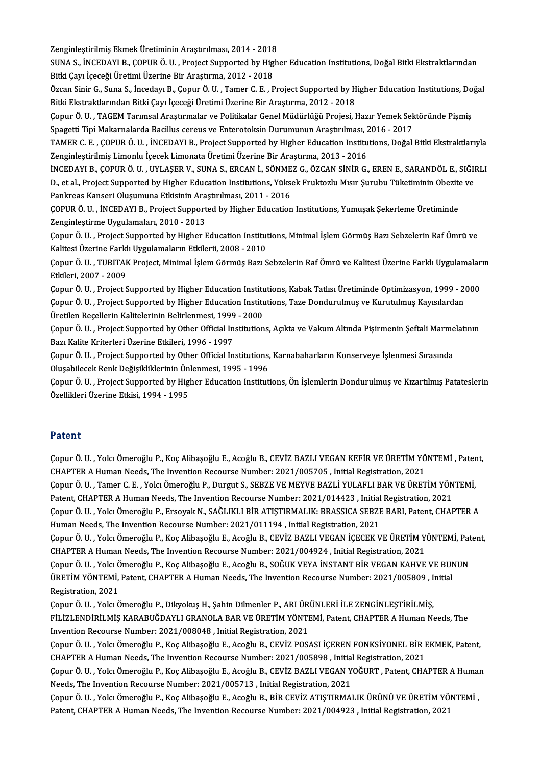Zenginleştirilmiş Ekmek Üretiminin Araştırılması, 2014 - 2018<br>SUNA S. İNCEDAVLE, CORUP Ö. U., Project Sunnerted bu High

SUNA S., İNCEDAYI B., ÇOPUR Ö. U. , Project Supported by Higher Education Institutions, Doğal Bitki Ekstraktlarından<br>Bitki Cayı İceceği Üretimi Üzerine Bir Arastırma, 2012 - 2018 Zenginleştirilmiş Ekmek Üretiminin Araştırılması, 2014 - 2018<br>SUNA S., İNCEDAYI B., ÇOPUR Ö. U. , Project Supported by Hig<br>Bitki Çayı İçeceği Üretimi Üzerine Bir Araştırma, 2012 - 2018<br>Özgən Sinin C. Suna S., İngedayı B. C SUNA S., İNCEDAYI B., ÇOPUR Ö. U. , Project Supported by Higher Education Institutions, Doğal Bitki Ekstraktlarından<br>Bitki Çayı İçeceği Üretimi Üzerine Bir Araştırma, 2012 - 2018<br>Özcan Sinir G., Suna S., İncedayı B., Çopur

Bitki Çayı İçeceği Üretimi Üzerine Bir Araştırma, 2012 - 2018<br>Özcan Sinir G., Suna S., İncedayı B., Çopur Ö. U. , Tamer C. E. , Project Supported by H<br>Bitki Ekstraktlarından Bitki Çayı İçeceği Üretimi Üzerine Bir Araştırma Özcan Sinir G., Suna S., İncedayı B., Çopur Ö. U. , Tamer C. E. , Project Supported by Higher Education Institutions, Do<br>Bitki Ekstraktlarından Bitki Çayı İçeceği Üretimi Üzerine Bir Araştırma, 2012 - 2018<br>Çopur Ö. U. , TA

Bitki Ekstraktlarından Bitki Çayı İçeceği Üretimi Üzerine Bir Araştırma, 2012 - 2018<br>Çopur Ö. U. , TAGEM Tarımsal Araştırmalar ve Politikalar Genel Müdürlüğü Projesi, Hazır Yemek Sek<br>Spagetti Tipi Makarnalarda Bacillus cer Çopur Ö. U. , TAGEM Tarımsal Araştırmalar ve Politikalar Genel Müdürlüğü Projesi, Hazır Yemek Sektöründe Pişmiş<br>Spagetti Tipi Makarnalarda Bacillus cereus ve Enterotoksin Durumunun Araştırılması, 2016 - 2017<br>TAMER C. E. ,

Spagetti Tipi Makarnalarda Bacillus cereus ve Enterotoksin Durumunun Araştırılması, 2016 - 2017<br>TAMER C. E. , ÇOPUR Ö. U. , İNCEDAYI B., Project Supported by Higher Education Institutions, Doğal Bitki Ekstraktlarıyla<br>Zengi TAMER C. E. , ÇOPUR Ö. U. , İNCEDAYI B., Project Supported by Higher Education Institutions, Doğal Bitki Ekstraktlarıyla<br>Zenginleştirilmiş Limonlu İçecek Limonata Üretimi Üzerine Bir Araştırma, 2013 - 2016<br>İNCEDAYI B., ÇOP

Zenginleştirilmiş Limonlu İçecek Limonata Üretimi Üzerine Bir Araştırma, 2013 - 2016<br>İNCEDAYI B., ÇOPUR Ö. U. , UYLAŞER V., SUNA S., ERCAN İ., SÖNMEZ G., ÖZCAN SİNİR G., EREN E., SARANDÖL E., SIĞI<br>D., et al., Project Suppo İNCEDAYI B., ÇOPUR Ö. U. , UYLAŞER V., SUNA S., ERCAN İ., SÖNME<br>D., et al., Project Supported by Higher Education Institutions, Yükse<br>Pankreas Kanseri Oluşumuna Etkisinin Araştırılması, 2011 - 2016<br>COBUP Ö. U., İNCEDAYI B. D., et al., Project Supported by Higher Education Institutions, Yüksek Fruktozlu Mısır Şurubu Tüketiminin Obezite ve<br>Pankreas Kanseri Oluşumuna Etkisinin Araştırılması, 2011 - 2016<br>ÇOPUR Ö. U. , İNCEDAYI B., Project Suppor

Zenginleştirme Uygulamaları, 2010 - 2013 ÇOPUR Ö. U. , İNCEDAYI B., Project Supported by Higher Education Institutions, Yumuşak Şekerleme Üretiminde<br>Zenginleştirme Uygulamaları, 2010 - 2013<br>Çopur Ö. U. , Project Supported by Higher Education Institutions, Minimal

Zenginleştirme Uygulamaları, 2010 - 2013<br>Çopur Ö. U. , Project Supported by Higher Education Institut<br>Kalitesi Üzerine Farklı Uygulamaların Etkilerii, 2008 - 2010<br>Copur Ö. U. "TUPITAK Project Minimal İslam Cörmüs Beru S Çopur Ö. U. , Project Supported by Higher Education Institutions, Minimal İşlem Görmüş Bazı Sebzelerin Raf Ömrü ve<br>Kalitesi Üzerine Farklı Uygulamaların Etkilerii, 2008 - 2010<br>Çopur Ö. U. , TUBITAK Project, Minimal İşlem G

Kalitesi Üzerine Farklı Uygulamaların Etkilerii, 2008 - 2010<br>Çopur Ö. U. , TUBITAK Project, Minimal İşlem Görmüş Bazı Sebzelerin Raf Ömrü ve Kalitesi Üzerine Farklı Uygulamalaı<br>Etkileri, 2007 - 2009<br>Çopur Ö. U. , Project S Çopur Ö. U. , TUBITAK Project, Minimal İşlem Görmüş Bazı Sebzelerin Raf Ömrü ve Kalitesi Üzerine Farklı Uygulamalar<br>Etkileri, 2007 - 2009<br>Çopur Ö. U. , Project Supported by Higher Education Institutions, Kabak Tatlısı Üret

Etkileri, 2007 - 2009<br>Çopur Ö. U. , Project Supported by Higher Education Institutions, Kabak Tatlısı Üretiminde Optimizasyon, 1999 - 2<br>Çopur Ö. U. , Project Supported by Higher Education Institutions, Taze Dondurulmuş ve Çopur Ö. U. , Project Supported by Higher Education Institution<br>Copur Ö. U. , Project Supported by Higher Education Institution<br>Üretilen Reçellerin Kalitelerinin Belirlenmesi, 1999 - 2000<br>Copur Ö. U. , Project Supported by Çopur Ö. U. , Project Supported by Higher Education Institutions, Taze Dondurulmuş ve Kurutulmuş Kayısılardan<br>Üretilen Reçellerin Kalitelerinin Belirlenmesi, 1999 - 2000<br>Çopur Ö. U. , Project Supported by Other Official In

Üretilen Reçellerin Kalitelerinin Belirlenmesi, 1999 - 2000<br>Çopur Ö. U. , Project Supported by Other Official Institutions, Açıkta ve Vakum Altında Pişirmenin Şeftali Marmelatının<br>Bazı Kalite Kriterleri Üzerine Etkileri, 1 Çopur Ö. U. , Project Supported by Other Official Institutions, Açıkta ve Vakum Altında Pişirmenin Şeftali Marme<br>Bazı Kalite Kriterleri Üzerine Etkileri, 1996 - 1997<br>Çopur Ö. U. , Project Supported by Other Official Instit

Bazı Kalite Kriterleri Üzerine Etkileri, 1996 - 1997<br>Çopur Ö. U. , Project Supported by Other Official Institutions,<br>Oluşabilecek Renk Değişikliklerinin Önlenmesi, 1995 - 1996<br>Copur Ö. U. , Project Supported by Hisbor Educ Çopur Ö. U. , Project Supported by Other Official Institutions, Karnabaharların Konserveye İşlenmesi Sırasında<br>Oluşabilecek Renk Değişikliklerinin Önlenmesi, 1995 - 1996<br>Çopur Ö. U. , Project Supported by Higher Education

Oluşabilecek Renk Değişikliklerinin Ön<br>Çopur Ö. U. , Project Supported by Hig<br>Özellikleri Üzerine Etkisi, 1994 - 1995 Özellikleri Üzerine Etkisi, 1994 - 1995<br>Patent

Patent<br>Çopur Ö. U. , Yolcı Ömeroğlu P., Koç Alibaşoğlu E., Acoğlu B., CEVİZ BAZLI VEGAN KEFİR VE ÜRETİM YÖNTEMİ , Patent,<br>CHAPTER A Human Naada The Invention Baseurse Number: 2021 (005705, Jaitial Basistration 2021 r aterre<br>Çopur Ö. U. , Yolcı Ömeroğlu P., Koç Alibaşoğlu E., Acoğlu B., CEVİZ BAZLI VEGAN KEFİR VE ÜRETİM YÖ<br>CHAPTER A Human Needs, The Invention Recourse Number: 2021/005705 , Initial Registration, 2021<br>Cenur Ö. U. "Taman Çopur Ö. U. , Yolcı Ömeroğlu P., Koç Alibaşoğlu E., Acoğlu B., CEVİZ BAZLI VEGAN KEFİR VE ÜRETİM YÖNTEMİ , Pater<br>CHAPTER A Human Needs, The Invention Recourse Number: 2021/005705 , Initial Registration, 2021<br>Çopur Ö. U. , CHAPTER A Human Needs, The Invention Recourse Number: 2021/005705 , Initial Registration, 2021<br>Çopur Ö. U. , Tamer C. E. , Yolcı Ömeroğlu P., Durgut S., SEBZE VE MEYVE BAZLİ YULAFLI BAR VE ÜRETİM YÖNTEMİ,<br>Patent, CHAPTER A Çopur Ö. U. , Tamer C. E. , Yolcı Ömeroğlu P., Durgut S., SEBZE VE MEYVE BAZLİ YULAFLI BAR VE ÜRETİM YÖNTEMİ,<br>Patent, CHAPTER A Human Needs, The Invention Recourse Number: 2021/014423 , Initial Registration, 2021<br>Çopur Ö. Patent, CHAPTER A Human Needs, The Invention Recourse Number: 2021/014423 , Initial<br>Çopur Ö. U. , Yolcı Ömeroğlu P., Ersoyak N., SAĞLIKLI BİR ATIŞTIRMALIK: BRASSICA SEBZI<br>Human Needs, The Invention Recourse Number: 2021/01 Çopur Ö. U. , Yolcı Ömeroğlu P., Ersoyak N., SAĞLIKLI BİR ATIŞTIRMALIK: BRASSICA SEBZE BARI, Patent, CHAPTER A<br>Human Needs, The Invention Recourse Number: 2021/011194 , Initial Registration, 2021<br>Çopur Ö. U. , Yolcı Ömeroğ

Human Needs, The Invention Recourse Number: 2021/011194 , Initial Registration, 2021<br>Çopur Ö. U. , Yolcı Ömeroğlu P., Koç Alibaşoğlu E., Acoğlu B., CEVİZ BAZLI VEGAN İÇECEK VE ÜRETİM YÖNTEMİ, Pa<br>CHAPTER A Human Needs, The Çopur Ö. U., Yolcı Ömeroğlu P., Koç Alibaşoğlu E., Acoğlu B., CEVİZ BAZLI VEGAN İÇECEK VE ÜRETİM YÖNTEMİ, Patent,

CHAPTER A Human Needs, The Invention Recourse Number: 2021/004924 , Initial Registration, 2021<br>Çopur Ö. U. , Yolcı Ömeroğlu P., Koç Alibaşoğlu E., Acoğlu B., SOĞUK VEYA İNSTANT BİR VEGAN KAHVE VE BUN<br>ÜRETİM YÖNTEMİ, Patent Copur Ö. U. , Yolcı Č<br>ÜRETİM YÖNTEMİ,<br>Registration, 2021<br>Copur Ö. U. , Yolcı Č ÜRETİM YÖNTEMİ, Patent, CHAPTER A Human Needs, The Invention Recourse Number: 2021/005809 , I:<br>Registration, 2021<br>Çopur Ö. U. , Yolcı Ömeroğlu P., Dikyokuş H., Şahin Dilmenler P., ARI ÜRÜNLERİ İLE ZENGİNLEŞTİRİLMİŞ,<br>Fil iz

Registration, 2021<br>Çopur Ö. U. , Yolcı Ömeroğlu P., Dikyokuş H., Şahin Dilmenler P., ARI ÜRÜNLERİ İLE ZENGİNLEŞTİRİLMİŞ,<br>FİLİZLENDİRİLMİŞ KARABUĞDAYLI GRANOLA BAR VE ÜRETİM YÖNTEMİ, Patent, CHAPTER A Human Needs, The Invention Recourse Number: 2021/008048, Initial Registration, 2021 FİLİZLENDİRİLMİŞ KARABUĞDAYLI GRANOLA BAR VE ÜRETİM YÖNTEMİ, Patent, CHAPTER A Human Needs, The<br>Invention Recourse Number: 2021/008048 , Initial Registration, 2021<br>Çopur Ö. U. , Yolcı Ömeroğlu P., Koç Alibaşoğlu E., Acoğlu

Invention Recourse Number: 2021/008048 , Initial Registration, 2021<br>Çopur Ö. U. , Yolcı Ömeroğlu P., Koç Alibaşoğlu E., Acoğlu B., CEVİZ POSASI İÇEREN FONKSİYONEL BİR I<br>CHAPTER A Human Needs, The Invention Recourse Number:

CHAPTER A Human Needs, The Invention Recourse Number: 2021/005898 , Initial Registration, 2021<br>Çopur Ö. U. , Yolcı Ömeroğlu P., Koç Alibaşoğlu E., Acoğlu B., CEVİZ BAZLI VEGAN YOĞURT , Patent, CHAPTER A Human Needs, The Invention Recourse Number: 2021/005713, Initial Registration, 2021 Çopur Ö. U. , Yolcı Ömeroğlu P., Koç Alibaşoğlu E., Acoğlu B., CEVİZ BAZLI VEGAN YOĞURT , Patent, CHAPTER A Human<br>Needs, The Invention Recourse Number: 2021/005713 , Initial Registration, 2021<br>Çopur Ö. U. , Yolcı Ömeroğlu

Needs, The Invention Recourse Number: 2021/005713 , Initial Registration, 2021<br>Çopur Ö. U. , Yolcı Ömeroğlu P., Koç Alibaşoğlu E., Acoğlu B., BİR CEVİZ ATIŞTIRMALIK ÜRÜNÜ VE ÜRETİM YÖ<br>Patent, CHAPTER A Human Needs, The Inv